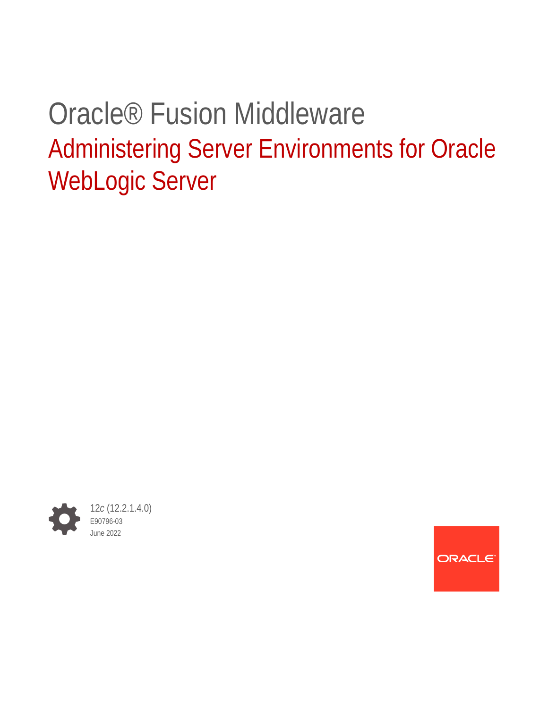# Oracle® Fusion Middleware Administering Server Environments for Oracle WebLogic Server



ORACLE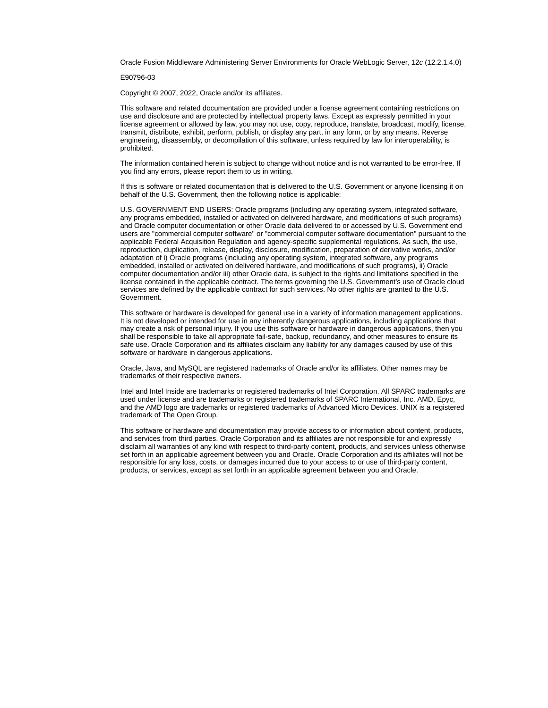Oracle Fusion Middleware Administering Server Environments for Oracle WebLogic Server, 12*c* (12.2.1.4.0)

E90796-03

Copyright © 2007, 2022, Oracle and/or its affiliates.

This software and related documentation are provided under a license agreement containing restrictions on use and disclosure and are protected by intellectual property laws. Except as expressly permitted in your license agreement or allowed by law, you may not use, copy, reproduce, translate, broadcast, modify, license, transmit, distribute, exhibit, perform, publish, or display any part, in any form, or by any means. Reverse engineering, disassembly, or decompilation of this software, unless required by law for interoperability, is prohibited.

The information contained herein is subject to change without notice and is not warranted to be error-free. If you find any errors, please report them to us in writing.

If this is software or related documentation that is delivered to the U.S. Government or anyone licensing it on behalf of the U.S. Government, then the following notice is applicable:

U.S. GOVERNMENT END USERS: Oracle programs (including any operating system, integrated software, any programs embedded, installed or activated on delivered hardware, and modifications of such programs) and Oracle computer documentation or other Oracle data delivered to or accessed by U.S. Government end users are "commercial computer software" or "commercial computer software documentation" pursuant to the applicable Federal Acquisition Regulation and agency-specific supplemental regulations. As such, the use, reproduction, duplication, release, display, disclosure, modification, preparation of derivative works, and/or adaptation of i) Oracle programs (including any operating system, integrated software, any programs embedded, installed or activated on delivered hardware, and modifications of such programs), ii) Oracle computer documentation and/or iii) other Oracle data, is subject to the rights and limitations specified in the license contained in the applicable contract. The terms governing the U.S. Government's use of Oracle cloud services are defined by the applicable contract for such services. No other rights are granted to the U.S. Government.

This software or hardware is developed for general use in a variety of information management applications. It is not developed or intended for use in any inherently dangerous applications, including applications that may create a risk of personal injury. If you use this software or hardware in dangerous applications, then you shall be responsible to take all appropriate fail-safe, backup, redundancy, and other measures to ensure its safe use. Oracle Corporation and its affiliates disclaim any liability for any damages caused by use of this software or hardware in dangerous applications.

Oracle, Java, and MySQL are registered trademarks of Oracle and/or its affiliates. Other names may be trademarks of their respective owners.

Intel and Intel Inside are trademarks or registered trademarks of Intel Corporation. All SPARC trademarks are used under license and are trademarks or registered trademarks of SPARC International, Inc. AMD, Epyc, and the AMD logo are trademarks or registered trademarks of Advanced Micro Devices. UNIX is a registered trademark of The Open Group.

This software or hardware and documentation may provide access to or information about content, products, and services from third parties. Oracle Corporation and its affiliates are not responsible for and expressly disclaim all warranties of any kind with respect to third-party content, products, and services unless otherwise set forth in an applicable agreement between you and Oracle. Oracle Corporation and its affiliates will not be responsible for any loss, costs, or damages incurred due to your access to or use of third-party content, products, or services, except as set forth in an applicable agreement between you and Oracle.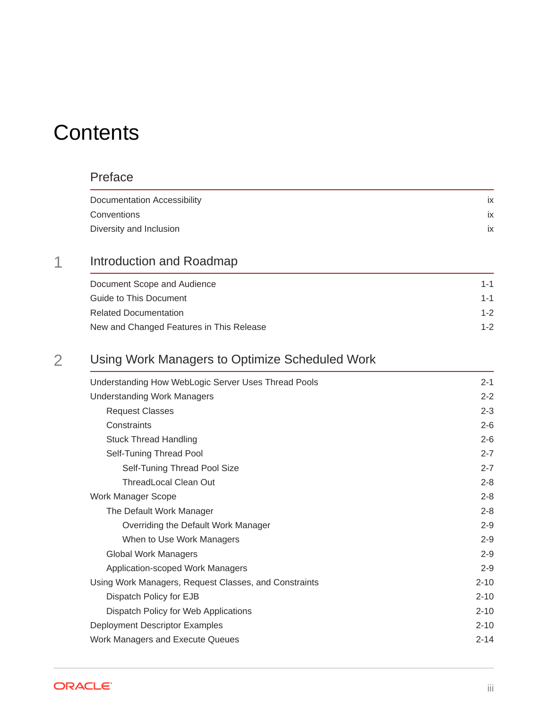# **Contents**

### [Preface](#page-8-0)

| Documentation Accessibility | IX |
|-----------------------------|----|
| Conventions                 | ix |
| Diversity and Inclusion     | IX |

### 1 [Introduction and Roadmap](#page-9-0)

| Document Scope and Audience              | $1 - 1$ |  |
|------------------------------------------|---------|--|
| Guide to This Document                   | $1 - 1$ |  |
| <b>Related Documentation</b>             | $1 - 2$ |  |
| New and Changed Features in This Release | $1 - 2$ |  |

### 2 [Using Work Managers to Optimize Scheduled Work](#page-11-0)

| Understanding How WebLogic Server Uses Thread Pools   | $2 - 1$  |
|-------------------------------------------------------|----------|
| <b>Understanding Work Managers</b>                    | $2 - 2$  |
| <b>Request Classes</b>                                | $2 - 3$  |
| Constraints                                           | $2 - 6$  |
| <b>Stuck Thread Handling</b>                          | $2 - 6$  |
| Self-Tuning Thread Pool                               | $2 - 7$  |
| Self-Tuning Thread Pool Size                          | $2 - 7$  |
| <b>ThreadLocal Clean Out</b>                          | $2 - 8$  |
| <b>Work Manager Scope</b>                             | $2 - 8$  |
| The Default Work Manager                              | $2 - 8$  |
| Overriding the Default Work Manager                   | $2 - 9$  |
| When to Use Work Managers                             | $2 - 9$  |
| <b>Global Work Managers</b>                           | $2 - 9$  |
| <b>Application-scoped Work Managers</b>               | $2 - 9$  |
| Using Work Managers, Request Classes, and Constraints | $2 - 10$ |
| Dispatch Policy for EJB                               | $2 - 10$ |
| Dispatch Policy for Web Applications                  | $2 - 10$ |
| Deployment Descriptor Examples                        | $2 - 10$ |
| Work Managers and Execute Queues                      | $2 - 14$ |
|                                                       |          |

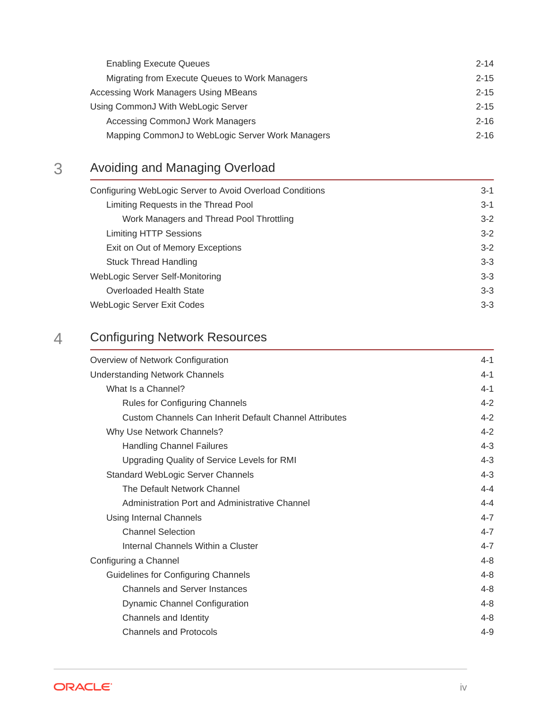| <b>Enabling Execute Queues</b>                   | $2 - 14$ |
|--------------------------------------------------|----------|
| Migrating from Execute Queues to Work Managers   | $2 - 15$ |
| Accessing Work Managers Using MBeans             | $2 - 15$ |
| Using CommonJ With WebLogic Server               | $2 - 15$ |
| Accessing CommonJ Work Managers                  | $2 - 16$ |
| Mapping CommonJ to WebLogic Server Work Managers | $2 - 16$ |

## 3 [Avoiding and Managing Overload](#page-27-0)

| Configuring WebLogic Server to Avoid Overload Conditions | $3-1$   |
|----------------------------------------------------------|---------|
| Limiting Requests in the Thread Pool                     | $3-1$   |
| Work Managers and Thread Pool Throttling                 | $3-2$   |
| <b>Limiting HTTP Sessions</b>                            | $3-2$   |
| Exit on Out of Memory Exceptions                         | $3-2$   |
| <b>Stuck Thread Handling</b>                             | $3 - 3$ |
| WebLogic Server Self-Monitoring                          | $3 - 3$ |
| Overloaded Health State                                  | $3 - 3$ |
| WebLogic Server Exit Codes                               | $3 - 3$ |

### 4 [Configuring Network Resources](#page-30-0)

| Overview of Network Configuration                      | $4 - 1$ |
|--------------------------------------------------------|---------|
| <b>Understanding Network Channels</b>                  | $4 - 1$ |
| What Is a Channel?                                     | $4 - 1$ |
| Rules for Configuring Channels                         | $4 - 2$ |
| Custom Channels Can Inherit Default Channel Attributes | $4 - 2$ |
| Why Use Network Channels?                              | $4 - 2$ |
| <b>Handling Channel Failures</b>                       | $4 - 3$ |
| Upgrading Quality of Service Levels for RMI            | $4 - 3$ |
| Standard WebLogic Server Channels                      | $4 - 3$ |
| The Default Network Channel                            | $4 - 4$ |
| Administration Port and Administrative Channel         | $4 - 4$ |
| Using Internal Channels                                | $4 - 7$ |
| <b>Channel Selection</b>                               | $4 - 7$ |
| Internal Channels Within a Cluster                     | $4 - 7$ |
| Configuring a Channel                                  | $4 - 8$ |
| Guidelines for Configuring Channels                    | $4 - 8$ |
| <b>Channels and Server Instances</b>                   | $4 - 8$ |
| <b>Dynamic Channel Configuration</b>                   | $4 - 8$ |
| Channels and Identity                                  | $4 - 8$ |
| <b>Channels and Protocols</b>                          | $4 - 9$ |
|                                                        |         |

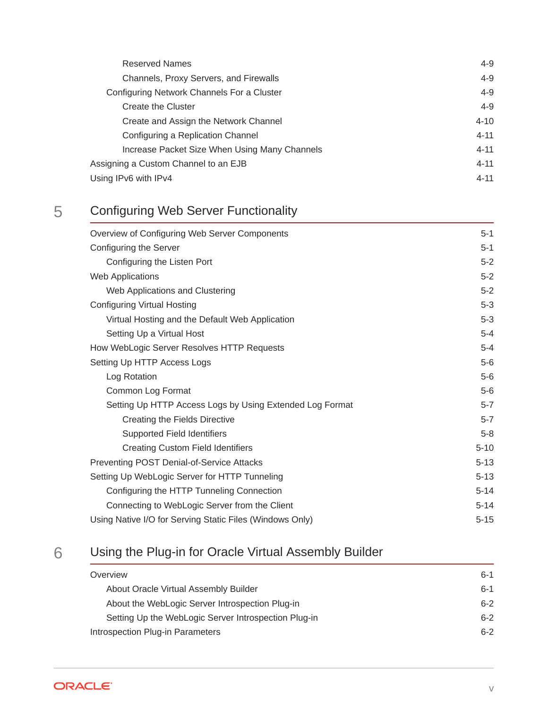| Channels, Proxy Servers, and Firewalls<br>Configuring Network Channels For a Cluster | $4 - 9$  |
|--------------------------------------------------------------------------------------|----------|
|                                                                                      | $4 - 9$  |
|                                                                                      | $4 - 9$  |
| Create the Cluster                                                                   | $4 - 9$  |
| Create and Assign the Network Channel                                                | $4 - 10$ |
| Configuring a Replication Channel                                                    | $4 - 11$ |
| Increase Packet Size When Using Many Channels                                        | $4 - 11$ |
| Assigning a Custom Channel to an EJB                                                 | $4 - 11$ |
| Using IPv6 with IPv4                                                                 | $4 - 11$ |

## 5 [Configuring Web Server Functionality](#page-42-0)

| Overview of Configuring Web Server Components            | $5 - 1$  |
|----------------------------------------------------------|----------|
| Configuring the Server                                   | $5-1$    |
| Configuring the Listen Port                              | $5-2$    |
| <b>Web Applications</b>                                  | $5-2$    |
| Web Applications and Clustering                          | $5 - 2$  |
| <b>Configuring Virtual Hosting</b>                       | $5 - 3$  |
| Virtual Hosting and the Default Web Application          | $5-3$    |
| Setting Up a Virtual Host                                | $5 - 4$  |
| How WebLogic Server Resolves HTTP Requests               | $5 - 4$  |
| Setting Up HTTP Access Logs                              | $5-6$    |
| Log Rotation                                             | $5-6$    |
| Common Log Format                                        | $5-6$    |
| Setting Up HTTP Access Logs by Using Extended Log Format | $5 - 7$  |
| Creating the Fields Directive                            | $5 - 7$  |
| Supported Field Identifiers                              | $5-8$    |
| <b>Creating Custom Field Identifiers</b>                 | $5 - 10$ |
| Preventing POST Denial-of-Service Attacks                | $5 - 13$ |
| Setting Up WebLogic Server for HTTP Tunneling            | $5 - 13$ |
| Configuring the HTTP Tunneling Connection                | $5 - 14$ |
| Connecting to WebLogic Server from the Client            | $5 - 14$ |
| Using Native I/O for Serving Static Files (Windows Only) | $5 - 15$ |

### 6 [Using the Plug-in for Oracle Virtual Assembly Builder](#page-57-0)

| Overview                                             | $6-1$   |
|------------------------------------------------------|---------|
| About Oracle Virtual Assembly Builder                | $6 - 1$ |
| About the WebLogic Server Introspection Plug-in      | $6 - 2$ |
| Setting Up the WebLogic Server Introspection Plug-in | $6 - 2$ |
| Introspection Plug-in Parameters                     | $6 - 2$ |

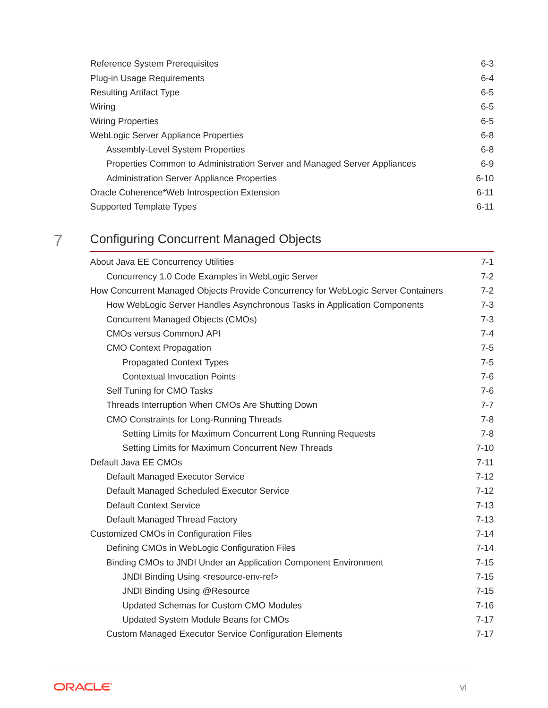| <b>Reference System Prerequisites</b>                                    | $6 - 3$  |
|--------------------------------------------------------------------------|----------|
| Plug-in Usage Requirements                                               | $6 - 4$  |
| <b>Resulting Artifact Type</b>                                           | $6 - 5$  |
| Wiring                                                                   | $6 - 5$  |
| <b>Wiring Properties</b>                                                 | $6 - 5$  |
| WebLogic Server Appliance Properties                                     | $6 - 8$  |
| Assembly-Level System Properties                                         | $6 - 8$  |
| Properties Common to Administration Server and Managed Server Appliances | $6-9$    |
| <b>Administration Server Appliance Properties</b>                        | $6 - 10$ |
| Oracle Coherence*Web Introspection Extension                             | $6 - 11$ |
| Supported Template Types                                                 | $6 - 11$ |

# 7 [Configuring Concurrent Managed Objects](#page-68-0)

| About Java EE Concurrency Utilities                                               | $7-1$    |
|-----------------------------------------------------------------------------------|----------|
| Concurrency 1.0 Code Examples in WebLogic Server                                  | $7 - 2$  |
| How Concurrent Managed Objects Provide Concurrency for WebLogic Server Containers | $7 - 2$  |
| How WebLogic Server Handles Asynchronous Tasks in Application Components          | $7 - 3$  |
| <b>Concurrent Managed Objects (CMOs)</b>                                          | $7 - 3$  |
| <b>CMOs versus CommonJ API</b>                                                    | $7 - 4$  |
| <b>CMO Context Propagation</b>                                                    | $7-5$    |
| <b>Propagated Context Types</b>                                                   | $7 - 5$  |
| <b>Contextual Invocation Points</b>                                               | $7-6$    |
| Self Tuning for CMO Tasks                                                         | $7-6$    |
| Threads Interruption When CMOs Are Shutting Down                                  | $7 - 7$  |
| CMO Constraints for Long-Running Threads                                          | $7 - 8$  |
| Setting Limits for Maximum Concurrent Long Running Requests                       | $7 - 8$  |
| Setting Limits for Maximum Concurrent New Threads                                 | $7 - 10$ |
| Default Java EE CMOs                                                              | $7 - 11$ |
| Default Managed Executor Service                                                  | $7 - 12$ |
| Default Managed Scheduled Executor Service                                        | $7 - 12$ |
| <b>Default Context Service</b>                                                    | $7 - 13$ |
| Default Managed Thread Factory                                                    | $7 - 13$ |
| <b>Customized CMOs in Configuration Files</b>                                     | $7 - 14$ |
| Defining CMOs in WebLogic Configuration Files                                     | $7 - 14$ |
| Binding CMOs to JNDI Under an Application Component Environment                   | $7 - 15$ |
| JNDI Binding Using <resource-env-ref></resource-env-ref>                          | $7 - 15$ |
| JNDI Binding Using @Resource                                                      | $7 - 15$ |
| Updated Schemas for Custom CMO Modules                                            | $7 - 16$ |
| Updated System Module Beans for CMOs                                              | $7 - 17$ |
| <b>Custom Managed Executor Service Configuration Elements</b>                     | $7 - 17$ |

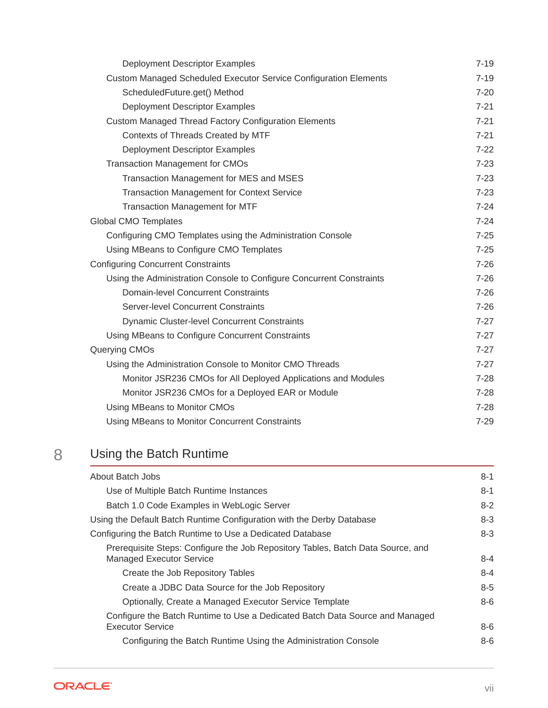| Deployment Descriptor Examples                                       | $7 - 19$ |
|----------------------------------------------------------------------|----------|
| Custom Managed Scheduled Executor Service Configuration Elements     | $7 - 19$ |
| ScheduledFuture.get() Method                                         | $7 - 20$ |
| Deployment Descriptor Examples                                       | $7 - 21$ |
| <b>Custom Managed Thread Factory Configuration Elements</b>          | $7 - 21$ |
| Contexts of Threads Created by MTF                                   | $7 - 21$ |
| Deployment Descriptor Examples                                       | $7 - 22$ |
| <b>Transaction Management for CMOs</b>                               | $7 - 23$ |
| Transaction Management for MES and MSES                              | $7 - 23$ |
| <b>Transaction Management for Context Service</b>                    | $7 - 23$ |
| Transaction Management for MTF                                       | $7 - 24$ |
| <b>Global CMO Templates</b>                                          | $7 - 24$ |
| Configuring CMO Templates using the Administration Console           | $7 - 25$ |
| Using MBeans to Configure CMO Templates                              | $7 - 25$ |
| <b>Configuring Concurrent Constraints</b>                            | $7 - 26$ |
| Using the Administration Console to Configure Concurrent Constraints | $7 - 26$ |
| Domain-level Concurrent Constraints                                  | $7 - 26$ |
| Server-level Concurrent Constraints                                  | $7 - 26$ |
| <b>Dynamic Cluster-level Concurrent Constraints</b>                  | $7 - 27$ |
| Using MBeans to Configure Concurrent Constraints                     | $7 - 27$ |
| Querying CMOs                                                        | $7 - 27$ |
| Using the Administration Console to Monitor CMO Threads              | $7 - 27$ |
| Monitor JSR236 CMOs for All Deployed Applications and Modules        | $7 - 28$ |
| Monitor JSR236 CMOs for a Deployed EAR or Module                     | $7 - 28$ |
| Using MBeans to Monitor CMOs                                         | $7 - 28$ |
| Using MBeans to Monitor Concurrent Constraints                       | $7 - 29$ |
|                                                                      |          |

## 8 [Using the Batch Runtime](#page-97-0)

| About Batch Jobs                                                                                                   | $8 - 1$ |
|--------------------------------------------------------------------------------------------------------------------|---------|
| Use of Multiple Batch Runtime Instances                                                                            | $8 - 1$ |
| Batch 1.0 Code Examples in WebLogic Server                                                                         | $8 - 2$ |
| Using the Default Batch Runtime Configuration with the Derby Database                                              | $8 - 3$ |
| Configuring the Batch Runtime to Use a Dedicated Database                                                          | $8 - 3$ |
| Prerequisite Steps: Configure the Job Repository Tables, Batch Data Source, and<br><b>Managed Executor Service</b> | $8 - 4$ |
| Create the Job Repository Tables                                                                                   | $8 - 4$ |
| Create a JDBC Data Source for the Job Repository                                                                   | $8 - 5$ |
| Optionally, Create a Managed Executor Service Template                                                             | $8-6$   |
| Configure the Batch Runtime to Use a Dedicated Batch Data Source and Managed                                       |         |
| <b>Executor Service</b>                                                                                            | $8-6$   |
| Configuring the Batch Runtime Using the Administration Console                                                     | $8-6$   |

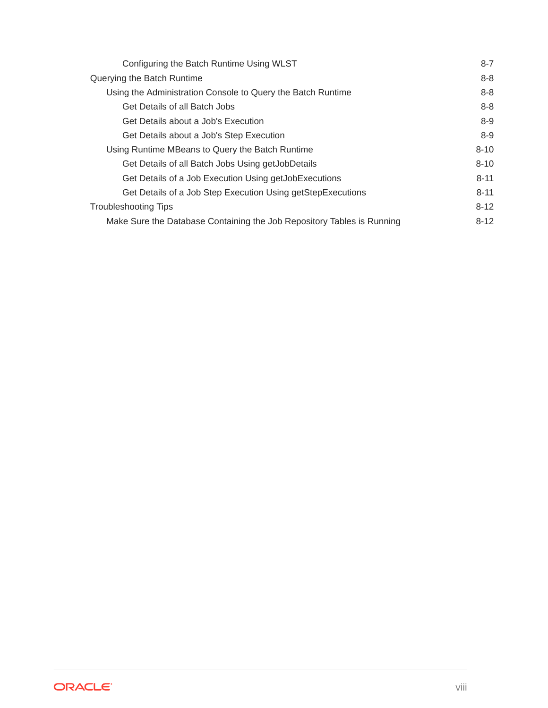| Configuring the Batch Runtime Using WLST                               | $8 - 7$  |
|------------------------------------------------------------------------|----------|
| Querying the Batch Runtime                                             | $8 - 8$  |
| Using the Administration Console to Query the Batch Runtime            | $8 - 8$  |
| Get Details of all Batch Jobs                                          | $8 - 8$  |
| Get Details about a Job's Execution                                    | $8-9$    |
| Get Details about a Job's Step Execution                               | $8-9$    |
| Using Runtime MBeans to Query the Batch Runtime                        | $8 - 10$ |
| Get Details of all Batch Jobs Using getJobDetails                      | $8 - 10$ |
| Get Details of a Job Execution Using getJobExecutions                  | $8 - 11$ |
| Get Details of a Job Step Execution Using getStepExecutions            | $8 - 11$ |
| <b>Troubleshooting Tips</b>                                            | $8 - 12$ |
| Make Sure the Database Containing the Job Repository Tables is Running | $8-12$   |

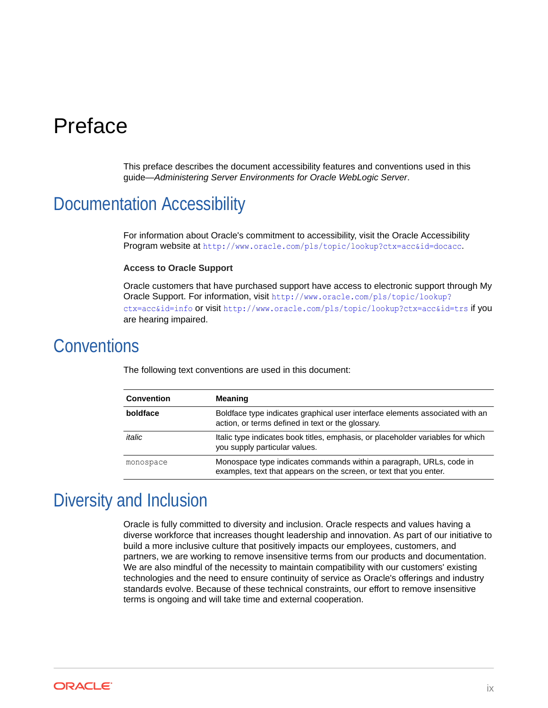# <span id="page-8-0"></span>Preface

This preface describes the document accessibility features and conventions used in this guide—*Administering Server Environments for Oracle WebLogic Server*.

## Documentation Accessibility

For information about Oracle's commitment to accessibility, visit the Oracle Accessibility Program website at <http://www.oracle.com/pls/topic/lookup?ctx=acc&id=docacc>.

#### **Access to Oracle Support**

Oracle customers that have purchased support have access to electronic support through My Oracle Support. For information, visit [http://www.oracle.com/pls/topic/lookup?](http://www.oracle.com/pls/topic/lookup?ctx=acc&id=info) [ctx=acc&id=info](http://www.oracle.com/pls/topic/lookup?ctx=acc&id=info) or visit <http://www.oracle.com/pls/topic/lookup?ctx=acc&id=trs> if you are hearing impaired.

### **Conventions**

| <b>Convention</b> | <b>Meaning</b>                                                                                                                            |
|-------------------|-------------------------------------------------------------------------------------------------------------------------------------------|
| boldface          | Boldface type indicates graphical user interface elements associated with an<br>action, or terms defined in text or the glossary.         |
| italic            | Italic type indicates book titles, emphasis, or placeholder variables for which<br>you supply particular values.                          |
| monospace         | Monospace type indicates commands within a paragraph, URLs, code in<br>examples, text that appears on the screen, or text that you enter. |

The following text conventions are used in this document:

# Diversity and Inclusion

Oracle is fully committed to diversity and inclusion. Oracle respects and values having a diverse workforce that increases thought leadership and innovation. As part of our initiative to build a more inclusive culture that positively impacts our employees, customers, and partners, we are working to remove insensitive terms from our products and documentation. We are also mindful of the necessity to maintain compatibility with our customers' existing technologies and the need to ensure continuity of service as Oracle's offerings and industry standards evolve. Because of these technical constraints, our effort to remove insensitive terms is ongoing and will take time and external cooperation.

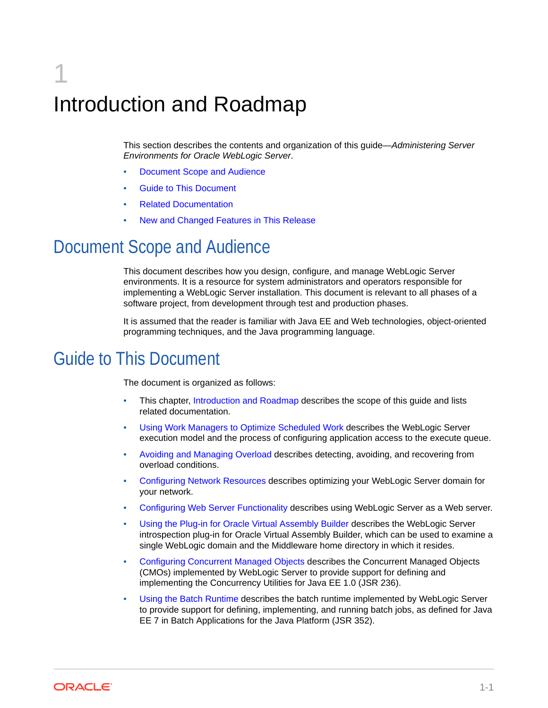# <span id="page-9-0"></span>1 Introduction and Roadmap

This section describes the contents and organization of this guide—*Administering Server Environments for Oracle WebLogic Server*.

- Document Scope and Audience
- **Guide to This Document**
- [Related Documentation](#page-10-0)
- [New and Changed Features in This Release](#page-10-0)

# Document Scope and Audience

This document describes how you design, configure, and manage WebLogic Server environments. It is a resource for system administrators and operators responsible for implementing a WebLogic Server installation. This document is relevant to all phases of a software project, from development through test and production phases.

It is assumed that the reader is familiar with Java EE and Web technologies, object-oriented programming techniques, and the Java programming language.

# Guide to This Document

The document is organized as follows:

- This chapter, Introduction and Roadmap describes the scope of this guide and lists related documentation.
- [Using Work Managers to Optimize Scheduled Work](#page-11-0) describes the WebLogic Server execution model and the process of configuring application access to the execute queue.
- [Avoiding and Managing Overload](#page-27-0) describes detecting, avoiding, and recovering from overload conditions.
- [Configuring Network Resources](#page-30-0) describes optimizing your WebLogic Server domain for your network.
- [Configuring Web Server Functionality](#page-42-0) describes using WebLogic Server as a Web server.
- [Using the Plug-in for Oracle Virtual Assembly Builder](#page-57-0) describes the WebLogic Server introspection plug-in for Oracle Virtual Assembly Builder, which can be used to examine a single WebLogic domain and the Middleware home directory in which it resides.
- [Configuring Concurrent Managed Objects](#page-68-0) describes the Concurrent Managed Objects (CMOs) implemented by WebLogic Server to provide support for defining and implementing the Concurrency Utilities for Java EE 1.0 (JSR 236).
- [Using the Batch Runtime](#page-97-0) describes the batch runtime implemented by WebLogic Server to provide support for defining, implementing, and running batch jobs, as defined for Java EE 7 in Batch Applications for the Java Platform (JSR 352).

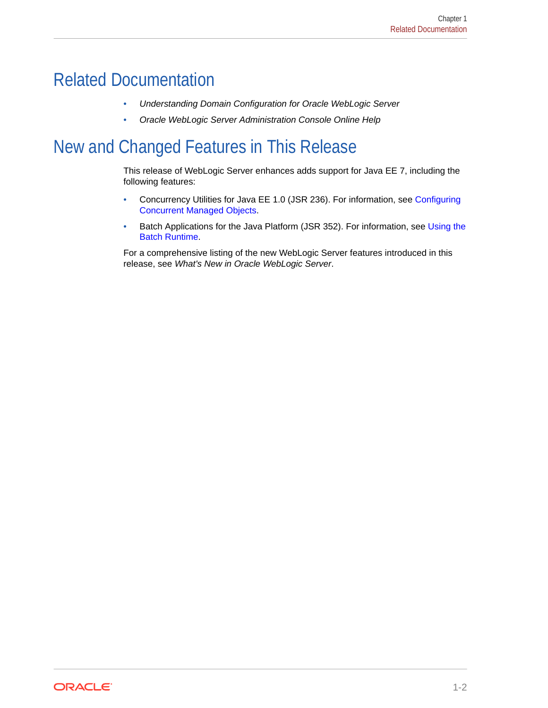# <span id="page-10-0"></span>Related Documentation

- *Understanding Domain Configuration for Oracle WebLogic Server*
- *Oracle WebLogic Server Administration Console Online Help*

# New and Changed Features in This Release

This release of WebLogic Server enhances adds support for Java EE 7, including the following features:

- Concurrency Utilities for Java EE 1.0 (JSR 236). For information, see [Configuring](#page-68-0) [Concurrent Managed Objects.](#page-68-0)
- Batch Applications for the Java Platform (JSR 352). For information, see [Using the](#page-97-0) [Batch Runtime.](#page-97-0)

For a comprehensive listing of the new WebLogic Server features introduced in this release, see *What's New in Oracle WebLogic Server*.

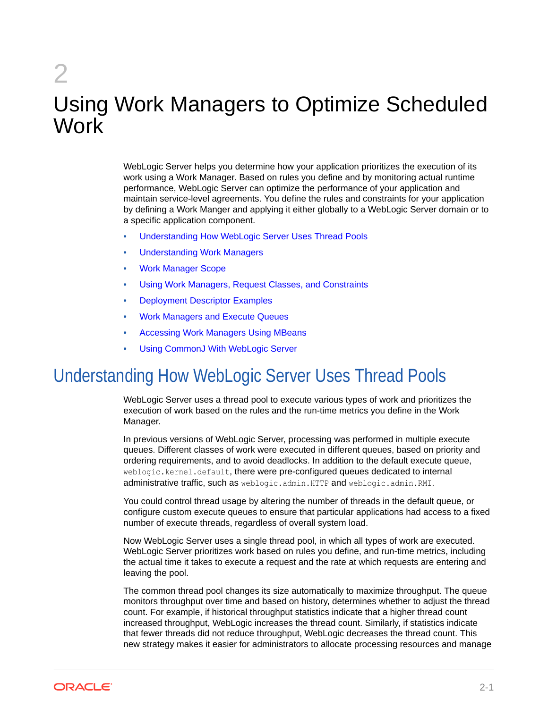# <span id="page-11-0"></span>2 Using Work Managers to Optimize Scheduled **Work**

WebLogic Server helps you determine how your application prioritizes the execution of its work using a Work Manager. Based on rules you define and by monitoring actual runtime performance, WebLogic Server can optimize the performance of your application and maintain service-level agreements. You define the rules and constraints for your application by defining a Work Manger and applying it either globally to a WebLogic Server domain or to a specific application component.

- Understanding How WebLogic Server Uses Thread Pools
- [Understanding Work Managers](#page-12-0)
- [Work Manager Scope](#page-18-0)
- [Using Work Managers, Request Classes, and Constraints](#page-20-0)
- [Deployment Descriptor Examples](#page-20-0)
- [Work Managers and Execute Queues](#page-24-0)
- [Accessing Work Managers Using MBeans](#page-25-0)
- [Using CommonJ With WebLogic Server](#page-25-0)

# Understanding How WebLogic Server Uses Thread Pools

WebLogic Server uses a thread pool to execute various types of work and prioritizes the execution of work based on the rules and the run-time metrics you define in the Work Manager.

In previous versions of WebLogic Server, processing was performed in multiple execute queues. Different classes of work were executed in different queues, based on priority and ordering requirements, and to avoid deadlocks. In addition to the default execute queue, weblogic.kernel.default, there were pre-configured queues dedicated to internal administrative traffic, such as weblogic.admin.HTTP and weblogic.admin.RMI.

You could control thread usage by altering the number of threads in the default queue, or configure custom execute queues to ensure that particular applications had access to a fixed number of execute threads, regardless of overall system load.

Now WebLogic Server uses a single thread pool, in which all types of work are executed. WebLogic Server prioritizes work based on rules you define, and run-time metrics, including the actual time it takes to execute a request and the rate at which requests are entering and leaving the pool.

The common thread pool changes its size automatically to maximize throughput. The queue monitors throughput over time and based on history, determines whether to adjust the thread count. For example, if historical throughput statistics indicate that a higher thread count increased throughput, WebLogic increases the thread count. Similarly, if statistics indicate that fewer threads did not reduce throughput, WebLogic decreases the thread count. This new strategy makes it easier for administrators to allocate processing resources and manage

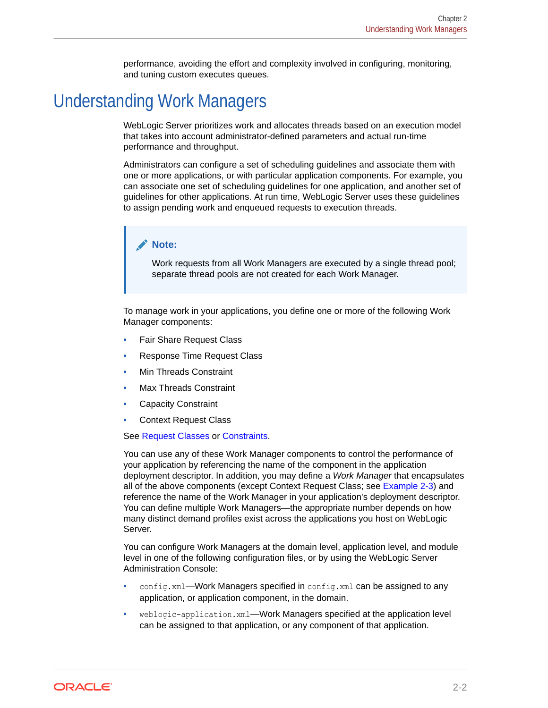performance, avoiding the effort and complexity involved in configuring, monitoring, and tuning custom executes queues.

# <span id="page-12-0"></span>Understanding Work Managers

WebLogic Server prioritizes work and allocates threads based on an execution model that takes into account administrator-defined parameters and actual run-time performance and throughput.

Administrators can configure a set of scheduling guidelines and associate them with one or more applications, or with particular application components. For example, you can associate one set of scheduling guidelines for one application, and another set of guidelines for other applications. At run time, WebLogic Server uses these guidelines to assign pending work and enqueued requests to execution threads.

#### **Note:**

Work requests from all Work Managers are executed by a single thread pool; separate thread pools are not created for each Work Manager.

To manage work in your applications, you define one or more of the following Work Manager components:

- Fair Share Request Class
- Response Time Request Class
- Min Threads Constraint
- Max Threads Constraint
- Capacity Constraint
- Context Request Class

See [Request Classes](#page-13-0) or [Constraints](#page-16-0).

You can use any of these Work Manager components to control the performance of your application by referencing the name of the component in the application deployment descriptor. In addition, you may define a *Work Manager* that encapsulates all of the above components (except Context Request Class; see [Example 2-3](#page-15-0)) and reference the name of the Work Manager in your application's deployment descriptor. You can define multiple Work Managers—the appropriate number depends on how many distinct demand profiles exist across the applications you host on WebLogic Server.

You can configure Work Managers at the domain level, application level, and module level in one of the following configuration files, or by using the WebLogic Server Administration Console:

- config.xml—Work Managers specified in config.xml can be assigned to any application, or application component, in the domain.
- weblogic-application.xml—Work Managers specified at the application level can be assigned to that application, or any component of that application.

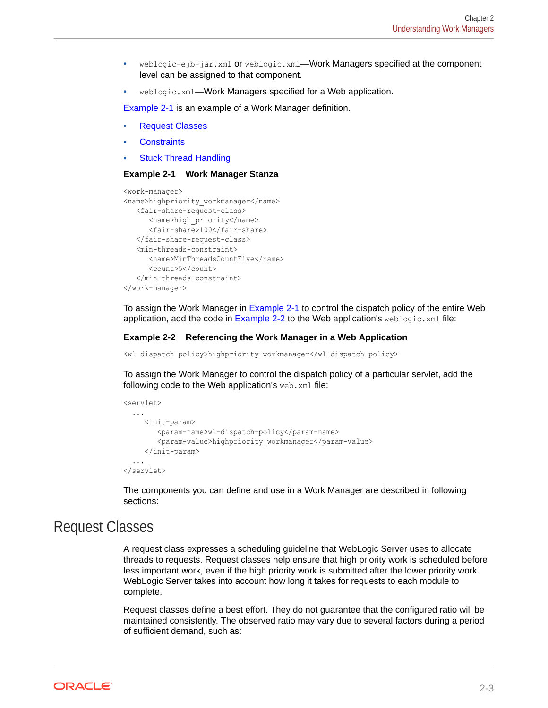- <span id="page-13-0"></span>• weblogic-ejb-jar.xml or weblogic.xml—Work Managers specified at the component level can be assigned to that component.
- weblogic.xml—Work Managers specified for a Web application.

Example 2-1 is an example of a Work Manager definition.

- Request Classes
- **[Constraints](#page-16-0)**
- **[Stuck Thread Handling](#page-16-0)**

#### **Example 2-1 Work Manager Stanza**

```
<work-manager>
<name>highpriority_workmanager</name>
   <fair-share-request-class>
      <name>high_priority</name> 
      <fair-share>100</fair-share> 
   </fair-share-request-class>
    <min-threads-constraint>
       <name>MinThreadsCountFive</name>
       <count>5</count>
    </min-threads-constraint>
</work-manager>
```
To assign the Work Manager in Example 2-1 to control the dispatch policy of the entire Web application, add the code in Example 2-2 to the Web application's weblogic.xml file:

#### **Example 2-2 Referencing the Work Manager in a Web Application**

```
<wl-dispatch-policy>highpriority-workmanager</wl-dispatch-policy>
```
To assign the Work Manager to control the dispatch policy of a particular servlet, add the following code to the Web application's web.xml file:

```
<servlet>
   ...
      <init-param>
         <param-name>wl-dispatch-policy</param-name>
         <param-value>highpriority_workmanager</param-value>
      </init-param>
   ...
</servlet>
```
The components you can define and use in a Work Manager are described in following sections:

### Request Classes

A request class expresses a scheduling guideline that WebLogic Server uses to allocate threads to requests. Request classes help ensure that high priority work is scheduled before less important work, even if the high priority work is submitted after the lower priority work. WebLogic Server takes into account how long it takes for requests to each module to complete.

Request classes define a best effort. They do not guarantee that the configured ratio will be maintained consistently. The observed ratio may vary due to several factors during a period of sufficient demand, such as:

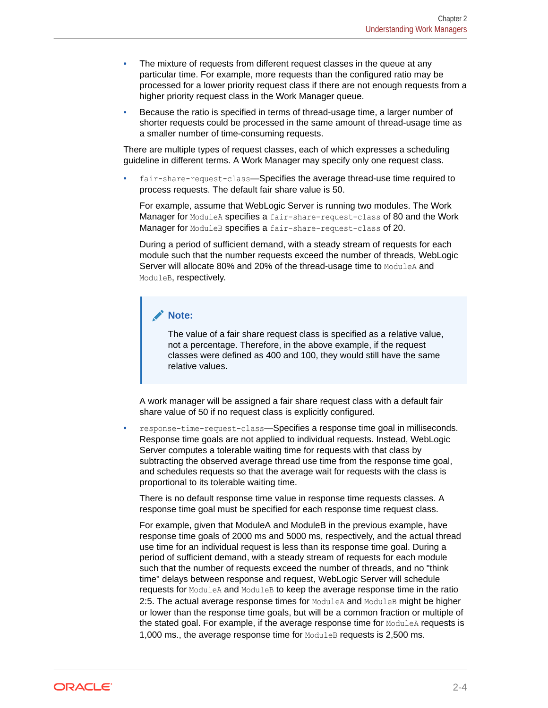- The mixture of requests from different request classes in the queue at any particular time. For example, more requests than the configured ratio may be processed for a lower priority request class if there are not enough requests from a higher priority request class in the Work Manager queue.
- Because the ratio is specified in terms of thread-usage time, a larger number of shorter requests could be processed in the same amount of thread-usage time as a smaller number of time-consuming requests.

There are multiple types of request classes, each of which expresses a scheduling guideline in different terms. A Work Manager may specify only one request class.

fair-share-request-class—Specifies the average thread-use time required to process requests. The default fair share value is 50.

For example, assume that WebLogic Server is running two modules. The Work Manager for ModuleA specifies a fair-share-request-class of 80 and the Work Manager for ModuleB specifies a fair-share-request-class of 20.

During a period of sufficient demand, with a steady stream of requests for each module such that the number requests exceed the number of threads, WebLogic Server will allocate 80% and 20% of the thread-usage time to ModuleA and ModuleB, respectively.

#### **Note:**

The value of a fair share request class is specified as a relative value, not a percentage. Therefore, in the above example, if the request classes were defined as 400 and 100, they would still have the same relative values.

A work manager will be assigned a fair share request class with a default fair share value of 50 if no request class is explicitly configured.

• response-time-request-class—Specifies a response time goal in milliseconds. Response time goals are not applied to individual requests. Instead, WebLogic Server computes a tolerable waiting time for requests with that class by subtracting the observed average thread use time from the response time goal, and schedules requests so that the average wait for requests with the class is proportional to its tolerable waiting time.

There is no default response time value in response time requests classes. A response time goal must be specified for each response time request class.

For example, given that ModuleA and ModuleB in the previous example, have response time goals of 2000 ms and 5000 ms, respectively, and the actual thread use time for an individual request is less than its response time goal. During a period of sufficient demand, with a steady stream of requests for each module such that the number of requests exceed the number of threads, and no "think time" delays between response and request, WebLogic Server will schedule requests for ModuleA and ModuleB to keep the average response time in the ratio 2:5. The actual average response times for ModuleA and ModuleB might be higher or lower than the response time goals, but will be a common fraction or multiple of the stated goal. For example, if the average response time for ModuleA requests is 1,000 ms., the average response time for ModuleB requests is 2,500 ms.

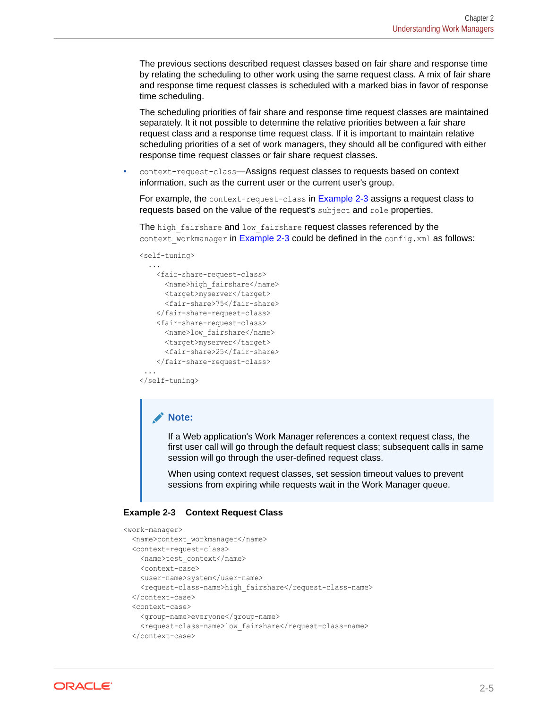<span id="page-15-0"></span>The previous sections described request classes based on fair share and response time by relating the scheduling to other work using the same request class. A mix of fair share and response time request classes is scheduled with a marked bias in favor of response time scheduling.

The scheduling priorities of fair share and response time request classes are maintained separately. It it not possible to determine the relative priorities between a fair share request class and a response time request class. If it is important to maintain relative scheduling priorities of a set of work managers, they should all be configured with either response time request classes or fair share request classes.

context-request-class-Assigns request classes to requests based on context information, such as the current user or the current user's group.

For example, the context-request-class in Example 2-3 assigns a request class to requests based on the value of the request's subject and role properties.

The high fairshare and low fairshare request classes referenced by the context workmanager in Example 2-3 could be defined in the config.xml as follows:

<self-tuning>

```
 ...
   <fair-share-request-class>
    <name>high fairshare</name>
     <target>myserver</target>
     <fair-share>75</fair-share>
   </fair-share-request-class>
   <fair-share-request-class>
     <name>low_fairshare</name>
     <target>myserver</target>
     <fair-share>25</fair-share>
   </fair-share-request-class>
 ...
```

```
</self-tuning>
```
#### **Note:**

If a Web application's Work Manager references a context request class, the first user call will go through the default request class; subsequent calls in same session will go through the user-defined request class.

When using context request classes, set session timeout values to prevent sessions from expiring while requests wait in the Work Manager queue.

#### **Example 2-3 Context Request Class**

```
<work-manager>
  <name>context_workmanager</name>
   <context-request-class>
   <name>test context</name>
    <context-case>
    <user-name>system</user-name>
    <request-class-name>high_fairshare</request-class-name> 
   </context-case>
   <context-case>
     <group-name>everyone</group-name>
    <request-class-name>low fairshare</request-class-name>
   </context-case>
```
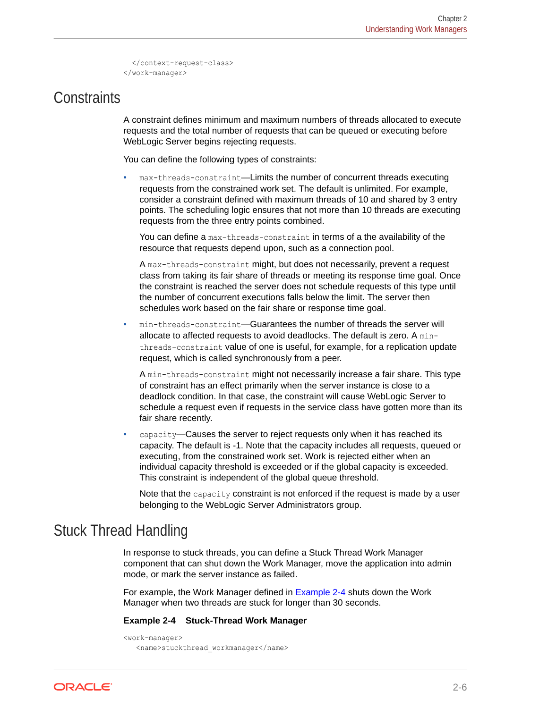```
 </context-request-class>
</work-manager>
```
### <span id="page-16-0"></span>**Constraints**

A constraint defines minimum and maximum numbers of threads allocated to execute requests and the total number of requests that can be queued or executing before WebLogic Server begins rejecting requests.

You can define the following types of constraints:

max-threads-constraint-Limits the number of concurrent threads executing requests from the constrained work set. The default is unlimited. For example, consider a constraint defined with maximum threads of 10 and shared by 3 entry points. The scheduling logic ensures that not more than 10 threads are executing requests from the three entry points combined.

You can define a max-threads-constraint in terms of a the availability of the resource that requests depend upon, such as a connection pool.

A max-threads-constraint might, but does not necessarily, prevent a request class from taking its fair share of threads or meeting its response time goal. Once the constraint is reached the server does not schedule requests of this type until the number of concurrent executions falls below the limit. The server then schedules work based on the fair share or response time goal.

min-threads-constraint-Guarantees the number of threads the server will allocate to affected requests to avoid deadlocks. The default is zero. A minthreads-constraint value of one is useful, for example, for a replication update request, which is called synchronously from a peer.

A min-threads-constraint might not necessarily increase a fair share. This type of constraint has an effect primarily when the server instance is close to a deadlock condition. In that case, the constraint will cause WebLogic Server to schedule a request even if requests in the service class have gotten more than its fair share recently.

capacity-Causes the server to reject requests only when it has reached its capacity. The default is -1. Note that the capacity includes all requests, queued or executing, from the constrained work set. Work is rejected either when an individual capacity threshold is exceeded or if the global capacity is exceeded. This constraint is independent of the global queue threshold.

Note that the capacity constraint is not enforced if the request is made by a user belonging to the WebLogic Server Administrators group.

### Stuck Thread Handling

In response to stuck threads, you can define a Stuck Thread Work Manager component that can shut down the Work Manager, move the application into admin mode, or mark the server instance as failed.

For example, the Work Manager defined in Example 2-4 shuts down the Work Manager when two threads are stuck for longer than 30 seconds.

#### **Example 2-4 Stuck-Thread Work Manager**

```
<work-manager>
    <name>stuckthread_workmanager</name>
```
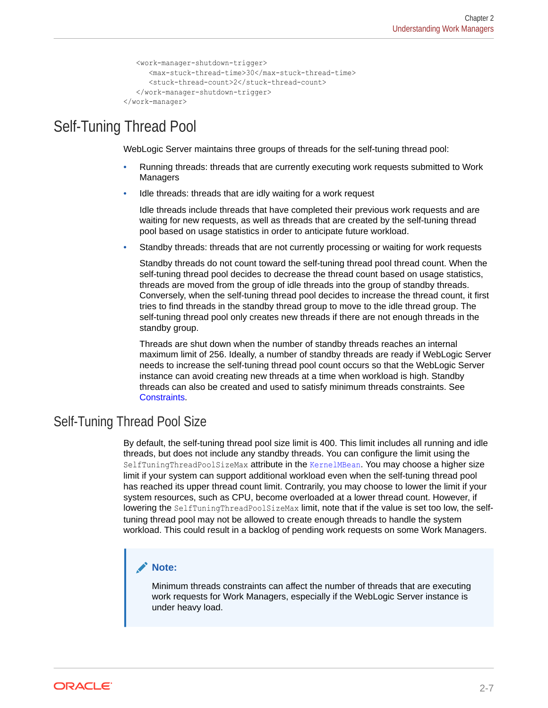```
 <work-manager-shutdown-trigger>
      <max-stuck-thread-time>30</max-stuck-thread-time>
      <stuck-thread-count>2</stuck-thread-count>
   </work-manager-shutdown-trigger>
</work-manager>
```
### <span id="page-17-0"></span>Self-Tuning Thread Pool

WebLogic Server maintains three groups of threads for the self-tuning thread pool:

- Running threads: threads that are currently executing work requests submitted to Work Managers
- Idle threads: threads that are idly waiting for a work request

Idle threads include threads that have completed their previous work requests and are waiting for new requests, as well as threads that are created by the self-tuning thread pool based on usage statistics in order to anticipate future workload.

• Standby threads: threads that are not currently processing or waiting for work requests

Standby threads do not count toward the self-tuning thread pool thread count. When the self-tuning thread pool decides to decrease the thread count based on usage statistics, threads are moved from the group of idle threads into the group of standby threads. Conversely, when the self-tuning thread pool decides to increase the thread count, it first tries to find threads in the standby thread group to move to the idle thread group. The self-tuning thread pool only creates new threads if there are not enough threads in the standby group.

Threads are shut down when the number of standby threads reaches an internal maximum limit of 256. Ideally, a number of standby threads are ready if WebLogic Server needs to increase the self-tuning thread pool count occurs so that the WebLogic Server instance can avoid creating new threads at a time when workload is high. Standby threads can also be created and used to satisfy minimum threads constraints. See [Constraints.](#page-16-0)

### Self-Tuning Thread Pool Size

By default, the self-tuning thread pool size limit is 400. This limit includes all running and idle threads, but does not include any standby threads. You can configure the limit using the SelfTuningThreadPoolSizeMax attribute in the KernelMBean. You may choose a higher size limit if your system can support additional workload even when the self-tuning thread pool has reached its upper thread count limit. Contrarily, you may choose to lower the limit if your system resources, such as CPU, become overloaded at a lower thread count. However, if lowering the SelfTuningThreadPoolSizeMax limit, note that if the value is set too low, the selftuning thread pool may not be allowed to create enough threads to handle the system workload. This could result in a backlog of pending work requests on some Work Managers.

#### **Note:**

Minimum threads constraints can affect the number of threads that are executing work requests for Work Managers, especially if the WebLogic Server instance is under heavy load.

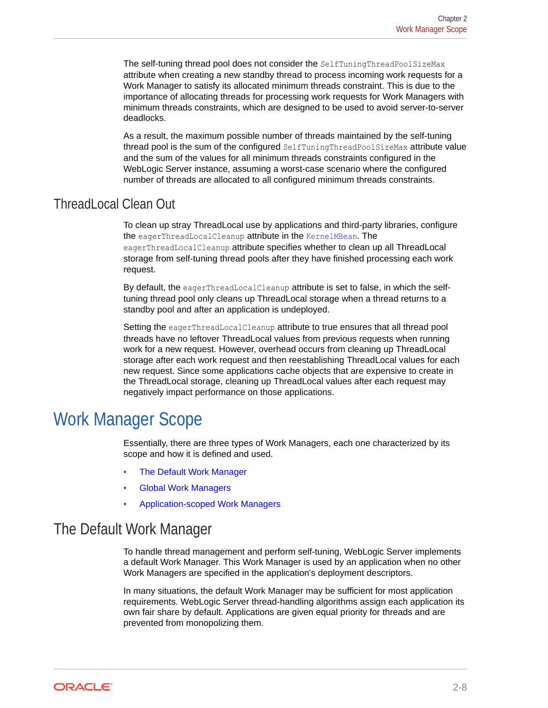<span id="page-18-0"></span>The self-tuning thread pool does not consider the SelfTuningThreadPoolSizeMax attribute when creating a new standby thread to process incoming work requests for a Work Manager to satisfy its allocated minimum threads constraint. This is due to the importance of allocating threads for processing work requests for Work Managers with minimum threads constraints, which are designed to be used to avoid server-to-server deadlocks.

As a result, the maximum possible number of threads maintained by the self-tuning thread pool is the sum of the configured SelfTuningThreadPoolSizeMax attribute value and the sum of the values for all minimum threads constraints configured in the WebLogic Server instance, assuming a worst-case scenario where the configured number of threads are allocated to all configured minimum threads constraints.

### ThreadLocal Clean Out

To clean up stray ThreadLocal use by applications and third-party libraries, configure the eagerThreadLocalCleanup attribute in the KernelMBean. The eagerThreadLocalCleanup attribute specifies whether to clean up all ThreadLocal storage from self-tuning thread pools after they have finished processing each work request.

By default, the eagerThreadLocalCleanup attribute is set to false, in which the selftuning thread pool only cleans up ThreadLocal storage when a thread returns to a standby pool and after an application is undeployed.

Setting the eagerThreadLocalCleanup attribute to true ensures that all thread pool threads have no leftover ThreadLocal values from previous requests when running work for a new request. However, overhead occurs from cleaning up ThreadLocal storage after each work request and then reestablishing ThreadLocal values for each new request. Since some applications cache objects that are expensive to create in the ThreadLocal storage, cleaning up ThreadLocal values after each request may negatively impact performance on those applications.

# Work Manager Scope

Essentially, there are three types of Work Managers, each one characterized by its scope and how it is defined and used.

- The Default Work Manager
- [Global Work Managers](#page-19-0)
- [Application-scoped Work Managers](#page-19-0)

### The Default Work Manager

To handle thread management and perform self-tuning, WebLogic Server implements a default Work Manager. This Work Manager is used by an application when no other Work Managers are specified in the application's deployment descriptors.

In many situations, the default Work Manager may be sufficient for most application requirements. WebLogic Server thread-handling algorithms assign each application its own fair share by default. Applications are given equal priority for threads and are prevented from monopolizing them.

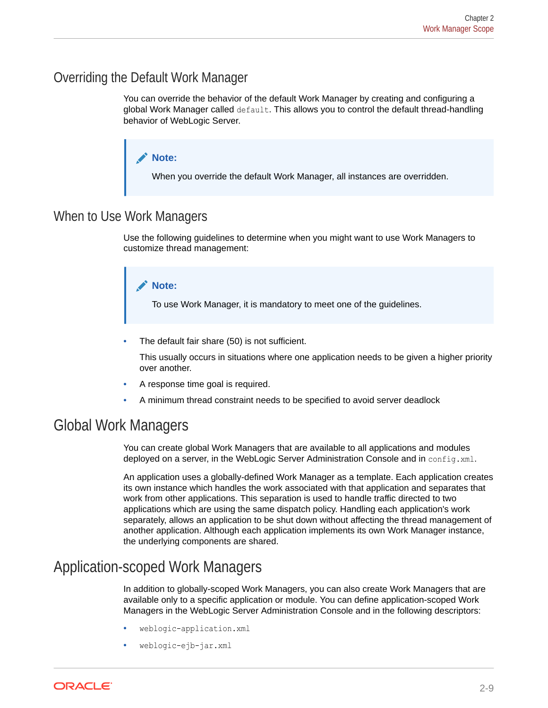### <span id="page-19-0"></span>Overriding the Default Work Manager

You can override the behavior of the default Work Manager by creating and configuring a global Work Manager called default. This allows you to control the default thread-handling behavior of WebLogic Server.



### When to Use Work Managers

Use the following guidelines to determine when you might want to use Work Managers to customize thread management:



The default fair share (50) is not sufficient.

This usually occurs in situations where one application needs to be given a higher priority over another.

- A response time goal is required.
- A minimum thread constraint needs to be specified to avoid server deadlock

### Global Work Managers

You can create global Work Managers that are available to all applications and modules deployed on a server, in the WebLogic Server Administration Console and in config.xml.

An application uses a globally-defined Work Manager as a template. Each application creates its own instance which handles the work associated with that application and separates that work from other applications. This separation is used to handle traffic directed to two applications which are using the same dispatch policy. Handling each application's work separately, allows an application to be shut down without affecting the thread management of another application. Although each application implements its own Work Manager instance, the underlying components are shared.

## Application-scoped Work Managers

In addition to globally-scoped Work Managers, you can also create Work Managers that are available only to a specific application or module. You can define application-scoped Work Managers in the WebLogic Server Administration Console and in the following descriptors:

- weblogic-application.xml
- weblogic-ejb-jar.xml

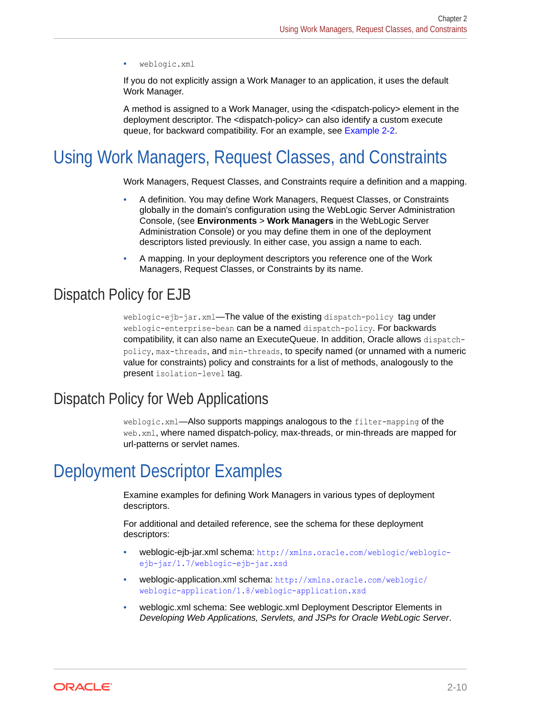<span id="page-20-0"></span>• weblogic.xml

If you do not explicitly assign a Work Manager to an application, it uses the default Work Manager.

A method is assigned to a Work Manager, using the <dispatch-policy> element in the deployment descriptor. The <dispatch-policy> can also identify a custom execute queue, for backward compatibility. For an example, see [Example 2-2](#page-13-0).

# Using Work Managers, Request Classes, and Constraints

Work Managers, Request Classes, and Constraints require a definition and a mapping.

- A definition. You may define Work Managers, Request Classes, or Constraints globally in the domain's configuration using the WebLogic Server Administration Console, (see **Environments** > **Work Managers** in the WebLogic Server Administration Console) or you may define them in one of the deployment descriptors listed previously. In either case, you assign a name to each.
- A mapping. In your deployment descriptors you reference one of the Work Managers, Request Classes, or Constraints by its name.

### Dispatch Policy for EJB

weblogic-ejb-jar.xml—The value of the existing dispatch-policy tag under weblogic-enterprise-bean can be a named dispatch-policy. For backwards compatibility, it can also name an ExecuteQueue. In addition, Oracle allows dispatchpolicy, max-threads, and min-threads, to specify named (or unnamed with a numeric value for constraints) policy and constraints for a list of methods, analogously to the present isolation-level tag.

### Dispatch Policy for Web Applications

weblogic.xml—Also supports mappings analogous to the filter-mapping of the web.xml, where named dispatch-policy, max-threads, or min-threads are mapped for url-patterns or servlet names.

# Deployment Descriptor Examples

Examine examples for defining Work Managers in various types of deployment descriptors.

For additional and detailed reference, see the schema for these deployment descriptors:

- weblogic-ejb-jar.xml schema: [http://xmlns.oracle.com/weblogic/weblogic](http://xmlns.oracle.com/weblogic/weblogic-ejb-jar/1.7/weblogic-ejb-jar.xsd)[ejb-jar/1.7/weblogic-ejb-jar.xsd](http://xmlns.oracle.com/weblogic/weblogic-ejb-jar/1.7/weblogic-ejb-jar.xsd)
- weblogic-application.xml schema: [http://xmlns.oracle.com/weblogic/](http://xmlns.oracle.com/weblogic/weblogic-application/1.8/weblogic-application.xsd) [weblogic-application/1.8/weblogic-application.xsd](http://xmlns.oracle.com/weblogic/weblogic-application/1.8/weblogic-application.xsd)
- weblogic.xml schema: See weblogic.xml Deployment Descriptor Elements in *Developing Web Applications, Servlets, and JSPs for Oracle WebLogic Server*.

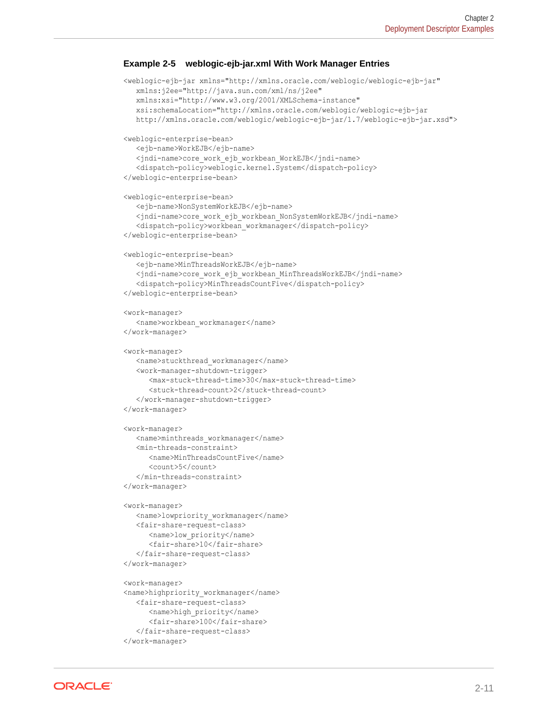#### **Example 2-5 weblogic-ejb-jar.xml With Work Manager Entries**

```
<weblogic-ejb-jar xmlns="http://xmlns.oracle.com/weblogic/weblogic-ejb-jar"
   xmlns:j2ee="http://java.sun.com/xml/ns/j2ee"
   xmlns:xsi="http://www.w3.org/2001/XMLSchema-instance"
   xsi:schemaLocation="http://xmlns.oracle.com/weblogic/weblogic-ejb-jar
   http://xmlns.oracle.com/weblogic/weblogic-ejb-jar/1.7/weblogic-ejb-jar.xsd">
<weblogic-enterprise-bean>
    <ejb-name>WorkEJB</ejb-name> 
    <jndi-name>core_work_ejb_workbean_WorkEJB</jndi-name> 
    <dispatch-policy>weblogic.kernel.System</dispatch-policy> 
</weblogic-enterprise-bean>
<weblogic-enterprise-bean>
    <ejb-name>NonSystemWorkEJB</ejb-name> 
    <jndi-name>core_work_ejb_workbean_NonSystemWorkEJB</jndi-name>
    <dispatch-policy>workbean_workmanager</dispatch-policy> 
</weblogic-enterprise-bean>
<weblogic-enterprise-bean>
    <ejb-name>MinThreadsWorkEJB</ejb-name> 
    <jndi-name>core_work_ejb_workbean_MinThreadsWorkEJB</jndi-name>
    <dispatch-policy>MinThreadsCountFive</dispatch-policy> 
</weblogic-enterprise-bean>
<work-manager>
  <name>workbean_workmanager</name>
</work-manager>
<work-manager>
  <name>stuckthread workmanager</name>
   <work-manager-shutdown-trigger>
      <max-stuck-thread-time>30</max-stuck-thread-time>
       <stuck-thread-count>2</stuck-thread-count>
    </work-manager-shutdown-trigger>
</work-manager>
<work-manager>
   <name>minthreads_workmanager</name>
    <min-threads-constraint>
      <name>MinThreadsCountFive</name>
       <count>5</count>
    </min-threads-constraint>
</work-manager>
<work-manager>
   <name>lowpriority_workmanager</name> 
   <fair-share-request-class>
      <name>low_priority</name>
       <fair-share>10</fair-share> 
    </fair-share-request-class>
</work-manager>
<work-manager>
<name>highpriority_workmanager</name>
    <fair-share-request-class>
       <name>high_priority</name> 
       <fair-share>100</fair-share> 
    </fair-share-request-class>
</work-manager>
```
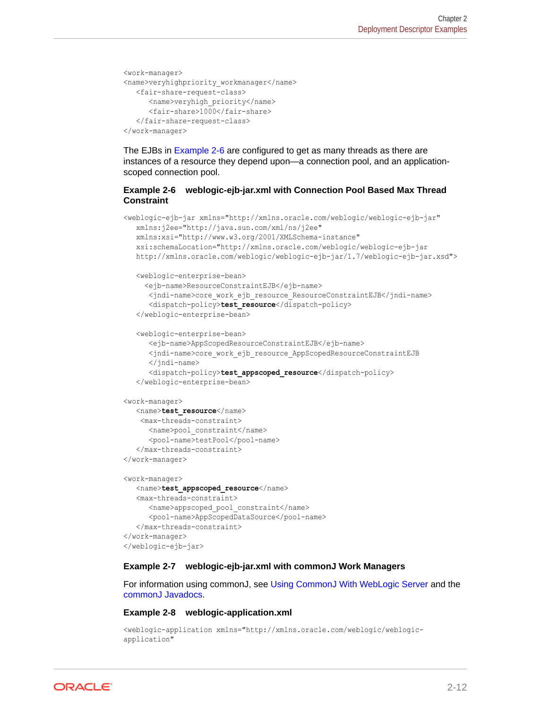```
<work-manager>
<name>veryhighpriority_workmanager</name>
    <fair-share-request-class>
       <name>veryhigh_priority</name> 
       <fair-share>1000</fair-share> 
    </fair-share-request-class>
</work-manager>
```
The EJBs in Example 2-6 are configured to get as many threads as there are instances of a resource they depend upon—a connection pool, and an applicationscoped connection pool.

#### **Example 2-6 weblogic-ejb-jar.xml with Connection Pool Based Max Thread Constraint**

```
<weblogic-ejb-jar xmlns="http://xmlns.oracle.com/weblogic/weblogic-ejb-jar"
   xmlns:j2ee="http://java.sun.com/xml/ns/j2ee"
   xmlns:xsi="http://www.w3.org/2001/XMLSchema-instance"
   xsi:schemaLocation="http://xmlns.oracle.com/weblogic/weblogic-ejb-jar
   http://xmlns.oracle.com/weblogic/weblogic-ejb-jar/1.7/weblogic-ejb-jar.xsd">
    <weblogic-enterprise-bean>
      <ejb-name>ResourceConstraintEJB</ejb-name> 
       <jndi-name>core_work_ejb_resource_ResourceConstraintEJB</jndi-name> 
       <dispatch-policy>test_resource</dispatch-policy> 
    </weblogic-enterprise-bean>
    <weblogic-enterprise-bean>
       <ejb-name>AppScopedResourceConstraintEJB</ejb-name> 
       <jndi-name>core_work_ejb_resource_AppScopedResourceConstraintEJB
       </jndi-name>
       <dispatch-policy>test_appscoped_resource</dispatch-policy> 
    </weblogic-enterprise-bean>
<work-manager>
    <name>test_resource</name>
     <max-threads-constraint>
      <name>pool_constraint</name>
      <pool-name>testPool</pool-name>
    </max-threads-constraint>
</work-manager>
<work-manager>
   <name>test_appscoped_resource</name>
   <max-threads-constraint>
      <name>appscoped_pool_constraint</name>
       <pool-name>AppScopedDataSource</pool-name>
    </max-threads-constraint>
</work-manager>
</weblogic-ejb-jar>
```
#### **Example 2-7 weblogic-ejb-jar.xml with commonJ Work Managers**

For information using commonJ, see [Using CommonJ With WebLogic Server](#page-25-0) and the commonJ Javadocs.

#### **Example 2-8 weblogic-application.xml**

```
<weblogic-application xmlns="http://xmlns.oracle.com/weblogic/weblogic-
application"
```
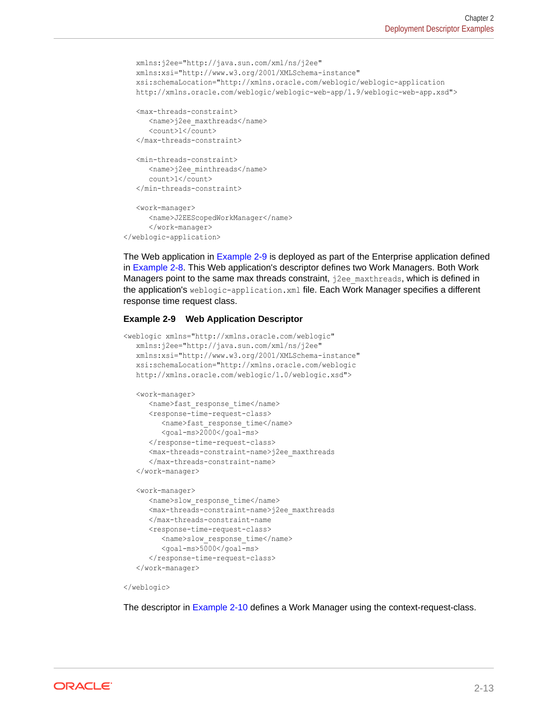```
 xmlns:j2ee="http://java.sun.com/xml/ns/j2ee"
   xmlns:xsi="http://www.w3.org/2001/XMLSchema-instance"
   xsi:schemaLocation="http://xmlns.oracle.com/weblogic/weblogic-application
   http://xmlns.oracle.com/weblogic/weblogic-web-app/1.9/weblogic-web-app.xsd">
    <max-threads-constraint>
      <name>j2ee_maxthreads</name> 
       <count>1</count> 
    </max-threads-constraint>
    <min-threads-constraint>
      <name>j2ee_minthreads</name> 
       count>1</count> 
    </min-threads-constraint>
    <work-manager>
      <name>J2EEScopedWorkManager</name> 
       </work-manager>
</weblogic-application>
```
The Web application in Example 2-9 is deployed as part of the Enterprise application defined in [Example 2-8.](#page-22-0) This Web application's descriptor defines two Work Managers. Both Work Managers point to the same max threads constraint,  $j2ee$  maxthreads, which is defined in the application's weblogic-application.xml file. Each Work Manager specifies a different response time request class.

#### **Example 2-9 Web Application Descriptor**

```
<weblogic xmlns="http://xmlns.oracle.com/weblogic"
    xmlns:j2ee="http://java.sun.com/xml/ns/j2ee"
    xmlns:xsi="http://www.w3.org/2001/XMLSchema-instance"
    xsi:schemaLocation="http://xmlns.oracle.com/weblogic
    http://xmlns.oracle.com/weblogic/1.0/weblogic.xsd">
    <work-manager>
       <name>fast_response_time</name> 
       <response-time-request-class>
          <name>fast_response_time</name> 
          <goal-ms>2000</goal-ms> 
      </response-time-request-class>
       <max-threads-constraint-name>j2ee_maxthreads
       </max-threads-constraint-name>
    </work-manager>
    <work-manager>
       <name>slow_response_time</name> 
       <max-threads-constraint-name>j2ee_maxthreads
       </max-threads-constraint-name
       <response-time-request-class>
          <name>slow_response_time</name> 
          <goal-ms>5000</goal-ms> 
      </response-time-request-class>
    </work-manager>
```
#### </weblogic>

The descriptor in [Example 2-10](#page-24-0) defines a Work Manager using the context-request-class.

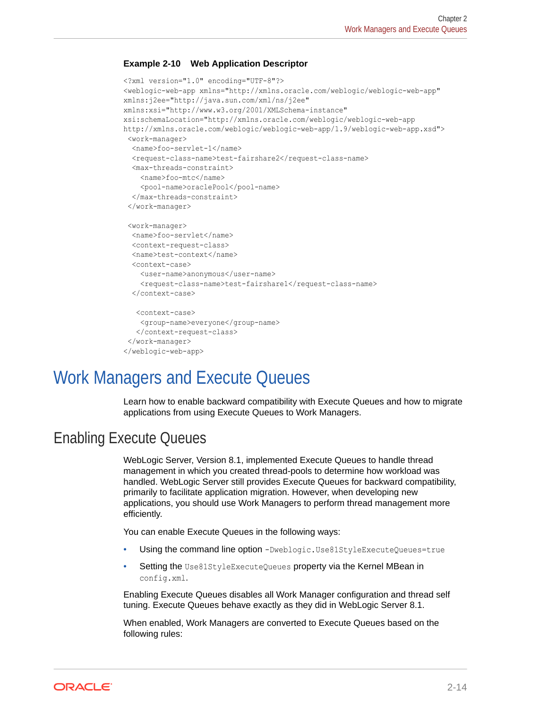#### <span id="page-24-0"></span>**Example 2-10 Web Application Descriptor**

```
<?xml version="1.0" encoding="UTF-8"?>
<weblogic-web-app xmlns="http://xmlns.oracle.com/weblogic/weblogic-web-app"
xmlns:j2ee="http://java.sun.com/xml/ns/j2ee"
xmlns:xsi="http://www.w3.org/2001/XMLSchema-instance"
xsi:schemaLocation="http://xmlns.oracle.com/weblogic/weblogic-web-app
http://xmlns.oracle.com/weblogic/weblogic-web-app/1.9/weblogic-web-app.xsd">
 <work-manager>
   <name>foo-servlet-1</name>
  <request-class-name>test-fairshare2</request-class-name>
   <max-threads-constraint>
     <name>foo-mtc</name>
     <pool-name>oraclePool</pool-name>
   </max-threads-constraint>
  </work-manager>
  <work-manager>
   <name>foo-servlet</name>
   <context-request-class>
   <name>test-context</name>
   <context-case>
     <user-name>anonymous</user-name>
    <request-class-name>test-fairshare1</request-class-name>
   </context-case>
    <context-case>
     <group-name>everyone</group-name>
    </context-request-class>
  </work-manager>
</weblogic-web-app>
```
# Work Managers and Execute Queues

Learn how to enable backward compatibility with Execute Queues and how to migrate applications from using Execute Queues to Work Managers.

### Enabling Execute Queues

WebLogic Server, Version 8.1, implemented Execute Queues to handle thread management in which you created thread-pools to determine how workload was handled. WebLogic Server still provides Execute Queues for backward compatibility, primarily to facilitate application migration. However, when developing new applications, you should use Work Managers to perform thread management more efficiently.

You can enable Execute Queues in the following ways:

- Using the command line option -Dweblogic.Use81StyleExecuteQueues=true
- Setting the Use81StyleExecuteQueues property via the Kernel MBean in config.xml.

Enabling Execute Queues disables all Work Manager configuration and thread self tuning. Execute Queues behave exactly as they did in WebLogic Server 8.1.

When enabled, Work Managers are converted to Execute Queues based on the following rules:

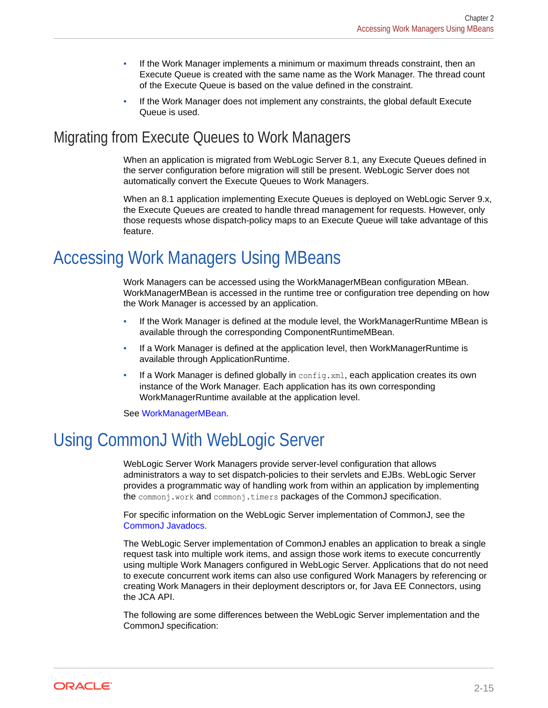- <span id="page-25-0"></span>• If the Work Manager implements a minimum or maximum threads constraint, then an Execute Queue is created with the same name as the Work Manager. The thread count of the Execute Queue is based on the value defined in the constraint.
- If the Work Manager does not implement any constraints, the global default Execute Queue is used.

### Migrating from Execute Queues to Work Managers

When an application is migrated from WebLogic Server 8.1, any Execute Queues defined in the server configuration before migration will still be present. WebLogic Server does not automatically convert the Execute Queues to Work Managers.

When an 8.1 application implementing Execute Queues is deployed on WebLogic Server 9.x, the Execute Queues are created to handle thread management for requests. However, only those requests whose dispatch-policy maps to an Execute Queue will take advantage of this feature.

# Accessing Work Managers Using MBeans

Work Managers can be accessed using the WorkManagerMBean configuration MBean. WorkManagerMBean is accessed in the runtime tree or configuration tree depending on how the Work Manager is accessed by an application.

- If the Work Manager is defined at the module level, the WorkManagerRuntime MBean is available through the corresponding ComponentRuntimeMBean.
- If a Work Manager is defined at the application level, then WorkManagerRuntime is available through ApplicationRuntime.
- If a Work Manager is defined globally in  $\text{config.xml}$ , each application creates its own instance of the Work Manager. Each application has its own corresponding WorkManagerRuntime available at the application level.

See WorkManagerMBean.

# Using CommonJ With WebLogic Server

WebLogic Server Work Managers provide server-level configuration that allows administrators a way to set dispatch-policies to their servlets and EJBs. WebLogic Server provides a programmatic way of handling work from within an application by implementing the commonj.work and commonj.timers packages of the CommonJ specification.

For specific information on the WebLogic Server implementation of CommonJ, see the CommonJ Javadocs.

The WebLogic Server implementation of CommonJ enables an application to break a single request task into multiple work items, and assign those work items to execute concurrently using multiple Work Managers configured in WebLogic Server. Applications that do not need to execute concurrent work items can also use configured Work Managers by referencing or creating Work Managers in their deployment descriptors or, for Java EE Connectors, using the JCA API.

The following are some differences between the WebLogic Server implementation and the CommonJ specification:

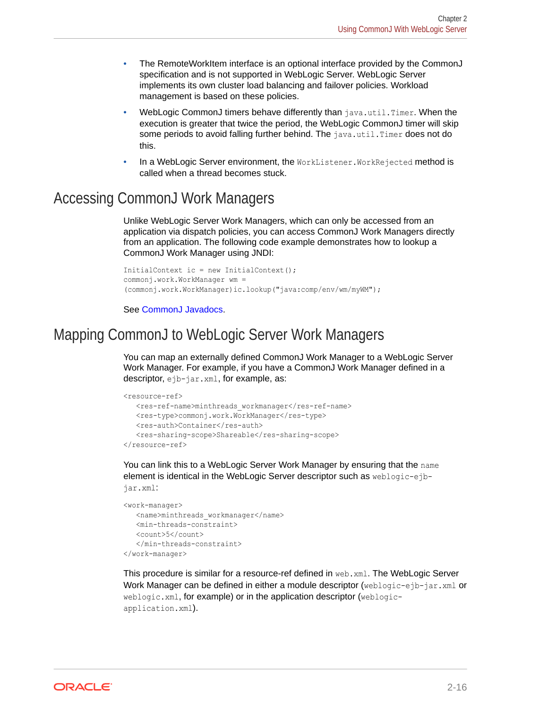- <span id="page-26-0"></span>• The RemoteWorkItem interface is an optional interface provided by the CommonJ specification and is not supported in WebLogic Server. WebLogic Server implements its own cluster load balancing and failover policies. Workload management is based on these policies.
- WebLogic CommonJ timers behave differently than java.util.Timer. When the execution is greater that twice the period, the WebLogic CommonJ timer will skip some periods to avoid falling further behind. The  $\frac{1}{1}$ ava.util.Timer does not do this.
- In a WebLogic Server environment, the WorkListener. WorkRejected method is called when a thread becomes stuck.

## Accessing CommonJ Work Managers

Unlike WebLogic Server Work Managers, which can only be accessed from an application via dispatch policies, you can access CommonJ Work Managers directly from an application. The following code example demonstrates how to lookup a CommonJ Work Manager using JNDI:

```
InitialContext ic = new InitialContext();
commonj.work.WorkManager wm = 
(commonj.work.WorkManager)ic.lookup("java:comp/env/wm/myWM");
```
See CommonJ Javadocs.

### Mapping CommonJ to WebLogic Server Work Managers

You can map an externally defined CommonJ Work Manager to a WebLogic Server Work Manager. For example, if you have a CommonJ Work Manager defined in a descriptor, ejb-jar.xml, for example, as:

```
<resource-ref>
   <res-ref-name>minthreads workmanager</res-ref-name>
  <res-type>commonj.work.WorkManager</res-type>
    <res-auth>Container</res-auth>
    <res-sharing-scope>Shareable</res-sharing-scope>
</resource-ref>
```
You can link this to a WebLogic Server Work Manager by ensuring that the name element is identical in the WebLogic Server descriptor such as weblogic-ejbjar.xml:

```
<work-manager>
    <name>minthreads_workmanager</name>
    <min-threads-constraint>
    <count>5</count>
    </min-threads-constraint>
</work-manager>
```
This procedure is similar for a resource-ref defined in web.xml. The WebLogic Server Work Manager can be defined in either a module descriptor (weblogic-ejb-jar.xml or weblogic.xml, for example) or in the application descriptor (weblogicapplication.xml).

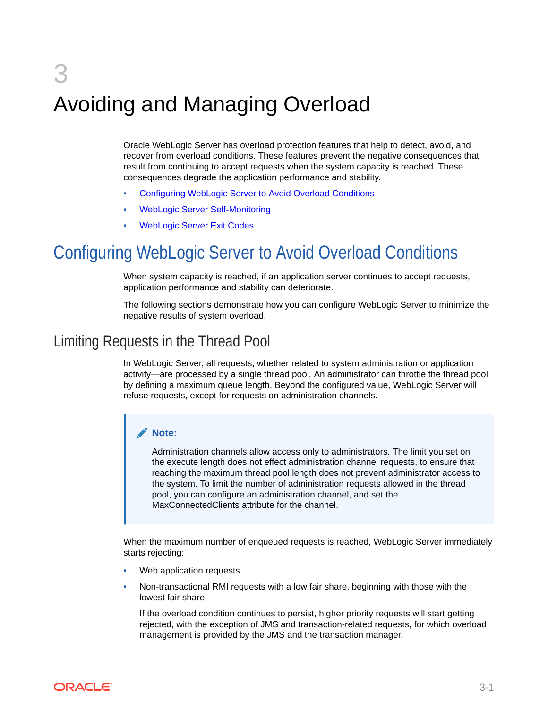# <span id="page-27-0"></span>3 Avoiding and Managing Overload

Oracle WebLogic Server has overload protection features that help to detect, avoid, and recover from overload conditions. These features prevent the negative consequences that result from continuing to accept requests when the system capacity is reached. These consequences degrade the application performance and stability.

- Configuring WebLogic Server to Avoid Overload Conditions
- [WebLogic Server Self-Monitoring](#page-29-0)
- [WebLogic Server Exit Codes](#page-29-0)

# Configuring WebLogic Server to Avoid Overload Conditions

When system capacity is reached, if an application server continues to accept requests, application performance and stability can deteriorate.

The following sections demonstrate how you can configure WebLogic Server to minimize the negative results of system overload.

### Limiting Requests in the Thread Pool

In WebLogic Server, all requests, whether related to system administration or application activity—are processed by a single thread pool. An administrator can throttle the thread pool by defining a maximum queue length. Beyond the configured value, WebLogic Server will refuse requests, except for requests on administration channels.

#### **Note:**

Administration channels allow access only to administrators. The limit you set on the execute length does not effect administration channel requests, to ensure that reaching the maximum thread pool length does not prevent administrator access to the system. To limit the number of administration requests allowed in the thread pool, you can configure an administration channel, and set the MaxConnectedClients attribute for the channel.

When the maximum number of enqueued requests is reached, WebLogic Server immediately starts rejecting:

- Web application requests.
- Non-transactional RMI requests with a low fair share, beginning with those with the lowest fair share.

If the overload condition continues to persist, higher priority requests will start getting rejected, with the exception of JMS and transaction-related requests, for which overload management is provided by the JMS and the transaction manager.

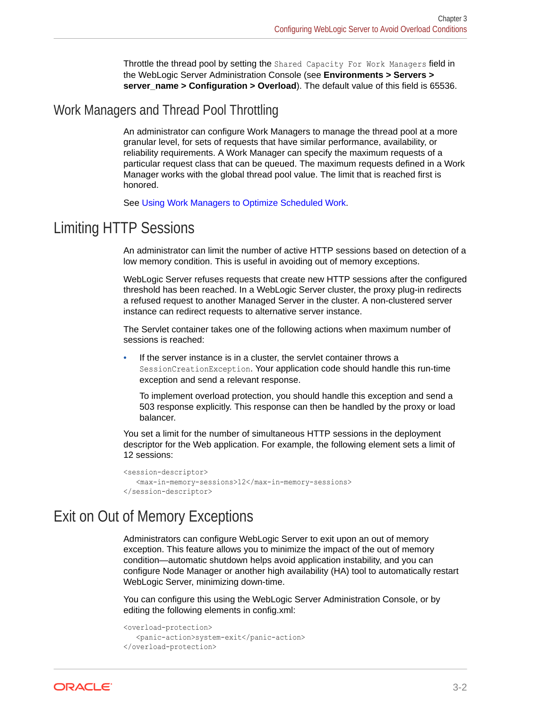Throttle the thread pool by setting the Shared Capacity For Work Managers field in the WebLogic Server Administration Console (see **Environments > Servers > server** name > Configuration > Overload). The default value of this field is 65536.

### <span id="page-28-0"></span>Work Managers and Thread Pool Throttling

An administrator can configure Work Managers to manage the thread pool at a more granular level, for sets of requests that have similar performance, availability, or reliability requirements. A Work Manager can specify the maximum requests of a particular request class that can be queued. The maximum requests defined in a Work Manager works with the global thread pool value. The limit that is reached first is honored.

See [Using Work Managers to Optimize Scheduled Work.](#page-11-0)

### Limiting HTTP Sessions

An administrator can limit the number of active HTTP sessions based on detection of a low memory condition. This is useful in avoiding out of memory exceptions.

WebLogic Server refuses requests that create new HTTP sessions after the configured threshold has been reached. In a WebLogic Server cluster, the proxy plug-in redirects a refused request to another Managed Server in the cluster. A non-clustered server instance can redirect requests to alternative server instance.

The Servlet container takes one of the following actions when maximum number of sessions is reached:

If the server instance is in a cluster, the servlet container throws a SessionCreationException. Your application code should handle this run-time exception and send a relevant response.

To implement overload protection, you should handle this exception and send a 503 response explicitly. This response can then be handled by the proxy or load balancer.

You set a limit for the number of simultaneous HTTP sessions in the deployment descriptor for the Web application. For example, the following element sets a limit of 12 sessions:

```
<session-descriptor>
    <max-in-memory-sessions>12</max-in-memory-sessions>
</session-descriptor>
```
### Exit on Out of Memory Exceptions

Administrators can configure WebLogic Server to exit upon an out of memory exception. This feature allows you to minimize the impact of the out of memory condition—automatic shutdown helps avoid application instability, and you can configure Node Manager or another high availability (HA) tool to automatically restart WebLogic Server, minimizing down-time.

You can configure this using the WebLogic Server Administration Console, or by editing the following elements in config.xml:

```
<overload-protection>
    <panic-action>system-exit</panic-action>
</overload-protection>
```
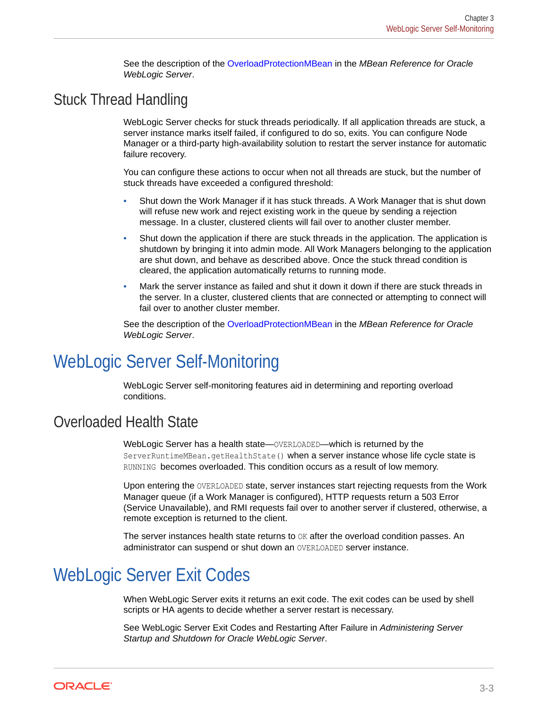See the description of the OverloadProtectionMBean in the *MBean Reference for Oracle WebLogic Server*.

### <span id="page-29-0"></span>Stuck Thread Handling

WebLogic Server checks for stuck threads periodically. If all application threads are stuck, a server instance marks itself failed, if configured to do so, exits. You can configure Node Manager or a third-party high-availability solution to restart the server instance for automatic failure recovery.

You can configure these actions to occur when not all threads are stuck, but the number of stuck threads have exceeded a configured threshold:

- Shut down the Work Manager if it has stuck threads. A Work Manager that is shut down will refuse new work and reject existing work in the queue by sending a rejection message. In a cluster, clustered clients will fail over to another cluster member.
- Shut down the application if there are stuck threads in the application. The application is shutdown by bringing it into admin mode. All Work Managers belonging to the application are shut down, and behave as described above. Once the stuck thread condition is cleared, the application automatically returns to running mode.
- Mark the server instance as failed and shut it down it down if there are stuck threads in the server. In a cluster, clustered clients that are connected or attempting to connect will fail over to another cluster member.

See the description of the OverloadProtectionMBean in the *MBean Reference for Oracle WebLogic Server*.

# WebLogic Server Self-Monitoring

WebLogic Server self-monitoring features aid in determining and reporting overload conditions.

### Overloaded Health State

WebLogic Server has a health state—OVERLOADED—which is returned by the ServerRuntimeMBean.getHealthState() when a server instance whose life cycle state is RUNNING becomes overloaded. This condition occurs as a result of low memory.

Upon entering the OVERLOADED state, server instances start rejecting requests from the Work Manager queue (if a Work Manager is configured), HTTP requests return a 503 Error (Service Unavailable), and RMI requests fail over to another server if clustered, otherwise, a remote exception is returned to the client.

The server instances health state returns to  $OK$  after the overload condition passes. An administrator can suspend or shut down an OVERLOADED server instance.

# WebLogic Server Exit Codes

When WebLogic Server exits it returns an exit code. The exit codes can be used by shell scripts or HA agents to decide whether a server restart is necessary.

See WebLogic Server Exit Codes and Restarting After Failure in *Administering Server Startup and Shutdown for Oracle WebLogic Server*.

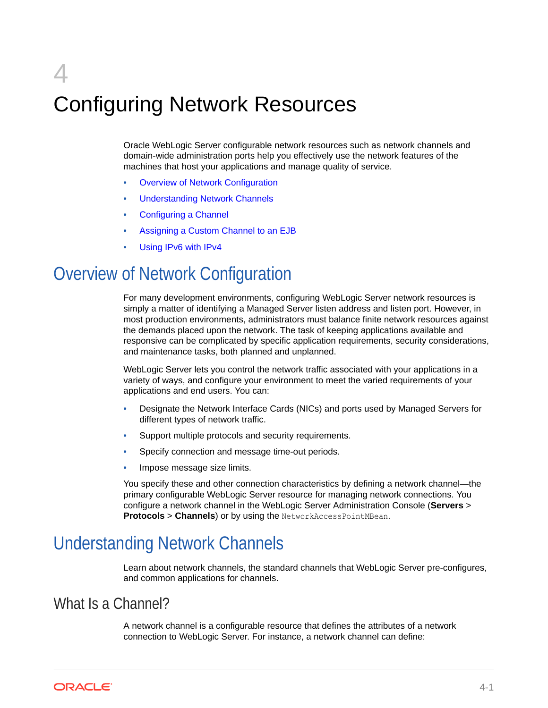# <span id="page-30-0"></span>4 Configuring Network Resources

Oracle WebLogic Server configurable network resources such as network channels and domain-wide administration ports help you effectively use the network features of the machines that host your applications and manage quality of service.

- **Overview of Network Configuration**
- Understanding Network Channels
- [Configuring a Channel](#page-37-0)
- [Assigning a Custom Channel to an EJB](#page-40-0)
- [Using IPv6 with IPv4](#page-40-0)

# Overview of Network Configuration

For many development environments, configuring WebLogic Server network resources is simply a matter of identifying a Managed Server listen address and listen port. However, in most production environments, administrators must balance finite network resources against the demands placed upon the network. The task of keeping applications available and responsive can be complicated by specific application requirements, security considerations, and maintenance tasks, both planned and unplanned.

WebLogic Server lets you control the network traffic associated with your applications in a variety of ways, and configure your environment to meet the varied requirements of your applications and end users. You can:

- Designate the Network Interface Cards (NICs) and ports used by Managed Servers for different types of network traffic.
- Support multiple protocols and security requirements.
- Specify connection and message time-out periods.
- Impose message size limits.

You specify these and other connection characteristics by defining a network channel—the primary configurable WebLogic Server resource for managing network connections. You configure a network channel in the WebLogic Server Administration Console (**Servers** > **Protocols** > **Channels**) or by using the NetworkAccessPointMBean.

# Understanding Network Channels

Learn about network channels, the standard channels that WebLogic Server pre-configures, and common applications for channels.

### What Is a Channel?

A network channel is a configurable resource that defines the attributes of a network connection to WebLogic Server. For instance, a network channel can define:

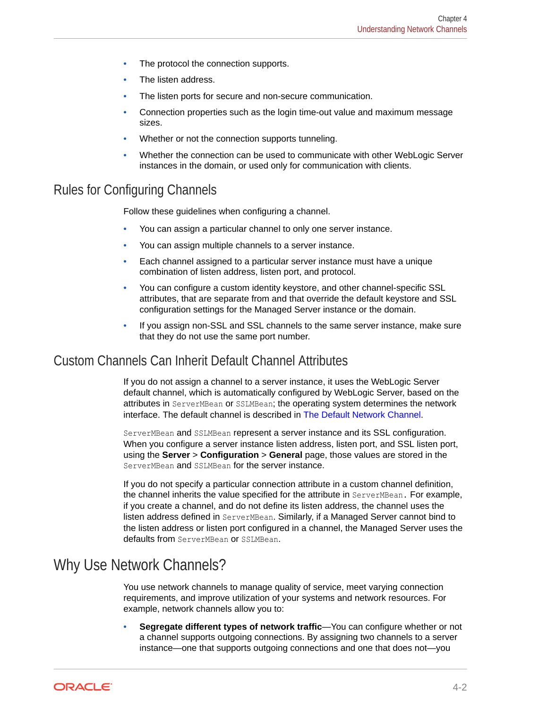- <span id="page-31-0"></span>The protocol the connection supports.
- The listen address.
- The listen ports for secure and non-secure communication.
- Connection properties such as the login time-out value and maximum message sizes.
- Whether or not the connection supports tunneling.
- Whether the connection can be used to communicate with other WebLogic Server instances in the domain, or used only for communication with clients.

### Rules for Configuring Channels

Follow these guidelines when configuring a channel.

- You can assign a particular channel to only one server instance.
- You can assign multiple channels to a server instance.
- Each channel assigned to a particular server instance must have a unique combination of listen address, listen port, and protocol.
- You can configure a custom identity keystore, and other channel-specific SSL attributes, that are separate from and that override the default keystore and SSL configuration settings for the Managed Server instance or the domain.
- If you assign non-SSL and SSL channels to the same server instance, make sure that they do not use the same port number.

### Custom Channels Can Inherit Default Channel Attributes

If you do not assign a channel to a server instance, it uses the WebLogic Server default channel, which is automatically configured by WebLogic Server, based on the attributes in ServerMBean or SSLMBean; the operating system determines the network interface. The default channel is described in [The Default Network Channel](#page-33-0).

ServerMBean and SSLMBean represent a server instance and its SSL configuration. When you configure a server instance listen address, listen port, and SSL listen port, using the **Server** > **Configuration** > **General** page, those values are stored in the ServerMBean and SSLMBean for the server instance.

If you do not specify a particular connection attribute in a custom channel definition, the channel inherits the value specified for the attribute in ServerMBean. For example, if you create a channel, and do not define its listen address, the channel uses the listen address defined in ServerMBean. Similarly, if a Managed Server cannot bind to the listen address or listen port configured in a channel, the Managed Server uses the defaults from ServerMBean or SSLMBean.

### Why Use Network Channels?

You use network channels to manage quality of service, meet varying connection requirements, and improve utilization of your systems and network resources. For example, network channels allow you to:

• **Segregate different types of network traffic**—You can configure whether or not a channel supports outgoing connections. By assigning two channels to a server instance—one that supports outgoing connections and one that does not—you

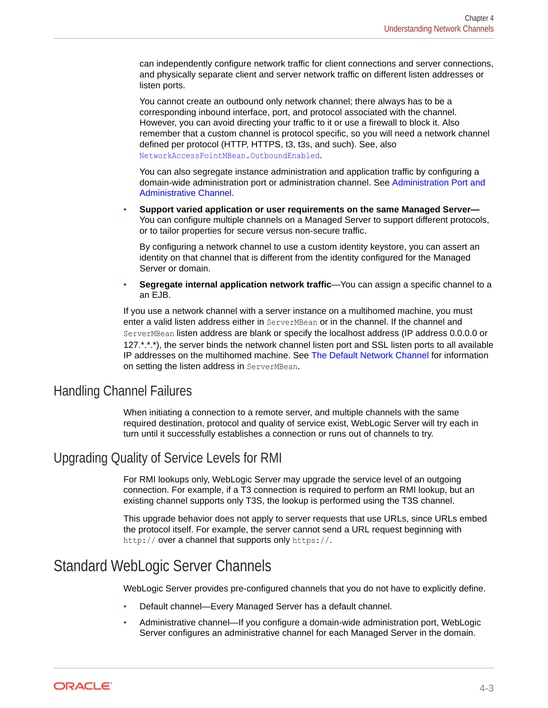<span id="page-32-0"></span>can independently configure network traffic for client connections and server connections, and physically separate client and server network traffic on different listen addresses or listen ports.

You cannot create an outbound only network channel; there always has to be a corresponding inbound interface, port, and protocol associated with the channel. However, you can avoid directing your traffic to it or use a firewall to block it. Also remember that a custom channel is protocol specific, so you will need a network channel defined per protocol (HTTP, HTTPS, t3, t3s, and such). See, also NetworkAccessPointMBean.OutboundEnabled.

You can also segregate instance administration and application traffic by configuring a domain-wide administration port or administration channel. See [Administration Port and](#page-33-0) [Administrative Channel.](#page-33-0)

• **Support varied application or user requirements on the same Managed Server—** You can configure multiple channels on a Managed Server to support different protocols, or to tailor properties for secure versus non-secure traffic.

By configuring a network channel to use a custom identity keystore, you can assert an identity on that channel that is different from the identity configured for the Managed Server or domain.

• **Segregate internal application network traffic**—You can assign a specific channel to a an EJB.

If you use a network channel with a server instance on a multihomed machine, you must enter a valid listen address either in ServerMBean or in the channel. If the channel and ServerMBean listen address are blank or specify the localhost address (IP address 0.0.0.0 or 127.\*.\*.\*), the server binds the network channel listen port and SSL listen ports to all available IP addresses on the multihomed machine. See [The Default Network Channel](#page-33-0) for information on setting the listen address in ServerMBean.

### Handling Channel Failures

When initiating a connection to a remote server, and multiple channels with the same required destination, protocol and quality of service exist, WebLogic Server will try each in turn until it successfully establishes a connection or runs out of channels to try.

### Upgrading Quality of Service Levels for RMI

For RMI lookups only, WebLogic Server may upgrade the service level of an outgoing connection. For example, if a T3 connection is required to perform an RMI lookup, but an existing channel supports only T3S, the lookup is performed using the T3S channel.

This upgrade behavior does not apply to server requests that use URLs, since URLs embed the protocol itself. For example, the server cannot send a URL request beginning with http:// over a channel that supports only https://.

### Standard WebLogic Server Channels

WebLogic Server provides pre-configured channels that you do not have to explicitly define.

- Default channel—Every Managed Server has a default channel.
- Administrative channel—If you configure a domain-wide administration port, WebLogic Server configures an administrative channel for each Managed Server in the domain.

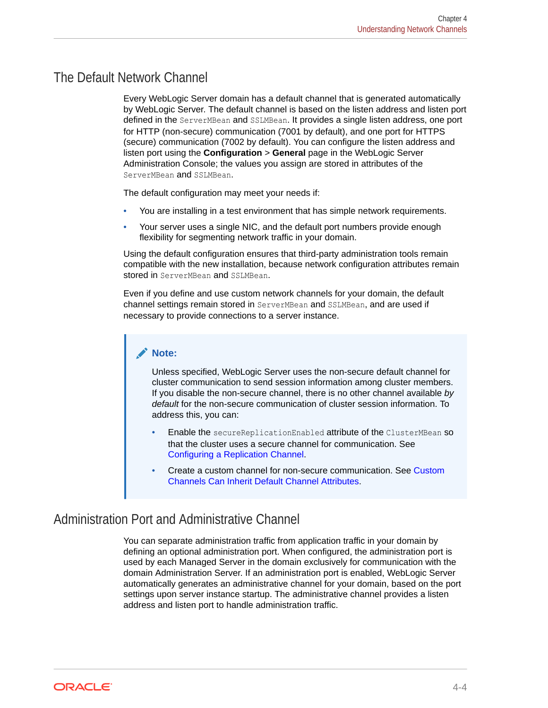### <span id="page-33-0"></span>The Default Network Channel

Every WebLogic Server domain has a default channel that is generated automatically by WebLogic Server. The default channel is based on the listen address and listen port defined in the ServerMBean and SSLMBean. It provides a single listen address, one port for HTTP (non-secure) communication (7001 by default), and one port for HTTPS (secure) communication (7002 by default). You can configure the listen address and listen port using the **Configuration** > **General** page in the WebLogic Server Administration Console; the values you assign are stored in attributes of the ServerMBean and SSLMBean.

The default configuration may meet your needs if:

- You are installing in a test environment that has simple network requirements.
- Your server uses a single NIC, and the default port numbers provide enough flexibility for segmenting network traffic in your domain.

Using the default configuration ensures that third-party administration tools remain compatible with the new installation, because network configuration attributes remain stored in ServerMBean and SSLMBean.

Even if you define and use custom network channels for your domain, the default channel settings remain stored in ServerMBean and SSLMBean, and are used if necessary to provide connections to a server instance.

#### **Note:**

Unless specified, WebLogic Server uses the non-secure default channel for cluster communication to send session information among cluster members. If you disable the non-secure channel, there is no other channel available *by default* for the non-secure communication of cluster session information. To address this, you can:

- Enable the secureReplicationEnabled attribute of the ClusterMBean SO that the cluster uses a secure channel for communication. See [Configuring a Replication Channel.](#page-40-0)
- Create a custom channel for non-secure communication. See [Custom](#page-31-0) [Channels Can Inherit Default Channel Attributes](#page-31-0).

### Administration Port and Administrative Channel

You can separate administration traffic from application traffic in your domain by defining an optional administration port. When configured, the administration port is used by each Managed Server in the domain exclusively for communication with the domain Administration Server. If an administration port is enabled, WebLogic Server automatically generates an administrative channel for your domain, based on the port settings upon server instance startup. The administrative channel provides a listen address and listen port to handle administration traffic.

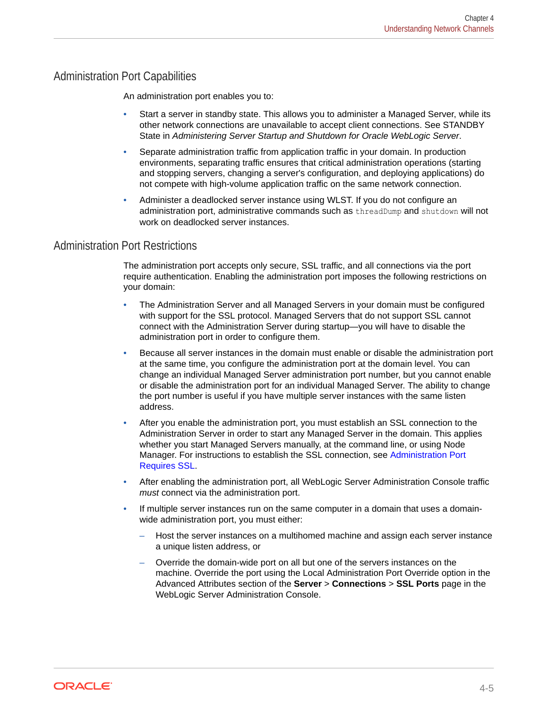#### Administration Port Capabilities

An administration port enables you to:

- Start a server in standby state. This allows you to administer a Managed Server, while its other network connections are unavailable to accept client connections. See STANDBY State in *Administering Server Startup and Shutdown for Oracle WebLogic Server*.
- Separate administration traffic from application traffic in your domain. In production environments, separating traffic ensures that critical administration operations (starting and stopping servers, changing a server's configuration, and deploying applications) do not compete with high-volume application traffic on the same network connection.
- Administer a deadlocked server instance using WLST. If you do not configure an administration port, administrative commands such as threadDump and shutdown will not work on deadlocked server instances.

#### Administration Port Restrictions

The administration port accepts only secure, SSL traffic, and all connections via the port require authentication. Enabling the administration port imposes the following restrictions on your domain:

- The Administration Server and all Managed Servers in your domain must be configured with support for the SSL protocol. Managed Servers that do not support SSL cannot connect with the Administration Server during startup—you will have to disable the administration port in order to configure them.
- Because all server instances in the domain must enable or disable the administration port at the same time, you configure the administration port at the domain level. You can change an individual Managed Server administration port number, but you cannot enable or disable the administration port for an individual Managed Server. The ability to change the port number is useful if you have multiple server instances with the same listen address.
- After you enable the administration port, you must establish an SSL connection to the Administration Server in order to start any Managed Server in the domain. This applies whether you start Managed Servers manually, at the command line, or using Node Manager. For instructions to establish the SSL connection, see [Administration Port](#page-35-0) [Requires SSL.](#page-35-0)
- After enabling the administration port, all WebLogic Server Administration Console traffic *must* connect via the administration port.
- If multiple server instances run on the same computer in a domain that uses a domainwide administration port, you must either:
	- Host the server instances on a multihomed machine and assign each server instance a unique listen address, or
	- Override the domain-wide port on all but one of the servers instances on the machine. Override the port using the Local Administration Port Override option in the Advanced Attributes section of the **Server** > **Connections** > **SSL Ports** page in the WebLogic Server Administration Console.

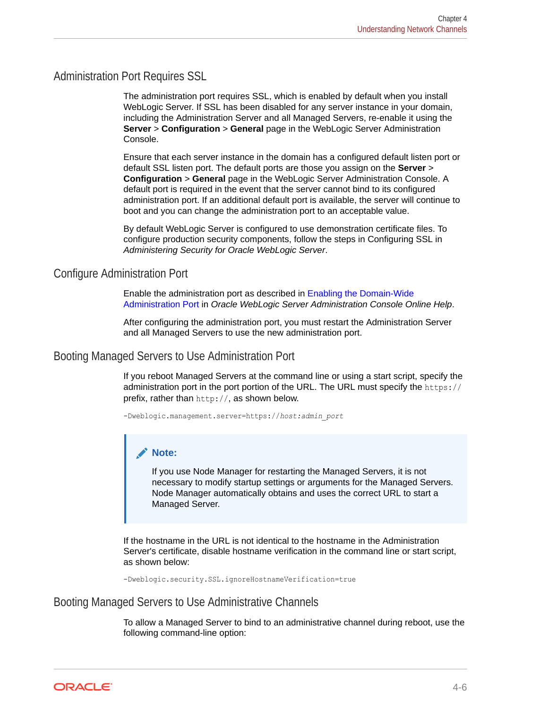#### <span id="page-35-0"></span>Administration Port Requires SSL

The administration port requires SSL, which is enabled by default when you install WebLogic Server. If SSL has been disabled for any server instance in your domain, including the Administration Server and all Managed Servers, re-enable it using the **Server** > **Configuration** > **General** page in the WebLogic Server Administration Console.

Ensure that each server instance in the domain has a configured default listen port or default SSL listen port. The default ports are those you assign on the **Server** > **Configuration** > **General** page in the WebLogic Server Administration Console. A default port is required in the event that the server cannot bind to its configured administration port. If an additional default port is available, the server will continue to boot and you can change the administration port to an acceptable value.

By default WebLogic Server is configured to use demonstration certificate files. To configure production security components, follow the steps in Configuring SSL in *Administering Security for Oracle WebLogic Server*.

#### Configure Administration Port

Enable the administration port as described in Enabling the Domain-Wide Administration Port in *Oracle WebLogic Server Administration Console Online Help*.

After configuring the administration port, you must restart the Administration Server and all Managed Servers to use the new administration port.

#### Booting Managed Servers to Use Administration Port

If you reboot Managed Servers at the command line or using a start script, specify the administration port in the port portion of the URL. The URL must specify the https:// prefix, rather than http://, as shown below.

-Dweblogic.management.server=https://*host:admin\_port*

#### **Note:**

If you use Node Manager for restarting the Managed Servers, it is not necessary to modify startup settings or arguments for the Managed Servers. Node Manager automatically obtains and uses the correct URL to start a Managed Server.

If the hostname in the URL is not identical to the hostname in the Administration Server's certificate, disable hostname verification in the command line or start script, as shown below:

-Dweblogic.security.SSL.ignoreHostnameVerification=true

#### Booting Managed Servers to Use Administrative Channels

To allow a Managed Server to bind to an administrative channel during reboot, use the following command-line option:

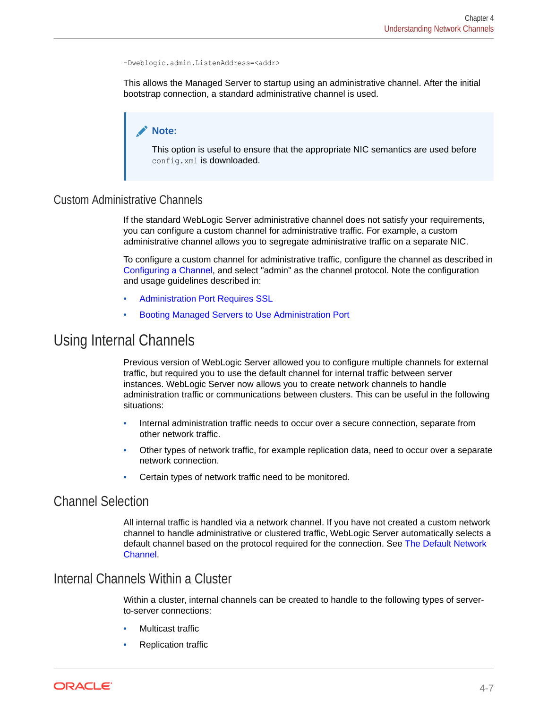```
-Dweblogic.admin.ListenAddress=<addr>
```
This allows the Managed Server to startup using an administrative channel. After the initial bootstrap connection, a standard administrative channel is used.

### **Note:**

This option is useful to ensure that the appropriate NIC semantics are used before config.xml is downloaded.

### Custom Administrative Channels

If the standard WebLogic Server administrative channel does not satisfy your requirements, you can configure a custom channel for administrative traffic. For example, a custom administrative channel allows you to segregate administrative traffic on a separate NIC.

To configure a custom channel for administrative traffic, configure the channel as described in [Configuring a Channel,](#page-37-0) and select "admin" as the channel protocol. Note the configuration and usage guidelines described in:

- [Administration Port Requires SSL](#page-35-0)
- [Booting Managed Servers to Use Administration Port](#page-35-0)

## Using Internal Channels

Previous version of WebLogic Server allowed you to configure multiple channels for external traffic, but required you to use the default channel for internal traffic between server instances. WebLogic Server now allows you to create network channels to handle administration traffic or communications between clusters. This can be useful in the following situations:

- Internal administration traffic needs to occur over a secure connection, separate from other network traffic.
- Other types of network traffic, for example replication data, need to occur over a separate network connection.
- Certain types of network traffic need to be monitored.

### Channel Selection

All internal traffic is handled via a network channel. If you have not created a custom network channel to handle administrative or clustered traffic, WebLogic Server automatically selects a default channel based on the protocol required for the connection. See [The Default Network](#page-33-0) [Channel](#page-33-0).

### Internal Channels Within a Cluster

Within a cluster, internal channels can be created to handle to the following types of serverto-server connections:

- **Multicast traffic**
- Replication traffic

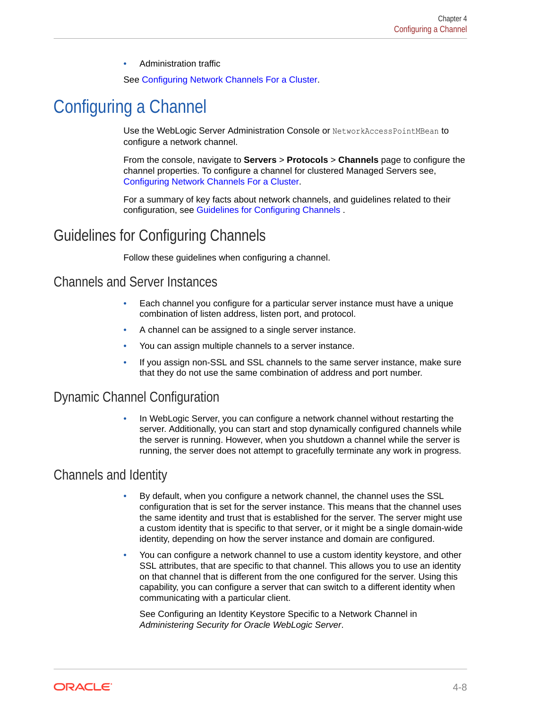• Administration traffic

See [Configuring Network Channels For a Cluster.](#page-38-0)

## <span id="page-37-0"></span>Configuring a Channel

Use the WebLogic Server Administration Console or NetworkAccessPointMBean to configure a network channel.

From the console, navigate to **Servers** > **Protocols** > **Channels** page to configure the channel properties. To configure a channel for clustered Managed Servers see, [Configuring Network Channels For a Cluster](#page-38-0).

For a summary of key facts about network channels, and guidelines related to their configuration, see Guidelines for Configuring Channels .

## Guidelines for Configuring Channels

Follow these guidelines when configuring a channel.

### Channels and Server Instances

- Each channel you configure for a particular server instance must have a unique combination of listen address, listen port, and protocol.
- A channel can be assigned to a single server instance.
- You can assign multiple channels to a server instance.
- If you assign non-SSL and SSL channels to the same server instance, make sure that they do not use the same combination of address and port number.

## Dynamic Channel Configuration

• In WebLogic Server, you can configure a network channel without restarting the server. Additionally, you can start and stop dynamically configured channels while the server is running. However, when you shutdown a channel while the server is running, the server does not attempt to gracefully terminate any work in progress.

### Channels and Identity

- By default, when you configure a network channel, the channel uses the SSL configuration that is set for the server instance. This means that the channel uses the same identity and trust that is established for the server. The server might use a custom identity that is specific to that server, or it might be a single domain-wide identity, depending on how the server instance and domain are configured.
- You can configure a network channel to use a custom identity keystore, and other SSL attributes, that are specific to that channel. This allows you to use an identity on that channel that is different from the one configured for the server. Using this capability, you can configure a server that can switch to a different identity when communicating with a particular client.

See Configuring an Identity Keystore Specific to a Network Channel in *Administering Security for Oracle WebLogic Server*.

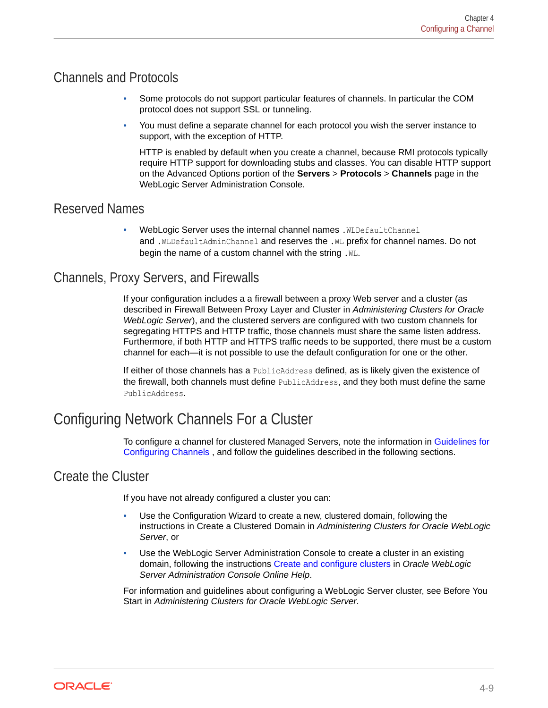## <span id="page-38-0"></span>Channels and Protocols

- Some protocols do not support particular features of channels. In particular the COM protocol does not support SSL or tunneling.
- You must define a separate channel for each protocol you wish the server instance to support, with the exception of HTTP.

HTTP is enabled by default when you create a channel, because RMI protocols typically require HTTP support for downloading stubs and classes. You can disable HTTP support on the Advanced Options portion of the **Servers** > **Protocols** > **Channels** page in the WebLogic Server Administration Console.

### Reserved Names

WebLogic Server uses the internal channel names . WLDefaultChannel and .WLDefaultAdminChannel and reserves the .WL prefix for channel names. Do not begin the name of a custom channel with the string . W.

## Channels, Proxy Servers, and Firewalls

If your configuration includes a a firewall between a proxy Web server and a cluster (as described in Firewall Between Proxy Layer and Cluster in *Administering Clusters for Oracle WebLogic Server*), and the clustered servers are configured with two custom channels for segregating HTTPS and HTTP traffic, those channels must share the same listen address. Furthermore, if both HTTP and HTTPS traffic needs to be supported, there must be a custom channel for each—it is not possible to use the default configuration for one or the other.

If either of those channels has a PublicAddress defined, as is likely given the existence of the firewall, both channels must define PublicAddress, and they both must define the same PublicAddress.

## Configuring Network Channels For a Cluster

To configure a channel for clustered Managed Servers, note the information in [Guidelines for](#page-37-0) [Configuring Channels ,](#page-37-0) and follow the guidelines described in the following sections.

## Create the Cluster

If you have not already configured a cluster you can:

- Use the Configuration Wizard to create a new, clustered domain, following the instructions in Create a Clustered Domain in *Administering Clusters for Oracle WebLogic Server*, or
- Use the WebLogic Server Administration Console to create a cluster in an existing domain, following the instructions Create and configure clusters in *Oracle WebLogic Server Administration Console Online Help*.

For information and guidelines about configuring a WebLogic Server cluster, see Before You Start in *Administering Clusters for Oracle WebLogic Server*.

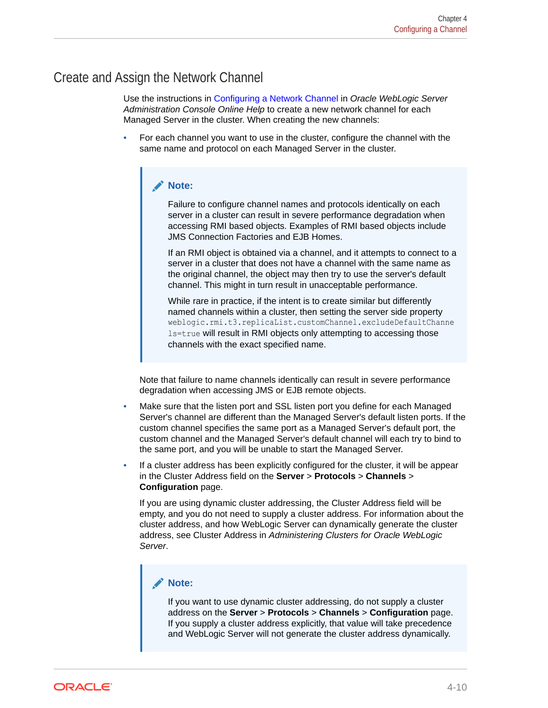## Create and Assign the Network Channel

Use the instructions in Configuring a Network Channel in *Oracle WebLogic Server Administration Console Online Help* to create a new network channel for each Managed Server in the cluster. When creating the new channels:

• For each channel you want to use in the cluster, configure the channel with the same name and protocol on each Managed Server in the cluster.

### **Note:**

Failure to configure channel names and protocols identically on each server in a cluster can result in severe performance degradation when accessing RMI based objects. Examples of RMI based objects include JMS Connection Factories and EJB Homes.

If an RMI object is obtained via a channel, and it attempts to connect to a server in a cluster that does not have a channel with the same name as the original channel, the object may then try to use the server's default channel. This might in turn result in unacceptable performance.

While rare in practice, if the intent is to create similar but differently named channels within a cluster, then setting the server side property weblogic.rmi.t3.replicaList.customChannel.excludeDefaultChanne ls=true will result in RMI objects only attempting to accessing those channels with the exact specified name.

Note that failure to name channels identically can result in severe performance degradation when accessing JMS or EJB remote objects.

- Make sure that the listen port and SSL listen port you define for each Managed Server's channel are different than the Managed Server's default listen ports. If the custom channel specifies the same port as a Managed Server's default port, the custom channel and the Managed Server's default channel will each try to bind to the same port, and you will be unable to start the Managed Server.
- If a cluster address has been explicitly configured for the cluster, it will be appear in the Cluster Address field on the **Server** > **Protocols** > **Channels** > **Configuration** page.

If you are using dynamic cluster addressing, the Cluster Address field will be empty, and you do not need to supply a cluster address. For information about the cluster address, and how WebLogic Server can dynamically generate the cluster address, see Cluster Address in *Administering Clusters for Oracle WebLogic Server*.

### **Note:**

If you want to use dynamic cluster addressing, do not supply a cluster address on the **Server** > **Protocols** > **Channels** > **Configuration** page. If you supply a cluster address explicitly, that value will take precedence and WebLogic Server will not generate the cluster address dynamically.

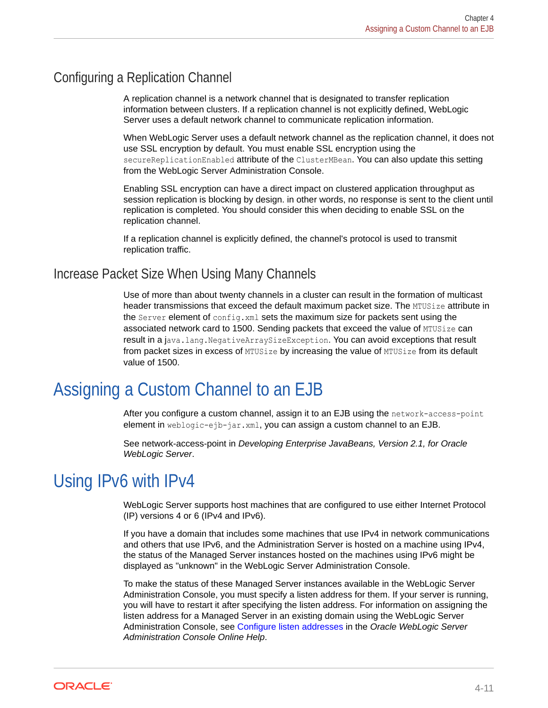## Configuring a Replication Channel

A replication channel is a network channel that is designated to transfer replication information between clusters. If a replication channel is not explicitly defined, WebLogic Server uses a default network channel to communicate replication information.

When WebLogic Server uses a default network channel as the replication channel, it does not use SSL encryption by default. You must enable SSL encryption using the secureReplicationEnabled attribute of the ClusterMBean. You can also update this setting from the WebLogic Server Administration Console.

Enabling SSL encryption can have a direct impact on clustered application throughput as session replication is blocking by design. in other words, no response is sent to the client until replication is completed. You should consider this when deciding to enable SSL on the replication channel.

If a replication channel is explicitly defined, the channel's protocol is used to transmit replication traffic.

## Increase Packet Size When Using Many Channels

Use of more than about twenty channels in a cluster can result in the formation of multicast header transmissions that exceed the default maximum packet size. The MTUSize attribute in the Server element of config.xml sets the maximum size for packets sent using the associated network card to 1500. Sending packets that exceed the value of MTUSize can result in a java.lang.NegativeArraySizeException. You can avoid exceptions that result from packet sizes in excess of MTUSize by increasing the value of MTUSize from its default value of 1500.

## Assigning a Custom Channel to an EJB

After you configure a custom channel, assign it to an EJB using the network-access-point element in weblogic-ejb-jar.xml, you can assign a custom channel to an EJB.

See network-access-point in *Developing Enterprise JavaBeans, Version 2.1, for Oracle WebLogic Server*.

## Using IPv6 with IPv4

WebLogic Server supports host machines that are configured to use either Internet Protocol (IP) versions 4 or 6 (IPv4 and IPv6).

If you have a domain that includes some machines that use IPv4 in network communications and others that use IPv6, and the Administration Server is hosted on a machine using IPv4, the status of the Managed Server instances hosted on the machines using IPv6 might be displayed as "unknown" in the WebLogic Server Administration Console.

To make the status of these Managed Server instances available in the WebLogic Server Administration Console, you must specify a listen address for them. If your server is running, you will have to restart it after specifying the listen address. For information on assigning the listen address for a Managed Server in an existing domain using the WebLogic Server Administration Console, see Configure listen addresses in the *Oracle WebLogic Server Administration Console Online Help*.

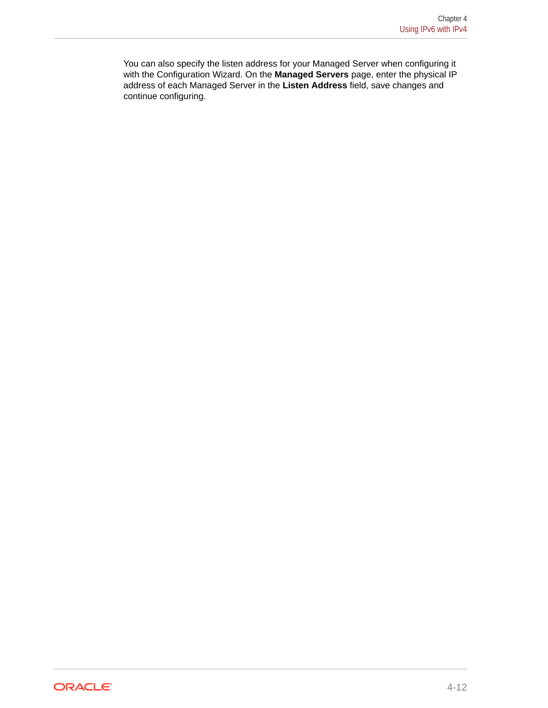You can also specify the listen address for your Managed Server when configuring it with the Configuration Wizard. On the **Managed Servers** page, enter the physical IP address of each Managed Server in the **Listen Address** field, save changes and continue configuring.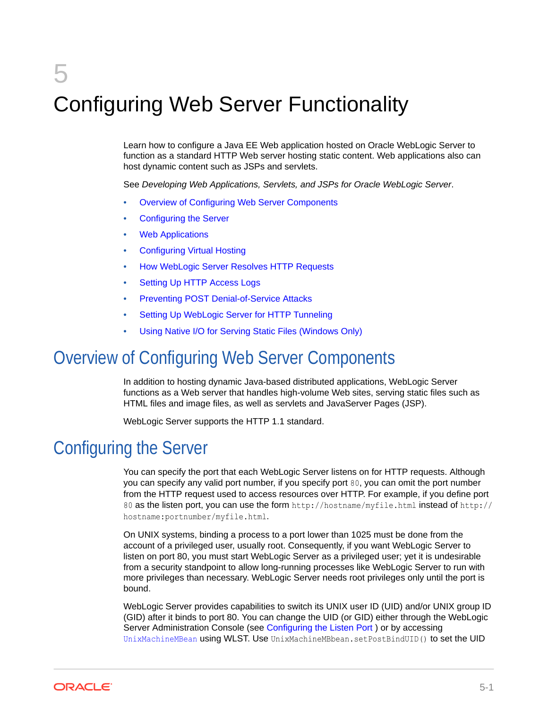# 5 Configuring Web Server Functionality

Learn how to configure a Java EE Web application hosted on Oracle WebLogic Server to function as a standard HTTP Web server hosting static content. Web applications also can host dynamic content such as JSPs and servlets.

See *Developing Web Applications, Servlets, and JSPs for Oracle WebLogic Server*.

- Overview of Configuring Web Server Components
- Configuring the Server
- **[Web Applications](#page-43-0)**
- [Configuring Virtual Hosting](#page-44-0)
- [How WebLogic Server Resolves HTTP Requests](#page-45-0)
- **[Setting Up HTTP Access Logs](#page-47-0)**
- [Preventing POST Denial-of-Service Attacks](#page-54-0)
- [Setting Up WebLogic Server for HTTP Tunneling](#page-54-0)
- [Using Native I/O for Serving Static Files \(Windows Only\)](#page-56-0)

## Overview of Configuring Web Server Components

In addition to hosting dynamic Java-based distributed applications, WebLogic Server functions as a Web server that handles high-volume Web sites, serving static files such as HTML files and image files, as well as servlets and JavaServer Pages (JSP).

WebLogic Server supports the HTTP 1.1 standard.

## Configuring the Server

You can specify the port that each WebLogic Server listens on for HTTP requests. Although you can specify any valid port number, if you specify port 80, you can omit the port number from the HTTP request used to access resources over HTTP. For example, if you define port 80 as the listen port, you can use the form http://hostname/myfile.html instead of http:// hostname:portnumber/myfile.html.

On UNIX systems, binding a process to a port lower than 1025 must be done from the account of a privileged user, usually root. Consequently, if you want WebLogic Server to listen on port 80, you must start WebLogic Server as a privileged user; yet it is undesirable from a security standpoint to allow long-running processes like WebLogic Server to run with more privileges than necessary. WebLogic Server needs root privileges only until the port is bound.

WebLogic Server provides capabilities to switch its UNIX user ID (UID) and/or UNIX group ID (GID) after it binds to port 80. You can change the UID (or GID) either through the WebLogic Server Administration Console (see [Configuring the Listen Port](#page-43-0) ) or by accessing UnixMachineMBean using WLST. Use UnixMachineMBbean.setPostBindUID() to set the UID

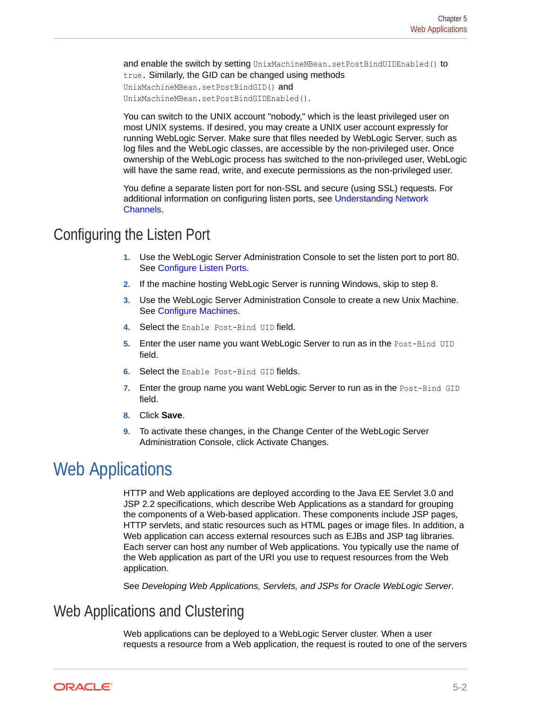<span id="page-43-0"></span>and enable the switch by setting UnixMachineMBean.setPostBindUIDEnabled() to true. Similarly, the GID can be changed using methods UnixMachineMBean.setPostBindGID() and UnixMachineMBean.setPostBindGIDEnabled().

You can switch to the UNIX account "nobody," which is the least privileged user on most UNIX systems. If desired, you may create a UNIX user account expressly for running WebLogic Server. Make sure that files needed by WebLogic Server, such as log files and the WebLogic classes, are accessible by the non-privileged user. Once ownership of the WebLogic process has switched to the non-privileged user, WebLogic will have the same read, write, and execute permissions as the non-privileged user.

You define a separate listen port for non-SSL and secure (using SSL) requests. For additional information on configuring listen ports, see [Understanding Network](#page-30-0) [Channels](#page-30-0).

## Configuring the Listen Port

- **1.** Use the WebLogic Server Administration Console to set the listen port to port 80. See Configure Listen Ports.
- **2.** If the machine hosting WebLogic Server is running Windows, skip to step 8.
- **3.** Use the WebLogic Server Administration Console to create a new Unix Machine. See Configure Machines.
- **4.** Select the Enable Post-Bind UID field.
- **5.** Enter the user name you want WebLogic Server to run as in the Post-Bind UID field.
- **6.** Select the Enable Post-Bind GID fields.
- **7.** Enter the group name you want WebLogic Server to run as in the Post-Bind GID field.
- **8.** Click **Save**.
- **9.** To activate these changes, in the Change Center of the WebLogic Server Administration Console, click Activate Changes.

## Web Applications

HTTP and Web applications are deployed according to the Java EE Servlet 3.0 and JSP 2.2 specifications, which describe Web Applications as a standard for grouping the components of a Web-based application. These components include JSP pages, HTTP servlets, and static resources such as HTML pages or image files. In addition, a Web application can access external resources such as EJBs and JSP tag libraries. Each server can host any number of Web applications. You typically use the name of the Web application as part of the URI you use to request resources from the Web application.

See *Developing Web Applications, Servlets, and JSPs for Oracle WebLogic Server*.

## Web Applications and Clustering

Web applications can be deployed to a WebLogic Server cluster. When a user requests a resource from a Web application, the request is routed to one of the servers

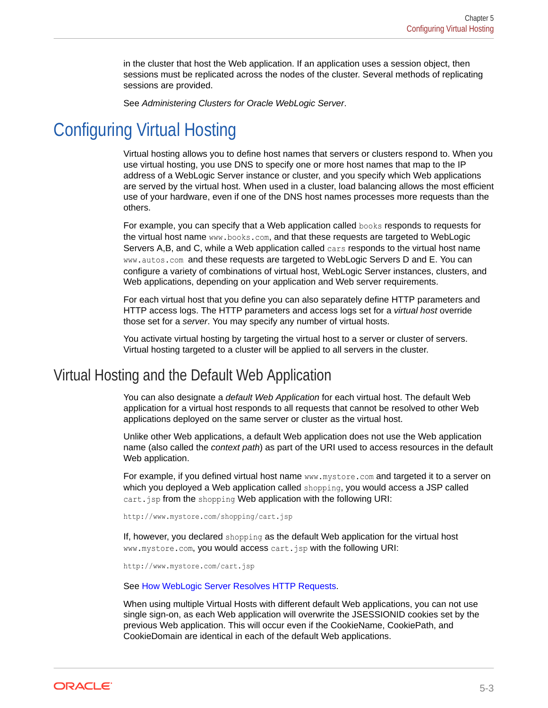in the cluster that host the Web application. If an application uses a session object, then sessions must be replicated across the nodes of the cluster. Several methods of replicating sessions are provided.

See *Administering Clusters for Oracle WebLogic Server*.

## <span id="page-44-0"></span>Configuring Virtual Hosting

Virtual hosting allows you to define host names that servers or clusters respond to. When you use virtual hosting, you use DNS to specify one or more host names that map to the IP address of a WebLogic Server instance or cluster, and you specify which Web applications are served by the virtual host. When used in a cluster, load balancing allows the most efficient use of your hardware, even if one of the DNS host names processes more requests than the others.

For example, you can specify that a Web application called books responds to requests for the virtual host name www.books.com, and that these requests are targeted to WebLogic Servers A,B, and C, while a Web application called cars responds to the virtual host name www.autos.com and these requests are targeted to WebLogic Servers D and E. You can configure a variety of combinations of virtual host, WebLogic Server instances, clusters, and Web applications, depending on your application and Web server requirements.

For each virtual host that you define you can also separately define HTTP parameters and HTTP access logs. The HTTP parameters and access logs set for a *virtual host* override those set for a *server*. You may specify any number of virtual hosts.

You activate virtual hosting by targeting the virtual host to a server or cluster of servers. Virtual hosting targeted to a cluster will be applied to all servers in the cluster.

## Virtual Hosting and the Default Web Application

You can also designate a *default Web Application* for each virtual host. The default Web application for a virtual host responds to all requests that cannot be resolved to other Web applications deployed on the same server or cluster as the virtual host.

Unlike other Web applications, a default Web application does not use the Web application name (also called the *context path*) as part of the URI used to access resources in the default Web application.

For example, if you defined virtual host name www.mystore.com and targeted it to a server on which you deployed a Web application called shopping, you would access a JSP called cart.jsp from the shopping Web application with the following URI:

http://www.mystore.com/shopping/cart.jsp

If, however, you declared shopping as the default Web application for the virtual host www.mystore.com, you would access cart.jsp with the following URI:

http://www.mystore.com/cart.jsp

See [How WebLogic Server Resolves HTTP Requests.](#page-45-0)

When using multiple Virtual Hosts with different default Web applications, you can not use single sign-on, as each Web application will overwrite the JSESSIONID cookies set by the previous Web application. This will occur even if the CookieName, CookiePath, and CookieDomain are identical in each of the default Web applications.

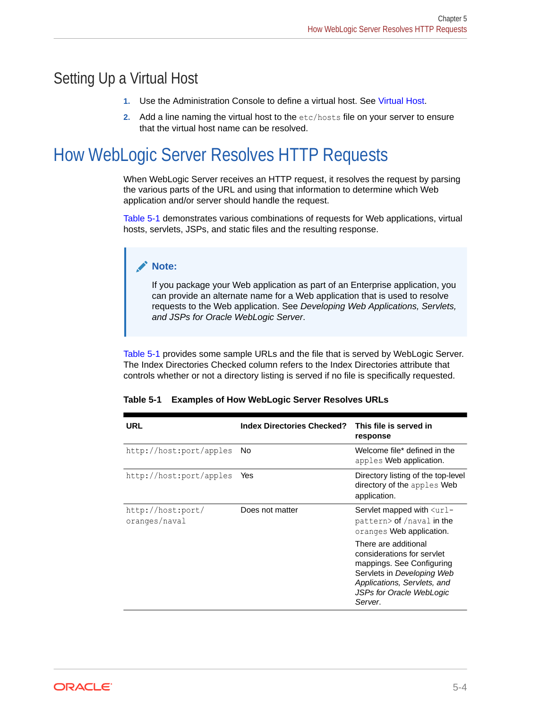## <span id="page-45-0"></span>Setting Up a Virtual Host

- **1.** Use the Administration Console to define a virtual host. See Virtual Host.
- **2.** Add a line naming the virtual host to the etc/hosts file on your server to ensure that the virtual host name can be resolved.

## How WebLogic Server Resolves HTTP Requests

When WebLogic Server receives an HTTP request, it resolves the request by parsing the various parts of the URL and using that information to determine which Web application and/or server should handle the request.

Table 5-1 demonstrates various combinations of requests for Web applications, virtual hosts, servlets, JSPs, and static files and the resulting response.

### **Note:**

If you package your Web application as part of an Enterprise application, you can provide an alternate name for a Web application that is used to resolve requests to the Web application. See *Developing Web Applications, Servlets, and JSPs for Oracle WebLogic Server*.

Table 5-1 provides some sample URLs and the file that is served by WebLogic Server. The Index Directories Checked column refers to the Index Directories attribute that controls whether or not a directory listing is served if no file is specifically requested.

| <b>URL</b>                         | <b>Index Directories Checked?</b> | This file is served in<br>response                                                                                                                                                  |
|------------------------------------|-----------------------------------|-------------------------------------------------------------------------------------------------------------------------------------------------------------------------------------|
| http://host:port/apples            | No.                               | Welcome file* defined in the<br>apples Web application.                                                                                                                             |
| http://host:port/apples            | Yes                               | Directory listing of the top-level<br>directory of the apples Web<br>application.                                                                                                   |
| http://host:port/<br>oranges/naval | Does not matter                   | Servlet mapped with $\langle \text{url} -$<br>pattern> of /naval in the<br>oranges Web application.                                                                                 |
|                                    |                                   | There are additional<br>considerations for servlet<br>mappings. See Configuring<br>Servlets in Developing Web<br>Applications, Servlets, and<br>JSPs for Oracle WebLogic<br>Server. |

|  | Table 5-1 Examples of How WebLogic Server Resolves URLs |  |  |
|--|---------------------------------------------------------|--|--|
|--|---------------------------------------------------------|--|--|

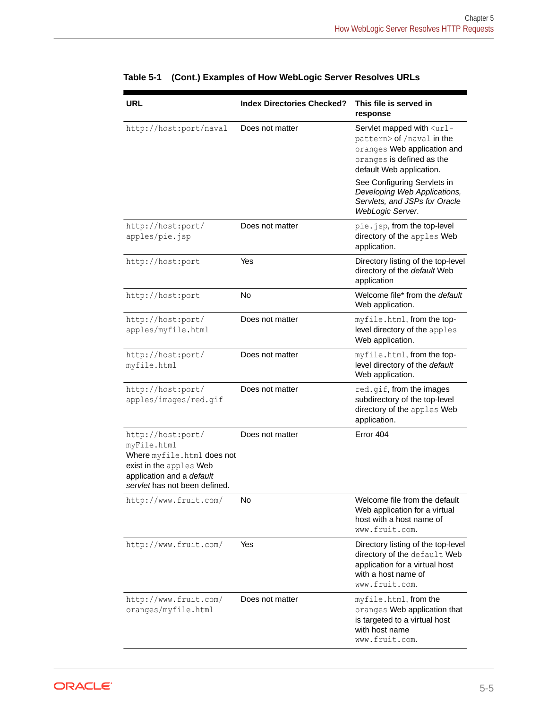| URL                                                                                                                                                     | <b>Index Directories Checked?</b> | This file is served in<br>response                                                                                                                             |
|---------------------------------------------------------------------------------------------------------------------------------------------------------|-----------------------------------|----------------------------------------------------------------------------------------------------------------------------------------------------------------|
| http://host:port/naval                                                                                                                                  | Does not matter                   | Servlet mapped with <url-<br>pattern&gt; of /naval in the<br/>oranges Web application and<br/>oranges is defined as the<br/>default Web application.</url-<br> |
|                                                                                                                                                         |                                   | See Configuring Servlets in<br>Developing Web Applications,<br>Servlets, and JSPs for Oracle<br>WebLogic Server.                                               |
| http://host:port/<br>apples/pie.jsp                                                                                                                     | Does not matter                   | pie.jsp, from the top-level<br>directory of the apples Web<br>application.                                                                                     |
| http://host:port                                                                                                                                        | Yes                               | Directory listing of the top-level<br>directory of the default Web<br>application                                                                              |
| http://host:port                                                                                                                                        | <b>No</b>                         | Welcome file* from the default<br>Web application.                                                                                                             |
| http://host:port/<br>apples/myfile.html                                                                                                                 | Does not matter                   | myfile.html, from the top-<br>level directory of the apples<br>Web application.                                                                                |
| http://host:port/<br>myfile.html                                                                                                                        | Does not matter                   | myfile.html, from the top-<br>level directory of the default<br>Web application.                                                                               |
| http://host:port/<br>apples/images/red.gif                                                                                                              | Does not matter                   | red.gif, from the images<br>subdirectory of the top-level<br>directory of the apples Web<br>application.                                                       |
| http://host:port/<br>myFile.html<br>Where myfile.html does not<br>exist in the apples Web<br>application and a default<br>servlet has not been defined. | Does not matter                   | Error 404                                                                                                                                                      |
| http://www.fruit.com/                                                                                                                                   | No                                | Welcome file from the default<br>Web application for a virtual<br>host with a host name of<br>www.fruit.com.                                                   |
| http://www.fruit.com/                                                                                                                                   | Yes                               | Directory listing of the top-level<br>directory of the default Web<br>application for a virtual host<br>with a host name of<br>www.fruit.com.                  |
| http://www.fruit.com/<br>oranges/myfile.html                                                                                                            | Does not matter                   | myfile.html, from the<br>oranges Web application that<br>is targeted to a virtual host<br>with host name<br>www.fruit.com.                                     |

|  |  | Table 5-1 (Cont.) Examples of How WebLogic Server Resolves URLs |  |
|--|--|-----------------------------------------------------------------|--|
|--|--|-----------------------------------------------------------------|--|

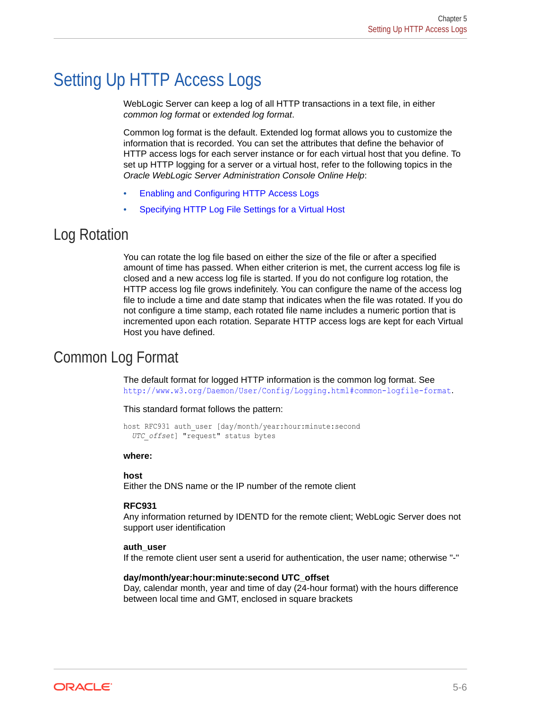## <span id="page-47-0"></span>Setting Up HTTP Access Logs

WebLogic Server can keep a log of all HTTP transactions in a text file, in either *common log format* or *extended log format*.

Common log format is the default. Extended log format allows you to customize the information that is recorded. You can set the attributes that define the behavior of HTTP access logs for each server instance or for each virtual host that you define. To set up HTTP logging for a server or a virtual host, refer to the following topics in the *Oracle WebLogic Server Administration Console Online Help*:

- Enabling and Configuring HTTP Access Logs
- Specifying HTTP Log File Settings for a Virtual Host

## Log Rotation

You can rotate the log file based on either the size of the file or after a specified amount of time has passed. When either criterion is met, the current access log file is closed and a new access log file is started. If you do not configure log rotation, the HTTP access log file grows indefinitely. You can configure the name of the access log file to include a time and date stamp that indicates when the file was rotated. If you do not configure a time stamp, each rotated file name includes a numeric portion that is incremented upon each rotation. Separate HTTP access logs are kept for each Virtual Host you have defined.

## Common Log Format

The default format for logged HTTP information is the common log format. See <http://www.w3.org/Daemon/User/Config/Logging.html#common-logfile-format>.

#### This standard format follows the pattern:

host RFC931 auth user [day/month/year:hour:minute:second *UTC\_offset*] "request" status bytes

#### **where:**

#### **host**

Either the DNS name or the IP number of the remote client

#### **RFC931**

Any information returned by IDENTD for the remote client; WebLogic Server does not support user identification

#### **auth\_user**

If the remote client user sent a userid for authentication, the user name; otherwise "-"

#### **day/month/year:hour:minute:second UTC\_offset**

Day, calendar month, year and time of day (24-hour format) with the hours difference between local time and GMT, enclosed in square brackets

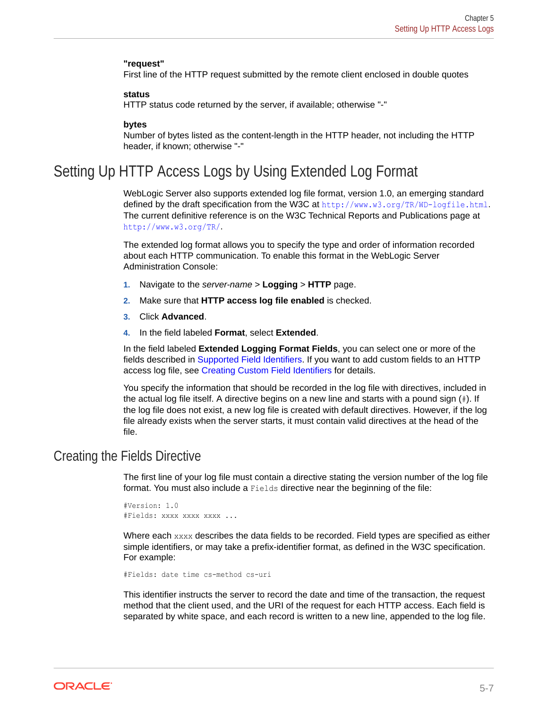#### <span id="page-48-0"></span>**"request"**

First line of the HTTP request submitted by the remote client enclosed in double quotes

#### **status**

HTTP status code returned by the server, if available; otherwise "-"

#### **bytes**

Number of bytes listed as the content-length in the HTTP header, not including the HTTP header, if known; otherwise "-"

## Setting Up HTTP Access Logs by Using Extended Log Format

WebLogic Server also supports extended log file format, version 1.0, an emerging standard defined by the draft specification from the W3C at <http://www.w3.org/TR/WD-logfile.html>. The current definitive reference is on the W3C Technical Reports and Publications page at <http://www.w3.org/TR/>.

The extended log format allows you to specify the type and order of information recorded about each HTTP communication. To enable this format in the WebLogic Server Administration Console:

- **1.** Navigate to the *server-name* > **Logging** > **HTTP** page.
- **2.** Make sure that **HTTP access log file enabled** is checked.
- **3.** Click **Advanced**.
- **4.** In the field labeled **Format**, select **Extended**.

In the field labeled **Extended Logging Format Fields**, you can select one or more of the fields described in [Supported Field Identifiers.](#page-49-0) If you want to add custom fields to an HTTP access log file, see [Creating Custom Field Identifiers](#page-51-0) for details.

You specify the information that should be recorded in the log file with directives, included in the actual log file itself. A directive begins on a new line and starts with a pound sign  $(\ddot{t})$ . If the log file does not exist, a new log file is created with default directives. However, if the log file already exists when the server starts, it must contain valid directives at the head of the file.

### Creating the Fields Directive

The first line of your log file must contain a directive stating the version number of the log file format. You must also include a Fields directive near the beginning of the file:

#Version: 1.0 #Fields: xxxx xxxx xxxx ...

Where each xxxx describes the data fields to be recorded. Field types are specified as either simple identifiers, or may take a prefix-identifier format, as defined in the W3C specification. For example:

```
#Fields: date time cs-method cs-uri
```
This identifier instructs the server to record the date and time of the transaction, the request method that the client used, and the URI of the request for each HTTP access. Each field is separated by white space, and each record is written to a new line, appended to the log file.

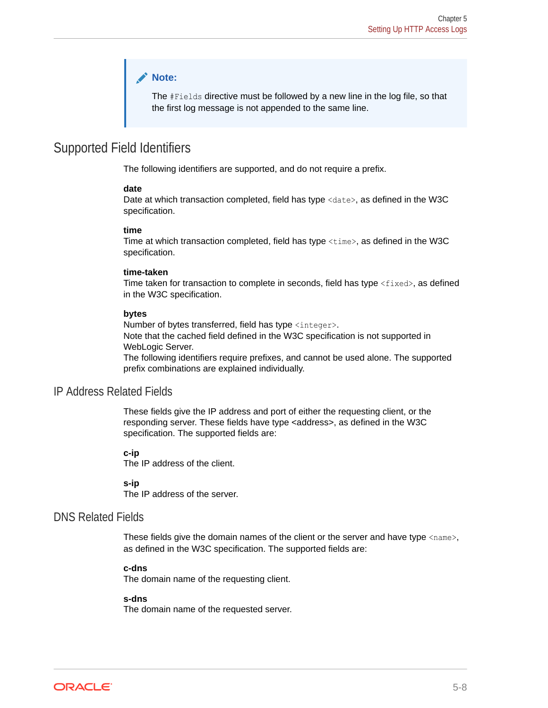### **Note:**

The #Fields directive must be followed by a new line in the log file, so that the first log message is not appended to the same line.

### <span id="page-49-0"></span>Supported Field Identifiers

The following identifiers are supported, and do not require a prefix.

#### **date**

Date at which transaction completed, field has type <date>, as defined in the W3C specification.

#### **time**

Time at which transaction completed, field has type <time>, as defined in the W3C specification.

#### **time-taken**

Time taken for transaction to complete in seconds, field has type  $\langle$  fixed>, as defined in the W3C specification.

#### **bytes**

Number of bytes transferred, field has type <integer>. Note that the cached field defined in the W3C specification is not supported in WebLogic Server. The following identifiers require prefixes, and cannot be used alone. The supported prefix combinations are explained individually.

### IP Address Related Fields

These fields give the IP address and port of either the requesting client, or the responding server. These fields have type <address>, as defined in the W3C specification. The supported fields are:

#### **c-ip**

The IP address of the client.

#### **s-ip**

The IP address of the server.

### DNS Related Fields

These fields give the domain names of the client or the server and have type  $\langle$ name>, as defined in the W3C specification. The supported fields are:

#### **c-dns**

The domain name of the requesting client.

#### **s-dns**

The domain name of the requested server.

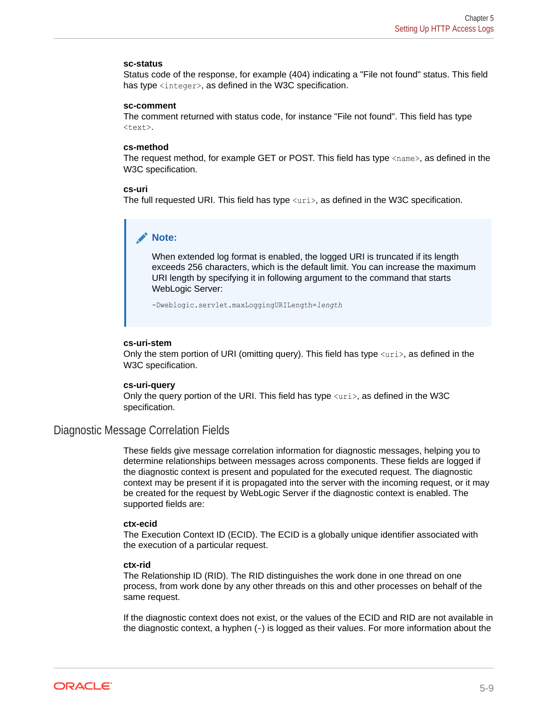#### **sc-status**

Status code of the response, for example (404) indicating a "File not found" status. This field has type  $\langle$ integer>, as defined in the W3C specification.

#### **sc-comment**

The comment returned with status code, for instance "File not found". This field has type <text>.

#### **cs-method**

The request method, for example GET or POST. This field has type  $\langle$  name $\rangle$ , as defined in the W3C specification.

#### **cs-uri**

The full requested URI. This field has type  $\langle \text{uri} \rangle$ , as defined in the W3C specification.

### **Note:**

When extended log format is enabled, the logged URI is truncated if its length exceeds 256 characters, which is the default limit. You can increase the maximum URI length by specifying it in following argument to the command that starts WebLogic Server:

-Dweblogic.servlet.maxLoggingURILength=*length*

#### **cs-uri-stem**

Only the stem portion of URI (omitting query). This field has type  $\langle \text{uri}\rangle$ , as defined in the W3C specification.

#### **cs-uri-query**

Only the query portion of the URI. This field has type  $\langle \text{uri} \rangle$ , as defined in the W3C specification.

### Diagnostic Message Correlation Fields

These fields give message correlation information for diagnostic messages, helping you to determine relationships between messages across components. These fields are logged if the diagnostic context is present and populated for the executed request. The diagnostic context may be present if it is propagated into the server with the incoming request, or it may be created for the request by WebLogic Server if the diagnostic context is enabled. The supported fields are:

#### **ctx-ecid**

The Execution Context ID (ECID). The ECID is a globally unique identifier associated with the execution of a particular request.

#### **ctx-rid**

The Relationship ID (RID). The RID distinguishes the work done in one thread on one process, from work done by any other threads on this and other processes on behalf of the same request.

If the diagnostic context does not exist, or the values of the ECID and RID are not available in the diagnostic context, a hyphen (-) is logged as their values. For more information about the

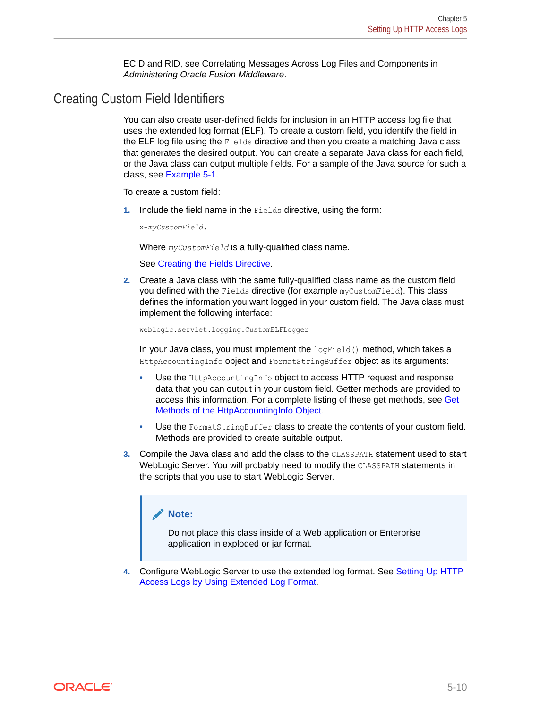ECID and RID, see Correlating Messages Across Log Files and Components in *Administering Oracle Fusion Middleware*.

## <span id="page-51-0"></span>Creating Custom Field Identifiers

You can also create user-defined fields for inclusion in an HTTP access log file that uses the extended log format (ELF). To create a custom field, you identify the field in the ELF log file using the Fields directive and then you create a matching Java class that generates the desired output. You can create a separate Java class for each field, or the Java class can output multiple fields. For a sample of the Java source for such a class, see [Example 5-1](#page-54-0).

To create a custom field:

**1.** Include the field name in the Fields directive, using the form:

x-*myCustomField*.

Where *myCustomField* is a fully-qualified class name.

See [Creating the Fields Directive](#page-48-0).

**2.** Create a Java class with the same fully-qualified class name as the custom field you defined with the Fields directive (for example myCustomField). This class defines the information you want logged in your custom field. The Java class must implement the following interface:

weblogic.servlet.logging.CustomELFLogger

In your Java class, you must implement the  $logField()$  method, which takes a HttpAccountingInfo object and FormatStringBuffer object as its arguments:

- Use the HttpAccountingInfo object to access HTTP request and response data that you can output in your custom field. Getter methods are provided to access this information. For a complete listing of these get methods, see [Get](#page-52-0) [Methods of the HttpAccountingInfo Object](#page-52-0).
- Use the FormatStringBuffer class to create the contents of your custom field. Methods are provided to create suitable output.
- **3.** Compile the Java class and add the class to the CLASSPATH statement used to start WebLogic Server. You will probably need to modify the CLASSPATH statements in the scripts that you use to start WebLogic Server.

### **Note:**

Do not place this class inside of a Web application or Enterprise application in exploded or jar format.

**4.** Configure WebLogic Server to use the extended log format. See [Setting Up HTTP](#page-48-0) [Access Logs by Using Extended Log Format](#page-48-0).

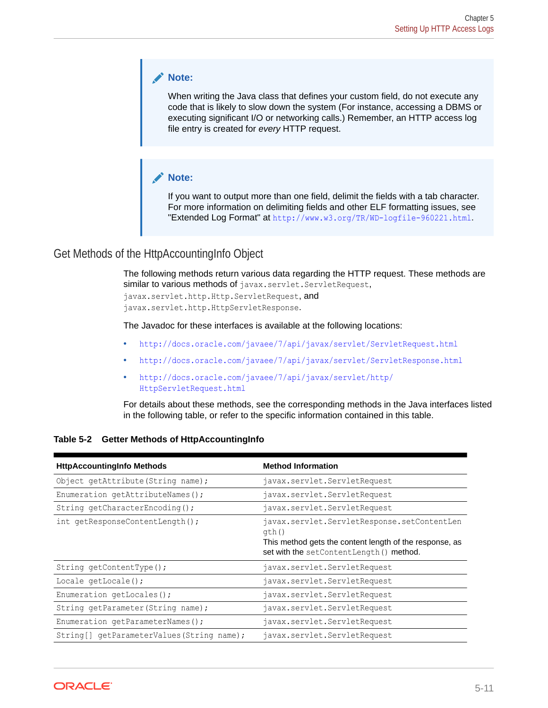### <span id="page-52-0"></span>**Note:**

When writing the Java class that defines your custom field, do not execute any code that is likely to slow down the system (For instance, accessing a DBMS or executing significant I/O or networking calls.) Remember, an HTTP access log file entry is created for *every* HTTP request.

### **Note:**

If you want to output more than one field, delimit the fields with a tab character. For more information on delimiting fields and other ELF formatting issues, see "Extended Log Format" at <http://www.w3.org/TR/WD-logfile-960221.html>.

### Get Methods of the HttpAccountingInfo Object

The following methods return various data regarding the HTTP request. These methods are similar to various methods of javax.servlet.ServletRequest,

javax.servlet.http.Http.ServletRequest, and javax.servlet.http.HttpServletResponse.

The Javadoc for these interfaces is available at the following locations:

- <http://docs.oracle.com/javaee/7/api/javax/servlet/ServletRequest.html>
- <http://docs.oracle.com/javaee/7/api/javax/servlet/ServletResponse.html>
- [http://docs.oracle.com/javaee/7/api/javax/servlet/http/](http://docs.oracle.com/javaee/7/api/javax/servlet/http/HttpServletRequest.html) [HttpServletRequest.html](http://docs.oracle.com/javaee/7/api/javax/servlet/http/HttpServletRequest.html)

For details about these methods, see the corresponding methods in the Java interfaces listed in the following table, or refer to the specific information contained in this table.

|  | Table 5-2 Getter Methods of HttpAccountingInfo |
|--|------------------------------------------------|
|--|------------------------------------------------|

| <b>HttpAccountingInfo Methods</b>         | <b>Method Information</b>                                                                                                                                   |
|-------------------------------------------|-------------------------------------------------------------------------------------------------------------------------------------------------------------|
| Object getAttribute (String name);        | javax.servlet.ServletRequest                                                                                                                                |
| Enumeration getAttributeNames();          | javax.servlet.ServletRequest                                                                                                                                |
| String getCharacterEncoding();            | javax.servlet.ServletRequest                                                                                                                                |
| int getResponseContentLength();           | javax.servlet.ServletResponse.setContentLen<br>qth()<br>This method gets the content length of the response, as<br>set with the setContentLength () method. |
| String $qetContentType()$ ;               | javax.servlet.ServletRequest                                                                                                                                |
| Locale getLocale();                       | javax.servlet.ServletRequest                                                                                                                                |
| Enumeration $q$ etLocales();              | javax.servlet.ServletRequest                                                                                                                                |
| String getParameter (String name);        | javax.servlet.ServletRequest                                                                                                                                |
| Enumeration getParameterNames();          | javax.servlet.ServletRequest                                                                                                                                |
| String[] getParameterValues(String name); | javax.servlet.ServletRequest                                                                                                                                |

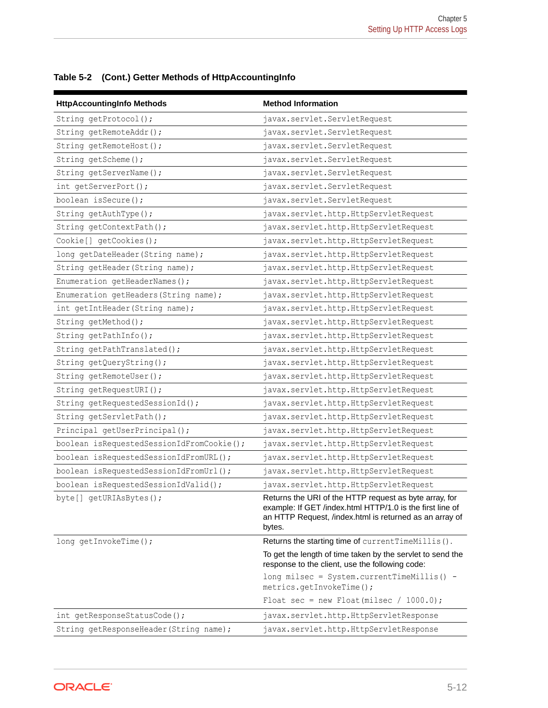| <b>HttpAccountingInfo Methods</b>         | <b>Method Information</b>                                                                                                                                                                |
|-------------------------------------------|------------------------------------------------------------------------------------------------------------------------------------------------------------------------------------------|
| String getProtocol();                     | javax.servlet.ServletRequest                                                                                                                                                             |
| String getRemoteAddr();                   | javax.servlet.ServletRequest                                                                                                                                                             |
| String getRemoteHost();                   | javax.servlet.ServletRequest                                                                                                                                                             |
| String getScheme();                       | javax.servlet.ServletRequest                                                                                                                                                             |
| String getServerName();                   | javax.servlet.ServletRequest                                                                                                                                                             |
| int getServerPort();                      | javax.servlet.ServletRequest                                                                                                                                                             |
| boolean isSecure();                       | javax.servlet.ServletRequest                                                                                                                                                             |
| String getAuthType();                     | javax.servlet.http.HttpServletRequest                                                                                                                                                    |
| String getContextPath();                  | javax.servlet.http.HttpServletRequest                                                                                                                                                    |
| Cookie[] getCookies();                    | javax.servlet.http.HttpServletRequest                                                                                                                                                    |
| long getDateHeader (String name);         | javax.servlet.http.HttpServletRequest                                                                                                                                                    |
| String getHeader (String name);           | javax.servlet.http.HttpServletRequest                                                                                                                                                    |
| Enumeration getHeaderNames();             | javax.servlet.http.HttpServletRequest                                                                                                                                                    |
| Enumeration getHeaders (String name);     | javax.servlet.http.HttpServletRequest                                                                                                                                                    |
| int getIntHeader(String name);            | javax.servlet.http.HttpServletRequest                                                                                                                                                    |
| String getMethod();                       | javax.servlet.http.HttpServletRequest                                                                                                                                                    |
| String getPathInfo();                     | javax.servlet.http.HttpServletRequest                                                                                                                                                    |
| String getPathTranslated();               | javax.servlet.http.HttpServletRequest                                                                                                                                                    |
| String getQueryString();                  | javax.servlet.http.HttpServletRequest                                                                                                                                                    |
| String getRemoteUser();                   | javax.servlet.http.HttpServletRequest                                                                                                                                                    |
| String getRequestURI();                   | javax.servlet.http.HttpServletRequest                                                                                                                                                    |
| String getRequestedSessionId();           | javax.servlet.http.HttpServletRequest                                                                                                                                                    |
| String getServletPath();                  | javax.servlet.http.HttpServletRequest                                                                                                                                                    |
| Principal getUserPrincipal();             | javax.servlet.http.HttpServletRequest                                                                                                                                                    |
| boolean isRequestedSessionIdFromCookie(); | javax.servlet.http.HttpServletRequest                                                                                                                                                    |
| boolean isRequestedSessionIdFromURL();    | javax.servlet.http.HttpServletRequest                                                                                                                                                    |
| boolean isRequestedSessionIdFromUrl();    | javax.servlet.http.HttpServletRequest                                                                                                                                                    |
| boolean isRequestedSessionIdValid();      | javax.servlet.http.HttpServletRequest                                                                                                                                                    |
| byte[] qetURIAsBytes();                   | Returns the URI of the HTTP request as byte array, for<br>example: If GET /index.html HTTP/1.0 is the first line of<br>an HTTP Request, /index.html is returned as an array of<br>bytes. |
| long getInvokeTime();                     | Returns the starting time of current TimeMillis().                                                                                                                                       |
|                                           | To get the length of time taken by the servlet to send the<br>response to the client, use the following code:                                                                            |
|                                           | long milsec = System.currentTimeMillis() -<br>metrics.getInvokeTime();                                                                                                                   |
|                                           | Float sec = new Float(milsec / 1000.0);                                                                                                                                                  |
| int getResponseStatusCode();              | javax.servlet.http.HttpServletResponse                                                                                                                                                   |
| String getResponseHeader (String name);   | javax.servlet.http.HttpServletResponse                                                                                                                                                   |

**Table 5-2 (Cont.) Getter Methods of HttpAccountingInfo**

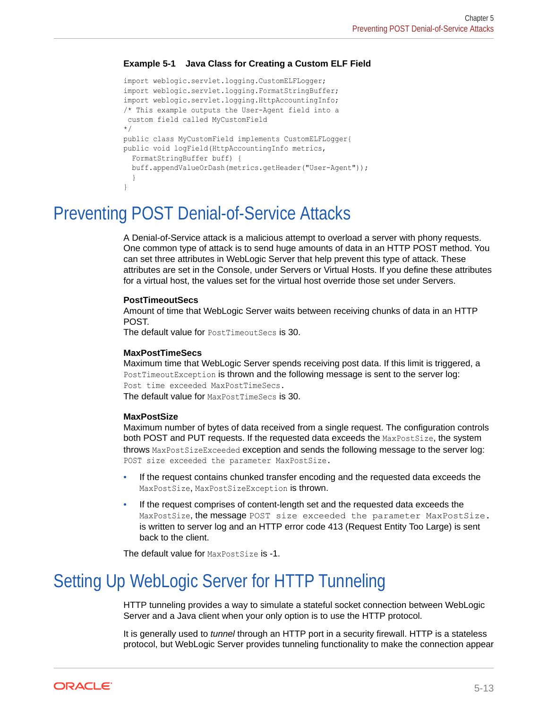### <span id="page-54-0"></span>**Example 5-1 Java Class for Creating a Custom ELF Field**

```
import weblogic.servlet.logging.CustomELFLogger;
import weblogic.servlet.logging.FormatStringBuffer;
import weblogic.servlet.logging.HttpAccountingInfo;
/* This example outputs the User-Agent field into a
 custom field called MyCustomField
*/
public class MyCustomField implements CustomELFLogger{
public void logField(HttpAccountingInfo metrics,
  FormatStringBuffer buff) {
   buff.appendValueOrDash(metrics.getHeader("User-Agent"));
 }
}
```
## Preventing POST Denial-of-Service Attacks

A Denial-of-Service attack is a malicious attempt to overload a server with phony requests. One common type of attack is to send huge amounts of data in an HTTP POST method. You can set three attributes in WebLogic Server that help prevent this type of attack. These attributes are set in the Console, under Servers or Virtual Hosts. If you define these attributes for a virtual host, the values set for the virtual host override those set under Servers.

#### **PostTimeoutSecs**

Amount of time that WebLogic Server waits between receiving chunks of data in an HTTP POST.

The default value for PostTimeoutSecs is 30.

#### **MaxPostTimeSecs**

Maximum time that WebLogic Server spends receiving post data. If this limit is triggered, a PostTimeoutException is thrown and the following message is sent to the server log: Post time exceeded MaxPostTimeSecs. The default value for MaxPostTimeSecs is 30.

#### **MaxPostSize**

Maximum number of bytes of data received from a single request. The configuration controls both POST and PUT requests. If the requested data exceeds the MaxPostSize, the system throws MaxPostSizeExceeded exception and sends the following message to the server log: POST size exceeded the parameter MaxPostSize.

- If the request contains chunked transfer encoding and the requested data exceeds the MaxPostSize, MaxPostSizeException is thrown.
- If the request comprises of content-length set and the requested data exceeds the MaxPostSize, the message POST size exceeded the parameter MaxPostSize. is written to server log and an HTTP error code 413 (Request Entity Too Large) is sent back to the client.

The default value for MaxPostSize is -1.

## Setting Up WebLogic Server for HTTP Tunneling

HTTP tunneling provides a way to simulate a stateful socket connection between WebLogic Server and a Java client when your only option is to use the HTTP protocol.

It is generally used to *tunnel* through an HTTP port in a security firewall. HTTP is a stateless protocol, but WebLogic Server provides tunneling functionality to make the connection appear

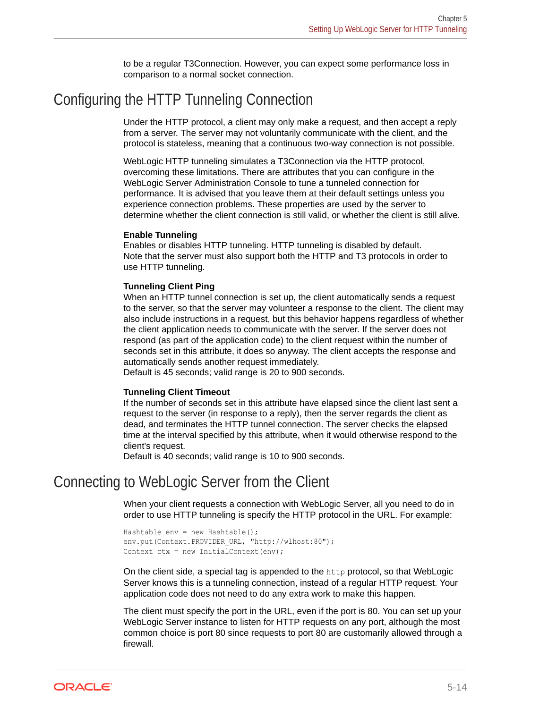to be a regular T3Connection. However, you can expect some performance loss in comparison to a normal socket connection.

## Configuring the HTTP Tunneling Connection

Under the HTTP protocol, a client may only make a request, and then accept a reply from a server. The server may not voluntarily communicate with the client, and the protocol is stateless, meaning that a continuous two-way connection is not possible.

WebLogic HTTP tunneling simulates a T3Connection via the HTTP protocol, overcoming these limitations. There are attributes that you can configure in the WebLogic Server Administration Console to tune a tunneled connection for performance. It is advised that you leave them at their default settings unless you experience connection problems. These properties are used by the server to determine whether the client connection is still valid, or whether the client is still alive.

#### **Enable Tunneling**

Enables or disables HTTP tunneling. HTTP tunneling is disabled by default. Note that the server must also support both the HTTP and T3 protocols in order to use HTTP tunneling.

#### **Tunneling Client Ping**

When an HTTP tunnel connection is set up, the client automatically sends a request to the server, so that the server may volunteer a response to the client. The client may also include instructions in a request, but this behavior happens regardless of whether the client application needs to communicate with the server. If the server does not respond (as part of the application code) to the client request within the number of seconds set in this attribute, it does so anyway. The client accepts the response and automatically sends another request immediately.

Default is 45 seconds; valid range is 20 to 900 seconds.

#### **Tunneling Client Timeout**

If the number of seconds set in this attribute have elapsed since the client last sent a request to the server (in response to a reply), then the server regards the client as dead, and terminates the HTTP tunnel connection. The server checks the elapsed time at the interval specified by this attribute, when it would otherwise respond to the client's request.

Default is 40 seconds; valid range is 10 to 900 seconds.

## Connecting to WebLogic Server from the Client

When your client requests a connection with WebLogic Server, all you need to do in order to use HTTP tunneling is specify the HTTP protocol in the URL. For example:

```
Hashtable env = new Hashtable();
env.put(Context.PROVIDER_URL, "http://wlhost:80");
Context ctx = new InitialContext(env);
```
On the client side, a special tag is appended to the http protocol, so that WebLogic Server knows this is a tunneling connection, instead of a regular HTTP request. Your application code does not need to do any extra work to make this happen.

The client must specify the port in the URL, even if the port is 80. You can set up your WebLogic Server instance to listen for HTTP requests on any port, although the most common choice is port 80 since requests to port 80 are customarily allowed through a firewall.

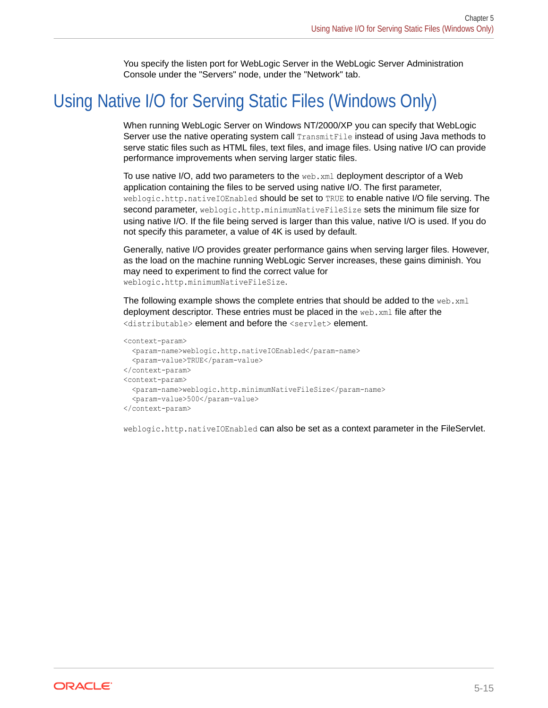You specify the listen port for WebLogic Server in the WebLogic Server Administration Console under the "Servers" node, under the "Network" tab.

## <span id="page-56-0"></span>Using Native I/O for Serving Static Files (Windows Only)

When running WebLogic Server on Windows NT/2000/XP you can specify that WebLogic Server use the native operating system call **TransmitFile** instead of using Java methods to serve static files such as HTML files, text files, and image files. Using native I/O can provide performance improvements when serving larger static files.

To use native I/O, add two parameters to the web.xml deployment descriptor of a Web application containing the files to be served using native I/O. The first parameter, weblogic.http.nativeIOEnabled should be set to TRUE to enable native I/O file serving. The second parameter, weblogic.http.minimumNativeFileSize sets the minimum file size for using native I/O. If the file being served is larger than this value, native I/O is used. If you do not specify this parameter, a value of 4K is used by default.

Generally, native I/O provides greater performance gains when serving larger files. However, as the load on the machine running WebLogic Server increases, these gains diminish. You may need to experiment to find the correct value for weblogic.http.minimumNativeFileSize.

The following example shows the complete entries that should be added to the web. $xml$ deployment descriptor. These entries must be placed in the web.xml file after the <distributable> element and before the <servlet> element.

```
<context-param>
  <param-name>weblogic.http.nativeIOEnabled</param-name>
  <param-value>TRUE</param-value>
</context-param>
<context-param>
   <param-name>weblogic.http.minimumNativeFileSize</param-name>
   <param-value>500</param-value>
</context-param>
```
weblogic.http.nativeIOEnabled can also be set as a context parameter in the FileServlet.

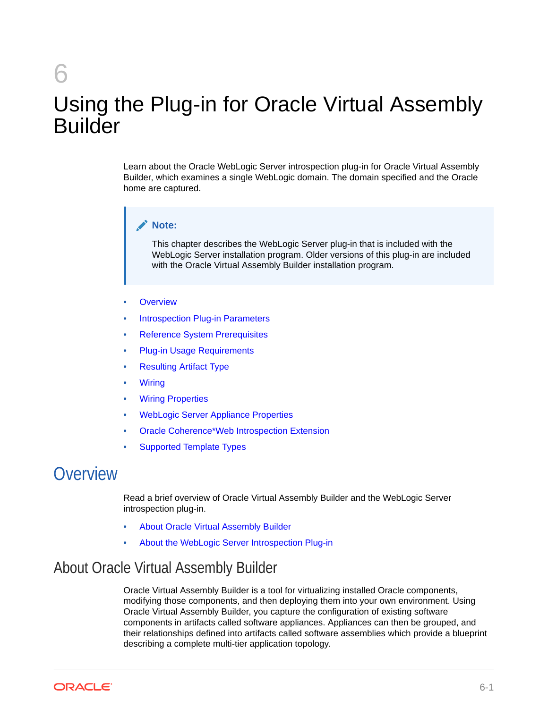# 6 Using the Plug-in for Oracle Virtual Assembly Builder

Learn about the Oracle WebLogic Server introspection plug-in for Oracle Virtual Assembly Builder, which examines a single WebLogic domain. The domain specified and the Oracle home are captured.

### **Note:**

This chapter describes the WebLogic Server plug-in that is included with the WebLogic Server installation program. Older versions of this plug-in are included with the Oracle Virtual Assembly Builder installation program.

- **Overview**
- [Introspection Plug-in Parameters](#page-58-0)
- [Reference System Prerequisites](#page-59-0)
- **[Plug-in Usage Requirements](#page-60-0)**
- [Resulting Artifact Type](#page-61-0)
- **[Wiring](#page-61-0)**
- **[Wiring Properties](#page-61-0)**
- [WebLogic Server Appliance Properties](#page-64-0)
- [Oracle Coherence\\*Web Introspection Extension](#page-67-0)
- [Supported Template Types](#page-67-0)

## **Overview**

Read a brief overview of Oracle Virtual Assembly Builder and the WebLogic Server introspection plug-in.

- About Oracle Virtual Assembly Builder
- [About the WebLogic Server Introspection Plug-in](#page-58-0)

## About Oracle Virtual Assembly Builder

Oracle Virtual Assembly Builder is a tool for virtualizing installed Oracle components, modifying those components, and then deploying them into your own environment. Using Oracle Virtual Assembly Builder, you capture the configuration of existing software components in artifacts called software appliances. Appliances can then be grouped, and their relationships defined into artifacts called software assemblies which provide a blueprint describing a complete multi-tier application topology.

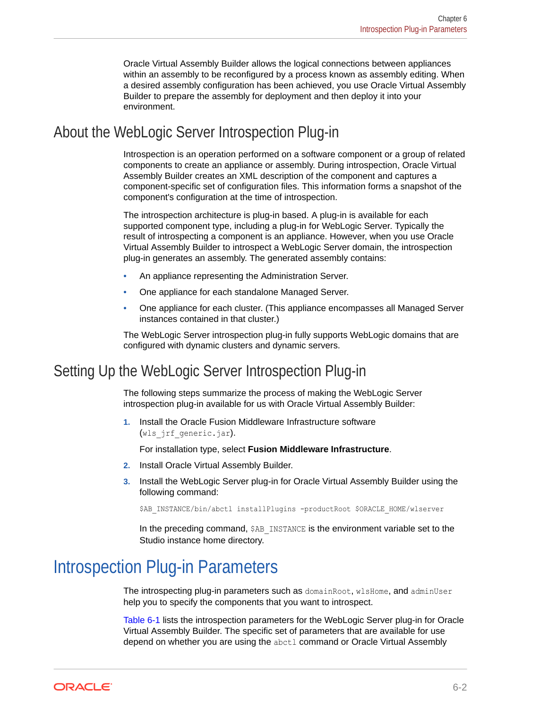Oracle Virtual Assembly Builder allows the logical connections between appliances within an assembly to be reconfigured by a process known as assembly editing. When a desired assembly configuration has been achieved, you use Oracle Virtual Assembly Builder to prepare the assembly for deployment and then deploy it into your environment.

## <span id="page-58-0"></span>About the WebLogic Server Introspection Plug-in

Introspection is an operation performed on a software component or a group of related components to create an appliance or assembly. During introspection, Oracle Virtual Assembly Builder creates an XML description of the component and captures a component-specific set of configuration files. This information forms a snapshot of the component's configuration at the time of introspection.

The introspection architecture is plug-in based. A plug-in is available for each supported component type, including a plug-in for WebLogic Server. Typically the result of introspecting a component is an appliance. However, when you use Oracle Virtual Assembly Builder to introspect a WebLogic Server domain, the introspection plug-in generates an assembly. The generated assembly contains:

- An appliance representing the Administration Server.
- One appliance for each standalone Managed Server.
- One appliance for each cluster. (This appliance encompasses all Managed Server instances contained in that cluster.)

The WebLogic Server introspection plug-in fully supports WebLogic domains that are configured with dynamic clusters and dynamic servers.

## Setting Up the WebLogic Server Introspection Plug-in

The following steps summarize the process of making the WebLogic Server introspection plug-in available for us with Oracle Virtual Assembly Builder:

**1.** Install the Oracle Fusion Middleware Infrastructure software (wls jrf generic.jar).

For installation type, select **Fusion Middleware Infrastructure**.

- **2.** Install Oracle Virtual Assembly Builder.
- **3.** Install the WebLogic Server plug-in for Oracle Virtual Assembly Builder using the following command:

\$AB\_INSTANCE/bin/abctl installPlugins -productRoot \$ORACLE\_HOME/wlserver

In the preceding command, \$AB\_INSTANCE is the environment variable set to the Studio instance home directory.

## Introspection Plug-in Parameters

The introspecting plug-in parameters such as domainRoot, wlsHome, and adminUser help you to specify the components that you want to introspect.

[Table 6-1](#page-59-0) lists the introspection parameters for the WebLogic Server plug-in for Oracle Virtual Assembly Builder. The specific set of parameters that are available for use depend on whether you are using the abctl command or Oracle Virtual Assembly

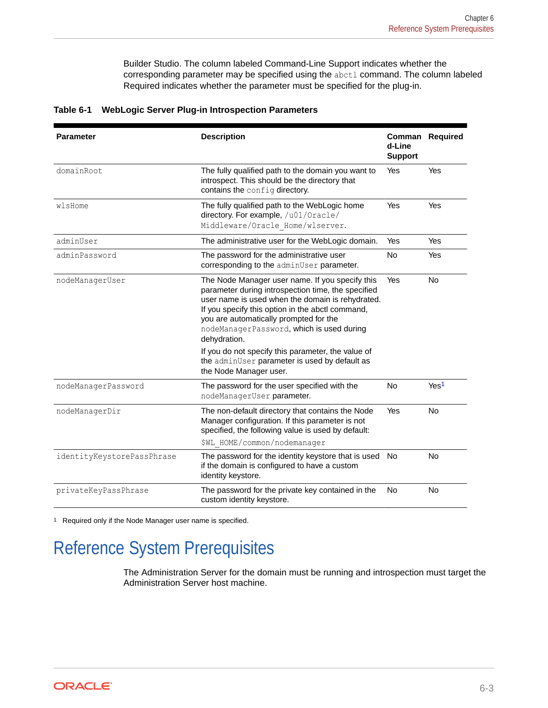Builder Studio. The column labeled Command-Line Support indicates whether the corresponding parameter may be specified using the abctl command. The column labeled Required indicates whether the parameter must be specified for the plug-in.

| <b>Parameter</b>           | <b>Description</b>                                                                                                                                                                                                                                                                                                                                                                                                                                    | d-Line<br><b>Support</b> | Comman Required  |  |
|----------------------------|-------------------------------------------------------------------------------------------------------------------------------------------------------------------------------------------------------------------------------------------------------------------------------------------------------------------------------------------------------------------------------------------------------------------------------------------------------|--------------------------|------------------|--|
| domainRoot                 | The fully qualified path to the domain you want to<br>introspect. This should be the directory that<br>contains the config directory.                                                                                                                                                                                                                                                                                                                 | Yes                      | Yes              |  |
| wlsHome                    | The fully qualified path to the WebLogic home<br>directory. For example, /u01/Oracle/<br>Middleware/Oracle Home/wlserver.                                                                                                                                                                                                                                                                                                                             | Yes                      | Yes              |  |
| adminUser                  | The administrative user for the WebLogic domain.                                                                                                                                                                                                                                                                                                                                                                                                      | Yes                      | Yes              |  |
| adminPassword              | The password for the administrative user<br>corresponding to the adminUser parameter.                                                                                                                                                                                                                                                                                                                                                                 | <b>No</b>                | Yes              |  |
| nodeManagerUser            | The Node Manager user name. If you specify this<br>parameter during introspection time, the specified<br>user name is used when the domain is rehydrated.<br>If you specify this option in the abctl command,<br>you are automatically prompted for the<br>nodeManagerPassword, which is used during<br>dehydration.<br>If you do not specify this parameter, the value of<br>the adminUser parameter is used by default as<br>the Node Manager user. | Yes                      | <b>No</b>        |  |
| nodeManagerPassword        | The password for the user specified with the<br>nodeManagerUser parameter.                                                                                                                                                                                                                                                                                                                                                                            | <b>No</b>                | Yes <sup>1</sup> |  |
| nodeManagerDir             | The non-default directory that contains the Node<br>Manager configuration. If this parameter is not<br>specified, the following value is used by default:                                                                                                                                                                                                                                                                                             | Yes                      | No               |  |
| identityKeystorePassPhrase | \$WL HOME/common/nodemanager<br>The password for the identity keystore that is used No                                                                                                                                                                                                                                                                                                                                                                |                          | <b>No</b>        |  |
|                            | if the domain is configured to have a custom<br>identity keystore.                                                                                                                                                                                                                                                                                                                                                                                    |                          |                  |  |
| privateKeyPassPhrase       | The password for the private key contained in the<br>custom identity keystore.                                                                                                                                                                                                                                                                                                                                                                        | No                       | No               |  |

#### <span id="page-59-0"></span>**Table 6-1 WebLogic Server Plug-in Introspection Parameters**

1 Required only if the Node Manager user name is specified.

## Reference System Prerequisites

The Administration Server for the domain must be running and introspection must target the Administration Server host machine.

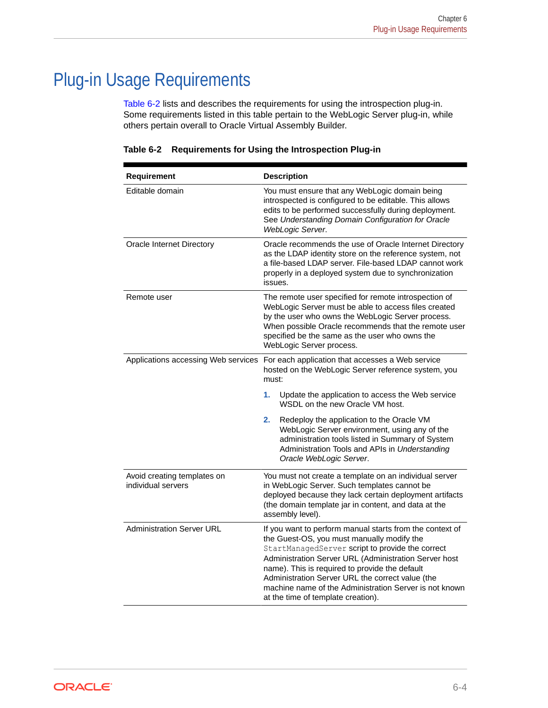## <span id="page-60-0"></span>Plug-in Usage Requirements

Table 6-2 lists and describes the requirements for using the introspection plug-in. Some requirements listed in this table pertain to the WebLogic Server plug-in, while others pertain overall to Oracle Virtual Assembly Builder.

| Requirement                                       | <b>Description</b>                                                                                                                                                                                                                                                                                                                                                                                                        |  |  |
|---------------------------------------------------|---------------------------------------------------------------------------------------------------------------------------------------------------------------------------------------------------------------------------------------------------------------------------------------------------------------------------------------------------------------------------------------------------------------------------|--|--|
| Editable domain                                   | You must ensure that any WebLogic domain being<br>introspected is configured to be editable. This allows<br>edits to be performed successfully during deployment.<br>See Understanding Domain Configuration for Oracle<br>WebLogic Server.                                                                                                                                                                                |  |  |
| Oracle Internet Directory                         | Oracle recommends the use of Oracle Internet Directory<br>as the LDAP identity store on the reference system, not<br>a file-based LDAP server. File-based LDAP cannot work<br>properly in a deployed system due to synchronization<br>issues.                                                                                                                                                                             |  |  |
| Remote user                                       | The remote user specified for remote introspection of<br>WebLogic Server must be able to access files created<br>by the user who owns the WebLogic Server process.<br>When possible Oracle recommends that the remote user<br>specified be the same as the user who owns the<br>WebLogic Server process.                                                                                                                  |  |  |
| Applications accessing Web services               | For each application that accesses a Web service<br>hosted on the WebLogic Server reference system, you<br>must:                                                                                                                                                                                                                                                                                                          |  |  |
|                                                   | 1.<br>Update the application to access the Web service<br>WSDL on the new Oracle VM host.                                                                                                                                                                                                                                                                                                                                 |  |  |
|                                                   | 2.<br>Redeploy the application to the Oracle VM<br>WebLogic Server environment, using any of the<br>administration tools listed in Summary of System<br>Administration Tools and APIs in Understanding<br>Oracle WebLogic Server.                                                                                                                                                                                         |  |  |
| Avoid creating templates on<br>individual servers | You must not create a template on an individual server<br>in WebLogic Server. Such templates cannot be<br>deployed because they lack certain deployment artifacts<br>(the domain template jar in content, and data at the<br>assembly level).                                                                                                                                                                             |  |  |
| <b>Administration Server URL</b>                  | If you want to perform manual starts from the context of<br>the Guest-OS, you must manually modify the<br>StartManagedServer script to provide the correct<br>Administration Server URL (Administration Server host<br>name). This is required to provide the default<br>Administration Server URL the correct value (the<br>machine name of the Administration Server is not known<br>at the time of template creation). |  |  |

**Table 6-2 Requirements for Using the Introspection Plug-in**

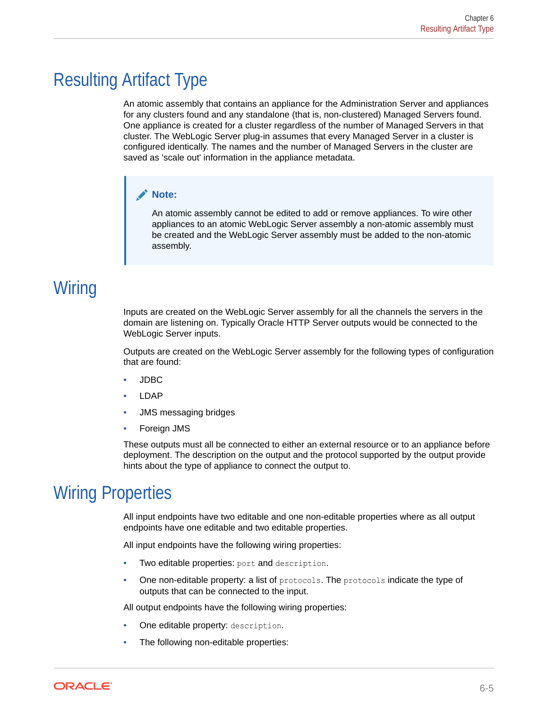## <span id="page-61-0"></span>Resulting Artifact Type

An atomic assembly that contains an appliance for the Administration Server and appliances for any clusters found and any standalone (that is, non-clustered) Managed Servers found. One appliance is created for a cluster regardless of the number of Managed Servers in that cluster. The WebLogic Server plug-in assumes that every Managed Server in a cluster is configured identically. The names and the number of Managed Servers in the cluster are saved as 'scale out' information in the appliance metadata.

### **Note:**

An atomic assembly cannot be edited to add or remove appliances. To wire other appliances to an atomic WebLogic Server assembly a non-atomic assembly must be created and the WebLogic Server assembly must be added to the non-atomic assembly.

## **Wiring**

Inputs are created on the WebLogic Server assembly for all the channels the servers in the domain are listening on. Typically Oracle HTTP Server outputs would be connected to the WebLogic Server inputs.

Outputs are created on the WebLogic Server assembly for the following types of configuration that are found:

- JDBC
- LDAP
- JMS messaging bridges
- Foreign JMS

These outputs must all be connected to either an external resource or to an appliance before deployment. The description on the output and the protocol supported by the output provide hints about the type of appliance to connect the output to.

## Wiring Properties

All input endpoints have two editable and one non-editable properties where as all output endpoints have one editable and two editable properties.

All input endpoints have the following wiring properties:

- Two editable properties: port and description.
- One non-editable property: a list of protocols. The protocols indicate the type of outputs that can be connected to the input.

All output endpoints have the following wiring properties:

- One editable property: description.
- The following non-editable properties:

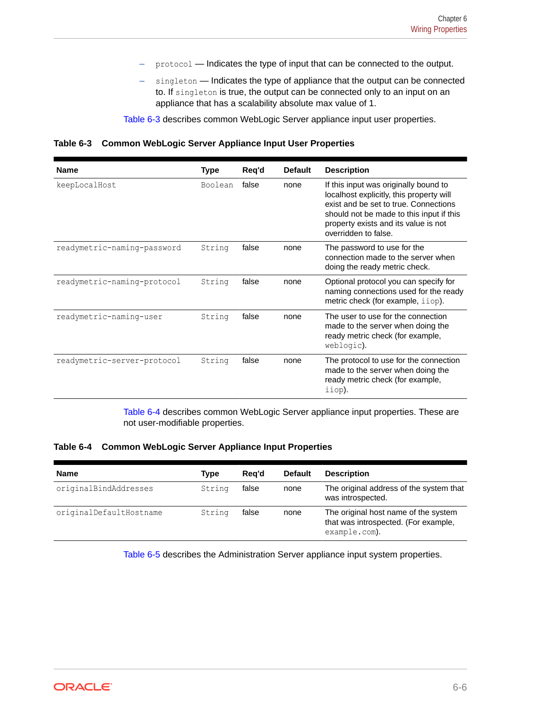- protocol Indicates the type of input that can be connected to the output.
- singleton Indicates the type of appliance that the output can be connected to. If singleton is true, the output can be connected only to an input on an appliance that has a scalability absolute max value of 1.

Table 6-3 describes common WebLogic Server appliance input user properties.

**Table 6-3 Common WebLogic Server Appliance Input User Properties**

| <b>Name</b>                 | Type    | Req'd | <b>Default</b> | <b>Description</b>                                                                                                                                                                                                                     |
|-----------------------------|---------|-------|----------------|----------------------------------------------------------------------------------------------------------------------------------------------------------------------------------------------------------------------------------------|
| keepLocalHost               | Boolean | false | none           | If this input was originally bound to<br>localhost explicitly, this property will<br>exist and be set to true. Connections<br>should not be made to this input if this<br>property exists and its value is not<br>overridden to false. |
| readymetric-naming-password | String  | false | none           | The password to use for the<br>connection made to the server when<br>doing the ready metric check.                                                                                                                                     |
| readymetric-naming-protocol | String  | false | none           | Optional protocol you can specify for<br>naming connections used for the ready<br>metric check (for example, iiop).                                                                                                                    |
| readymetric-naming-user     | String  | false | none           | The user to use for the connection<br>made to the server when doing the<br>ready metric check (for example,<br>weblogic).                                                                                                              |
| readymetric-server-protocol | String  | false | none           | The protocol to use for the connection<br>made to the server when doing the<br>ready metric check (for example,<br>iiop).                                                                                                              |

Table 6-4 describes common WebLogic Server appliance input properties. These are not user-modifiable properties.

**Table 6-4 Common WebLogic Server Appliance Input Properties**

| <b>Name</b>             | Type   | Rea'd | <b>Default</b> | <b>Description</b>                                                                            |
|-------------------------|--------|-------|----------------|-----------------------------------------------------------------------------------------------|
| originalBindAddresses   | String | false | none           | The original address of the system that<br>was introspected.                                  |
| originalDefaultHostname | String | false | none           | The original host name of the system<br>that was introspected. (For example,<br>example.com). |

[Table 6-5](#page-63-0) describes the Administration Server appliance input system properties.

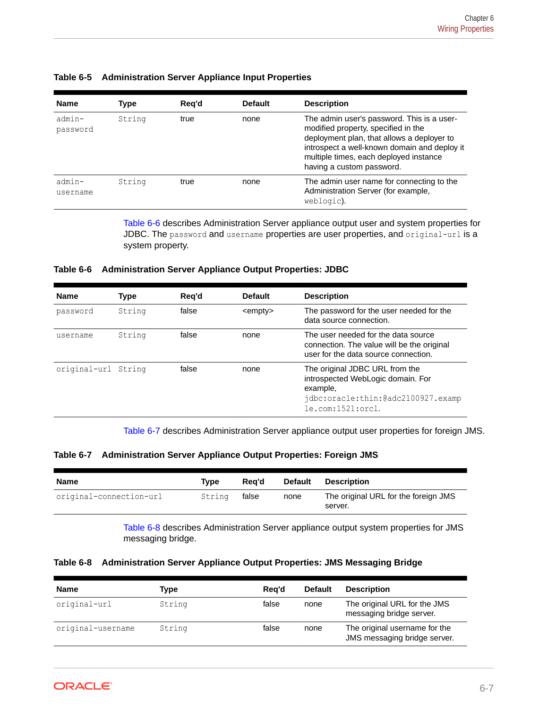| <b>Name</b>           | Type   | Req'd | <b>Default</b> | <b>Description</b>                                                                                                                                                                                                                                     |
|-----------------------|--------|-------|----------------|--------------------------------------------------------------------------------------------------------------------------------------------------------------------------------------------------------------------------------------------------------|
| $admin-$<br>password  | String | true  | none           | The admin user's password. This is a user-<br>modified property, specified in the<br>deployment plan, that allows a deployer to<br>introspect a well-known domain and deploy it<br>multiple times, each deployed instance<br>having a custom password. |
| $admin$ -<br>username | String | true  | none           | The admin user name for connecting to the<br>Administration Server (for example,<br>weblogic).                                                                                                                                                         |

### <span id="page-63-0"></span>**Table 6-5 Administration Server Appliance Input Properties**

Table 6-6 describes Administration Server appliance output user and system properties for JDBC. The password and username properties are user properties, and original-url is a system property.

### **Table 6-6 Administration Server Appliance Output Properties: JDBC**

| <b>Name</b>  | <b>Type</b> | Reg'd | <b>Default</b>   | <b>Description</b>                                                                                                                     |
|--------------|-------------|-------|------------------|----------------------------------------------------------------------------------------------------------------------------------------|
| password     | String      | false | $\leq$ empty $>$ | The password for the user needed for the<br>data source connection.                                                                    |
| username     | String      | false | none             | The user needed for the data source<br>connection. The value will be the original<br>user for the data source connection.              |
| original-url | String      | false | none             | The original JDBC URL from the<br>introspected WebLogic domain. For<br>example,<br>idbc:oracle:thin:@adc2100927.examp<br>le.com:1521:1 |

Table 6-7 describes Administration Server appliance output user properties for foreign JMS.

| Table 6-7 Administration Server Appliance Output Properties: Foreign JMS |  |  |  |
|--------------------------------------------------------------------------|--|--|--|
|                                                                          |  |  |  |

| <b>Name</b>             | Tvpe   | Rea'd | <b>Default</b> | Description                                     |
|-------------------------|--------|-------|----------------|-------------------------------------------------|
| original-connection-url | String | false | none           | The original URL for the foreign JMS<br>server. |

Table 6-8 describes Administration Server appliance output system properties for JMS messaging bridge.

|  |  | Table 6-8 Administration Server Appliance Output Properties: JMS Messaging Bridge |
|--|--|-----------------------------------------------------------------------------------|
|  |  |                                                                                   |

| <b>Name</b>       | Type   | Rea'd | <b>Default</b> | <b>Description</b>                                            |
|-------------------|--------|-------|----------------|---------------------------------------------------------------|
| original-url      | String | false | none           | The original URL for the JMS<br>messaging bridge server.      |
| original-username | String | false | none           | The original username for the<br>JMS messaging bridge server. |

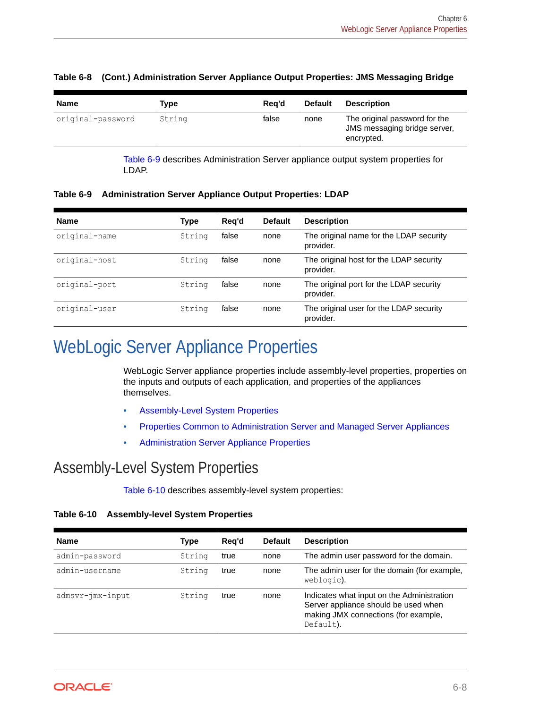| The original password for the<br>false<br>original-password<br>String<br>none<br>JMS messaging bridge server,<br>encrypted. |  |
|-----------------------------------------------------------------------------------------------------------------------------|--|

#### <span id="page-64-0"></span>**Table 6-8 (Cont.) Administration Server Appliance Output Properties: JMS Messaging Bridge**

Table 6-9 describes Administration Server appliance output system properties for LDAP.

**Table 6-9 Administration Server Appliance Output Properties: LDAP**

| <b>Name</b>   | <b>Type</b> | Rea'd | <b>Default</b> | <b>Description</b>                                   |
|---------------|-------------|-------|----------------|------------------------------------------------------|
| original-name | String      | false | none           | The original name for the LDAP security<br>provider. |
| original-host | String      | false | none           | The original host for the LDAP security<br>provider. |
| original-port | String      | false | none           | The original port for the LDAP security<br>provider. |
| original-user | String      | false | none           | The original user for the LDAP security<br>provider. |

## WebLogic Server Appliance Properties

WebLogic Server appliance properties include assembly-level properties, properties on the inputs and outputs of each application, and properties of the appliances themselves.

- Assembly-Level System Properties
- [Properties Common to Administration Server and Managed Server Appliances](#page-65-0)
- [Administration Server Appliance Properties](#page-66-0)

## Assembly-Level System Properties

Table 6-10 describes assembly-level system properties:

**Table 6-10 Assembly-level System Properties**

| <b>Name</b>      | <b>Type</b> | Reg'd | <b>Default</b> | <b>Description</b>                                                                                                                      |
|------------------|-------------|-------|----------------|-----------------------------------------------------------------------------------------------------------------------------------------|
| admin-password   | String      | true  | none           | The admin user password for the domain.                                                                                                 |
| admin-username   | String      | true  | none           | The admin user for the domain (for example,<br>weblogic).                                                                               |
| admsvr-jmx-input | String      | true  | none           | Indicates what input on the Administration<br>Server appliance should be used when<br>making JMX connections (for example,<br>Default). |

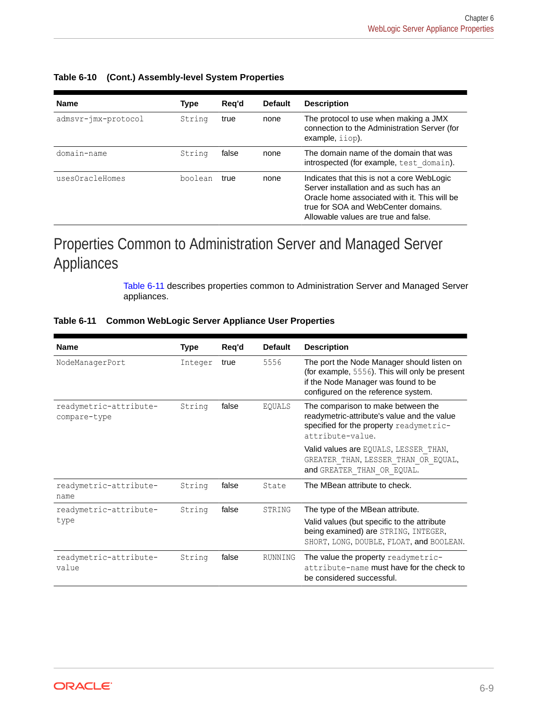| <b>Name</b>         | <b>Type</b> | Reg'd | <b>Default</b> | <b>Description</b>                                                                                                                                                                                                  |
|---------------------|-------------|-------|----------------|---------------------------------------------------------------------------------------------------------------------------------------------------------------------------------------------------------------------|
| admsvr-jmx-protocol | String      | true  | none           | The protocol to use when making a JMX<br>connection to the Administration Server (for<br>example, <i>iiop</i> ).                                                                                                    |
| domain-name         | String      | false | none           | The domain name of the domain that was<br>introspected (for example, test domain).                                                                                                                                  |
| usesOracleHomes     | boolean     | true  | none           | Indicates that this is not a core WebLogic<br>Server installation and as such has an<br>Oracle home associated with it. This will be<br>true for SOA and WebCenter domains.<br>Allowable values are true and false. |

### <span id="page-65-0"></span>**Table 6-10 (Cont.) Assembly-level System Properties**

## Properties Common to Administration Server and Managed Server Appliances

Table 6-11 describes properties common to Administration Server and Managed Server appliances.

| <b>Name</b>                            | <b>Type</b> | Req'd | <b>Default</b> | <b>Description</b>                                                                                                                                                         |
|----------------------------------------|-------------|-------|----------------|----------------------------------------------------------------------------------------------------------------------------------------------------------------------------|
| NodeManagerPort                        | Integer     | true  | 5556           | The port the Node Manager should listen on<br>(for example, 5556). This will only be present<br>if the Node Manager was found to be<br>configured on the reference system. |
| readymetric-attribute-<br>compare-type | String      | false | EQUALS         | The comparison to make between the<br>readymetric-attribute's value and the value<br>specified for the property readymetric-<br>attribute-value.                           |
|                                        |             |       |                | Valid values are EQUALS, LESSER THAN,<br>GREATER THAN, LESSER THAN OR EQUAL,<br>and GREATER THAN OR EQUAL.                                                                 |
| readymetric-attribute-<br>name         | String      | false | State          | The MBean attribute to check.                                                                                                                                              |
| readymetric-attribute-                 | String      | false | STRING         | The type of the MBean attribute.                                                                                                                                           |
| type                                   |             |       |                | Valid values (but specific to the attribute<br>being examined) are STRING, INTEGER,<br>SHORT, LONG, DOUBLE, FLOAT, and BOOLEAN.                                            |
| readymetric-attribute-<br>value        | String      | false | RUNNING        | The value the property readymetric-<br>attribute-name must have for the check to<br>be considered successful.                                                              |

### **Table 6-11 Common WebLogic Server Appliance User Properties**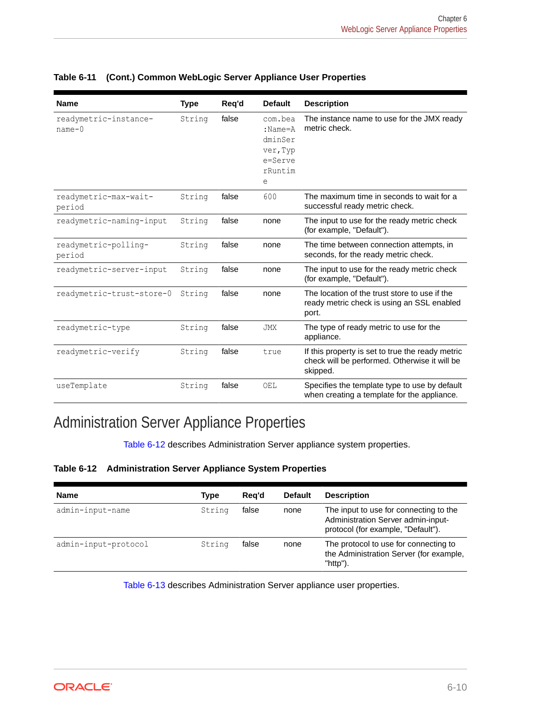| <b>Name</b>                       | <b>Type</b> | Req'd | <b>Default</b>                                                             | <b>Description</b>                                                                                            |
|-----------------------------------|-------------|-------|----------------------------------------------------------------------------|---------------------------------------------------------------------------------------------------------------|
| readymetric-instance-<br>$name-0$ | String      | false | com.bea<br>$:$ Name= $A$<br>dminSer<br>ver, Typ<br>e=Serve<br>rRuntim<br>е | The instance name to use for the JMX ready<br>metric check.                                                   |
| readymetric-max-wait-<br>period   | String      | false | 600                                                                        | The maximum time in seconds to wait for a<br>successful ready metric check.                                   |
| readymetric-naming-input          | String      | false | none                                                                       | The input to use for the ready metric check<br>(for example, "Default").                                      |
| readymetric-polling-<br>period    | String      | false | none                                                                       | The time between connection attempts, in<br>seconds, for the ready metric check.                              |
| readymetric-server-input          | String      | false | none                                                                       | The input to use for the ready metric check<br>(for example, "Default").                                      |
| readymetric-trust-store-0         | String      | false | none                                                                       | The location of the trust store to use if the<br>ready metric check is using an SSL enabled<br>port.          |
| readymetric-type                  | String      | false | <b>JMX</b>                                                                 | The type of ready metric to use for the<br>appliance.                                                         |
| readymetric-verify                | String      | false | true                                                                       | If this property is set to true the ready metric<br>check will be performed. Otherwise it will be<br>skipped. |
| useTemplate                       | String      | false | OEL                                                                        | Specifies the template type to use by default<br>when creating a template for the appliance.                  |

### <span id="page-66-0"></span>**Table 6-11 (Cont.) Common WebLogic Server Appliance User Properties**

## Administration Server Appliance Properties

Table 6-12 describes Administration Server appliance system properties.

### **Table 6-12 Administration Server Appliance System Properties**

| <b>Name</b>          | Type   | Rea'd | <b>Default</b> | <b>Description</b>                                                                                                 |
|----------------------|--------|-------|----------------|--------------------------------------------------------------------------------------------------------------------|
| admin-input-name     | String | false | none           | The input to use for connecting to the<br>Administration Server admin-input-<br>protocol (for example, "Default"). |
| admin-input-protocol | String | false | none           | The protocol to use for connecting to<br>the Administration Server (for example,<br>"http").                       |

[Table 6-13](#page-67-0) describes Administration Server appliance user properties.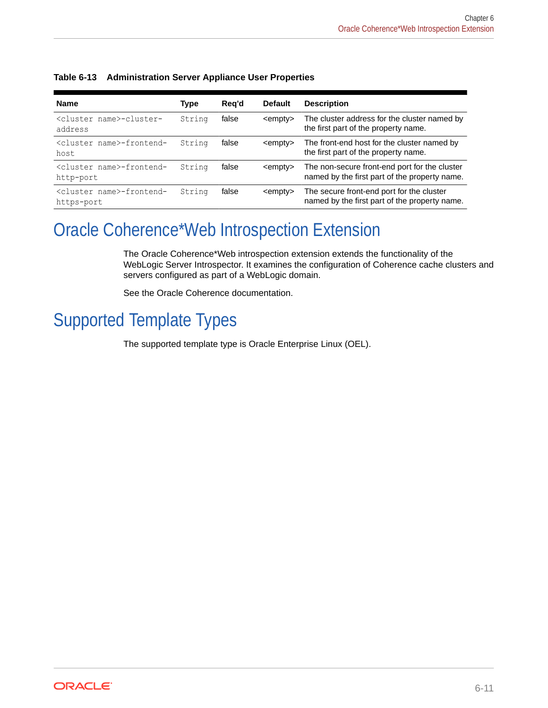| <b>Name</b>                                          | Type   | Reg'd | <b>Default</b>   | <b>Description</b>                                                                             |
|------------------------------------------------------|--------|-------|------------------|------------------------------------------------------------------------------------------------|
| <cluster name="">-cluster-<br/>address</cluster>     | String | false | $\leq$ empty $>$ | The cluster address for the cluster named by<br>the first part of the property name.           |
| <cluster name="">-frontend-<br/>host</cluster>       | String | false | <empty></empty>  | The front-end host for the cluster named by<br>the first part of the property name.            |
| <cluster name="">-frontend-<br/>http-port</cluster>  | String | false | <empty></empty>  | The non-secure front-end port for the cluster<br>named by the first part of the property name. |
| <cluster name="">-frontend-<br/>https-port</cluster> | String | false | <empty></empty>  | The secure front-end port for the cluster<br>named by the first part of the property name.     |

### <span id="page-67-0"></span>**Table 6-13 Administration Server Appliance User Properties**

## Oracle Coherence\*Web Introspection Extension

The Oracle Coherence\*Web introspection extension extends the functionality of the WebLogic Server Introspector. It examines the configuration of Coherence cache clusters and servers configured as part of a WebLogic domain.

See the Oracle Coherence documentation.

## Supported Template Types

The supported template type is Oracle Enterprise Linux (OEL).

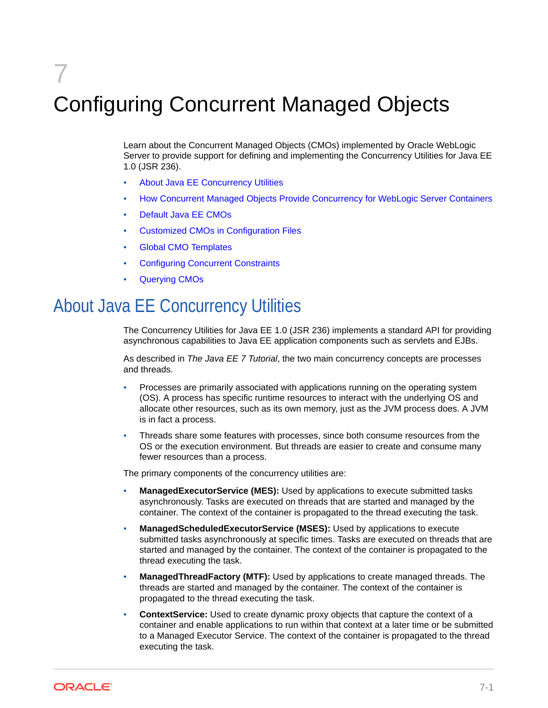# 7 Configuring Concurrent Managed Objects

Learn about the Concurrent Managed Objects (CMOs) implemented by Oracle WebLogic Server to provide support for defining and implementing the Concurrency Utilities for Java EE 1.0 (JSR 236).

- About Java EE Concurrency Utilities
- [How Concurrent Managed Objects Provide Concurrency for WebLogic Server Containers](#page-69-0)
- [Default Java EE CMOs](#page-78-0)
- [Customized CMOs in Configuration Files](#page-81-0)
- [Global CMO Templates](#page-91-0)
- [Configuring Concurrent Constraints](#page-93-0)
- [Querying CMOs](#page-94-0)

## About Java EE Concurrency Utilities

The Concurrency Utilities for Java EE 1.0 (JSR 236) implements a standard API for providing asynchronous capabilities to Java EE application components such as servlets and EJBs.

As described in *The Java EE 7 Tutorial*, the two main concurrency concepts are processes and threads.

- Processes are primarily associated with applications running on the operating system (OS). A process has specific runtime resources to interact with the underlying OS and allocate other resources, such as its own memory, just as the JVM process does. A JVM is in fact a process.
- Threads share some features with processes, since both consume resources from the OS or the execution environment. But threads are easier to create and consume many fewer resources than a process.

The primary components of the concurrency utilities are:

- **ManagedExecutorService (MES):** Used by applications to execute submitted tasks asynchronously. Tasks are executed on threads that are started and managed by the container. The context of the container is propagated to the thread executing the task.
- **ManagedScheduledExecutorService (MSES):** Used by applications to execute submitted tasks asynchronously at specific times. Tasks are executed on threads that are started and managed by the container. The context of the container is propagated to the thread executing the task.
- **ManagedThreadFactory (MTF):** Used by applications to create managed threads. The threads are started and managed by the container. The context of the container is propagated to the thread executing the task.
- **ContextService:** Used to create dynamic proxy objects that capture the context of a container and enable applications to run within that context at a later time or be submitted to a Managed Executor Service. The context of the container is propagated to the thread executing the task.

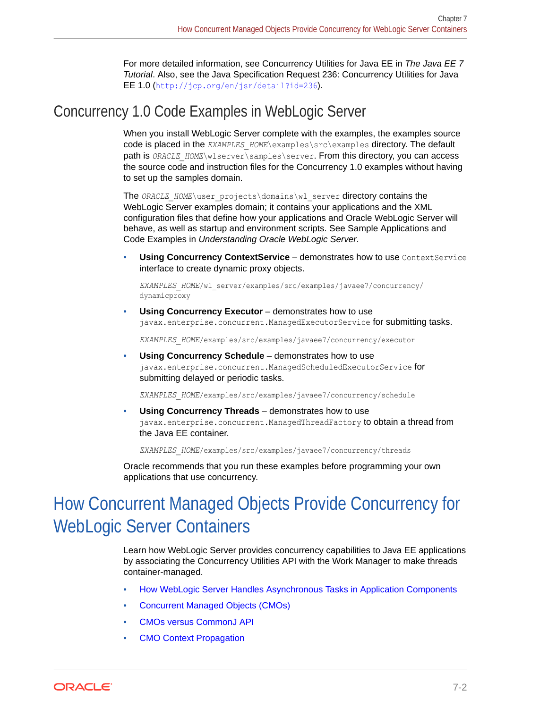For more detailed information, see Concurrency Utilities for Java EE in *The Java EE 7 Tutorial*. Also, see the Java Specification Request 236: Concurrency Utilities for Java EE 1.0 (<http://jcp.org/en/jsr/detail?id=236>).

## <span id="page-69-0"></span>Concurrency 1.0 Code Examples in WebLogic Server

When you install WebLogic Server complete with the examples, the examples source code is placed in the *EXAMPLES\_HOME*\examples\src\examples directory. The default path is *ORACLE\_HOME*\wlserver\samples\server. From this directory, you can access the source code and instruction files for the Concurrency 1.0 examples without having to set up the samples domain.

The *ORACLE\_HOME*\user\_projects\domains\wl\_server directory contains the WebLogic Server examples domain; it contains your applications and the XML configuration files that define how your applications and Oracle WebLogic Server will behave, as well as startup and environment scripts. See Sample Applications and Code Examples in *Understanding Oracle WebLogic Server*.

**Using Concurrency ContextService** – demonstrates how to use ContextService interface to create dynamic proxy objects.

*EXAMPLES\_HOME*/wl\_server/examples/src/examples/javaee7/concurrency/ dynamicproxy

**Using Concurrency Executor** – demonstrates how to use javax.enterprise.concurrent.ManagedExecutorService for submitting tasks.

*EXAMPLES\_HOME*/examples/src/examples/javaee7/concurrency/executor

• **Using Concurrency Schedule** – demonstrates how to use javax.enterprise.concurrent.ManagedScheduledExecutorService for submitting delayed or periodic tasks.

*EXAMPLES\_HOME*/examples/src/examples/javaee7/concurrency/schedule

• **Using Concurrency Threads** – demonstrates how to use javax.enterprise.concurrent.ManagedThreadFactory to obtain a thread from the Java EE container.

*EXAMPLES\_HOME*/examples/src/examples/javaee7/concurrency/threads

Oracle recommends that you run these examples before programming your own applications that use concurrency.

## How Concurrent Managed Objects Provide Concurrency for WebLogic Server Containers

Learn how WebLogic Server provides concurrency capabilities to Java EE applications by associating the Concurrency Utilities API with the Work Manager to make threads container-managed.

- [How WebLogic Server Handles Asynchronous Tasks in Application Components](#page-70-0)
- [Concurrent Managed Objects \(CMOs\)](#page-70-0)
- [CMOs versus CommonJ API](#page-71-0)
- **[CMO Context Propagation](#page-72-0)**

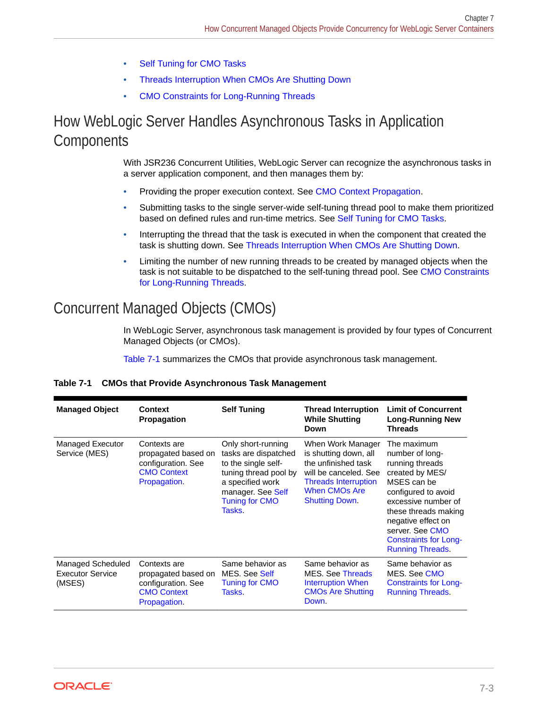- **[Self Tuning for CMO Tasks](#page-73-0)**
- [Threads Interruption When CMOs Are Shutting Down](#page-74-0)
- [CMO Constraints for Long-Running Threads](#page-75-0)

## <span id="page-70-0"></span>How WebLogic Server Handles Asynchronous Tasks in Application **Components**

With JSR236 Concurrent Utilities, WebLogic Server can recognize the asynchronous tasks in a server application component, and then manages them by:

- Providing the proper execution context. See [CMO Context Propagation](#page-72-0).
- Submitting tasks to the single server-wide self-tuning thread pool to make them prioritized based on defined rules and run-time metrics. See [Self Tuning for CMO Tasks](#page-73-0).
- Interrupting the thread that the task is executed in when the component that created the task is shutting down. See [Threads Interruption When CMOs Are Shutting Down](#page-74-0).
- Limiting the number of new running threads to be created by managed objects when the task is not suitable to be dispatched to the self-tuning thread pool. See [CMO Constraints](#page-75-0) [for Long-Running Threads.](#page-75-0)

## Concurrent Managed Objects (CMOs)

In WebLogic Server, asynchronous task management is provided by four types of Concurrent Managed Objects (or CMOs).

Table 7-1 summarizes the CMOs that provide asynchronous task management.

| <b>Managed Object</b>                           | <b>Context</b><br>Propagation                                                                   | <b>Self Tuning</b>                                                                                                                                                     | <b>Thread Interruption</b><br><b>While Shutting</b><br>Down                                                                                                         | <b>Limit of Concurrent</b><br><b>Long-Running New</b><br><b>Threads</b>                                                                                                                                                                                       |
|-------------------------------------------------|-------------------------------------------------------------------------------------------------|------------------------------------------------------------------------------------------------------------------------------------------------------------------------|---------------------------------------------------------------------------------------------------------------------------------------------------------------------|---------------------------------------------------------------------------------------------------------------------------------------------------------------------------------------------------------------------------------------------------------------|
| Managed Executor<br>Service (MES)               | Contexts are<br>propagated based on<br>configuration. See<br><b>CMO Context</b><br>Propagation. | Only short-running<br>tasks are dispatched<br>to the single self-<br>tuning thread pool by<br>a specified work<br>manager. See Self<br><b>Tuning for CMO</b><br>Tasks. | When Work Manager<br>is shutting down, all<br>the unfinished task<br>will be canceled. See<br><b>Threads Interruption</b><br>When CMOs Are<br><b>Shutting Down.</b> | The maximum<br>number of long-<br>running threads<br>created by MES/<br>MSES can be<br>configured to avoid<br>excessive number of<br>these threads making<br>negative effect on<br>server. See CMO<br><b>Constraints for Long-</b><br><b>Running Threads.</b> |
| Managed Scheduled<br>Executor Service<br>(MSES) | Contexts are<br>propagated based on<br>configuration. See<br><b>CMO Context</b><br>Propagation. | Same behavior as<br>MES. See Self<br><b>Tuning for CMO</b><br>Tasks.                                                                                                   | Same behavior as<br><b>MES.</b> See Threads<br><b>Interruption When</b><br><b>CMOs Are Shutting</b><br>Down.                                                        | Same behavior as<br>MES. See CMO<br><b>Constraints for Long-</b><br><b>Running Threads.</b>                                                                                                                                                                   |

### **Table 7-1 CMOs that Provide Asynchronous Task Management**

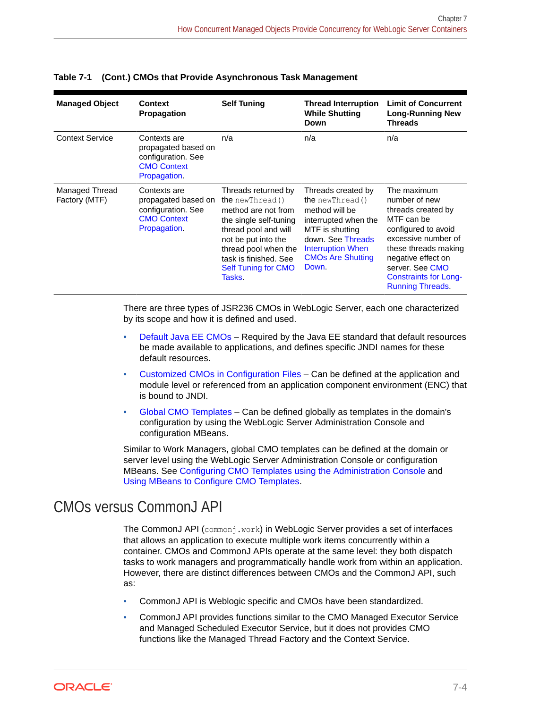| <b>Managed Object</b>           | Context<br><b>Propagation</b>                                                                   | <b>Self Tuning</b>                                                                                                                                                                                                                      | <b>Thread Interruption</b><br><b>While Shutting</b><br>Down                                                                                                                                       | <b>Limit of Concurrent</b><br><b>Long-Running New</b><br><b>Threads</b>                                                                                                                                                                    |
|---------------------------------|-------------------------------------------------------------------------------------------------|-----------------------------------------------------------------------------------------------------------------------------------------------------------------------------------------------------------------------------------------|---------------------------------------------------------------------------------------------------------------------------------------------------------------------------------------------------|--------------------------------------------------------------------------------------------------------------------------------------------------------------------------------------------------------------------------------------------|
| <b>Context Service</b>          | Contexts are<br>propagated based on<br>configuration. See<br><b>CMO Context</b><br>Propagation. | n/a                                                                                                                                                                                                                                     | n/a                                                                                                                                                                                               | n/a                                                                                                                                                                                                                                        |
| Managed Thread<br>Factory (MTF) | Contexts are<br>propagated based on<br>configuration. See<br><b>CMO Context</b><br>Propagation. | Threads returned by<br><b>the</b> newThread ()<br>method are not from<br>the single self-tuning<br>thread pool and will<br>not be put into the<br>thread pool when the<br>task is finished. See<br><b>Self Tuning for CMO</b><br>Tasks. | Threads created by<br><b>the</b> $newThread()$<br>method will be<br>interrupted when the<br>MTF is shutting<br>down. See Threads<br><b>Interruption When</b><br><b>CMOs Are Shutting</b><br>Down. | The maximum<br>number of new<br>threads created by<br>MTF can be<br>configured to avoid<br>excessive number of<br>these threads making<br>negative effect on<br>server. See CMO<br><b>Constraints for Long-</b><br><b>Running Threads.</b> |

<span id="page-71-0"></span>**Table 7-1 (Cont.) CMOs that Provide Asynchronous Task Management**

There are three types of JSR236 CMOs in WebLogic Server, each one characterized by its scope and how it is defined and used.

- [Default Java EE CMOs](#page-78-0)  Required by the Java EE standard that default resources be made available to applications, and defines specific JNDI names for these default resources.
- [Customized CMOs in Configuration Files](#page-81-0)  Can be defined at the application and module level or referenced from an application component environment (ENC) that is bound to JNDI.
- [Global CMO Templates](#page-91-0) Can be defined globally as templates in the domain's configuration by using the WebLogic Server Administration Console and configuration MBeans.

Similar to Work Managers, global CMO templates can be defined at the domain or server level using the WebLogic Server Administration Console or configuration MBeans. See [Configuring CMO Templates using the Administration Console](#page-92-0) and [Using MBeans to Configure CMO Templates.](#page-92-0)

## CMOs versus CommonJ API

The CommonJ API (commonj.work) in WebLogic Server provides a set of interfaces that allows an application to execute multiple work items concurrently within a container. CMOs and CommonJ APIs operate at the same level: they both dispatch tasks to work managers and programmatically handle work from within an application. However, there are distinct differences between CMOs and the CommonJ API, such as:

- CommonJ API is Weblogic specific and CMOs have been standardized.
- CommonJ API provides functions similar to the CMO Managed Executor Service and Managed Scheduled Executor Service, but it does not provides CMO functions like the Managed Thread Factory and the Context Service.

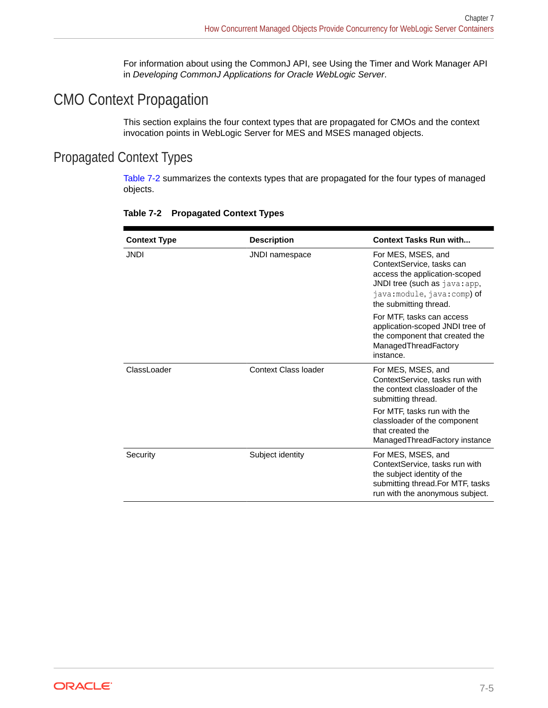For information about using the CommonJ API, see Using the Timer and Work Manager API in *Developing CommonJ Applications for Oracle WebLogic Server*.

# CMO Context Propagation

This section explains the four context types that are propagated for CMOs and the context invocation points in WebLogic Server for MES and MSES managed objects.

### Propagated Context Types

Table 7-2 summarizes the contexts types that are propagated for the four types of managed objects.

| <b>Context Type</b> | <b>Description</b>          | <b>Context Tasks Run with</b>                                                                                                                                             |  |
|---------------------|-----------------------------|---------------------------------------------------------------------------------------------------------------------------------------------------------------------------|--|
| <b>JNDI</b>         | <b>JNDI</b> namespace       | For MES, MSES, and<br>ContextService, tasks can<br>access the application-scoped<br>JNDI tree (such as java: app,<br>java:module, java:comp) of<br>the submitting thread. |  |
|                     |                             | For MTF, tasks can access<br>application-scoped JNDI tree of<br>the component that created the<br>ManagedThreadFactory<br>instance.                                       |  |
| ClassLoader         | <b>Context Class loader</b> | For MES, MSES, and<br>ContextService, tasks run with<br>the context classloader of the<br>submitting thread.                                                              |  |
|                     |                             | For MTF, tasks run with the<br>classloader of the component<br>that created the<br>Managed Thread Factory instance                                                        |  |
| Security            | Subject identity            | For MES, MSES, and<br>ContextService, tasks run with<br>the subject identity of the<br>submitting thread. For MTF, tasks<br>run with the anonymous subject.               |  |

#### **Table 7-2 Propagated Context Types**

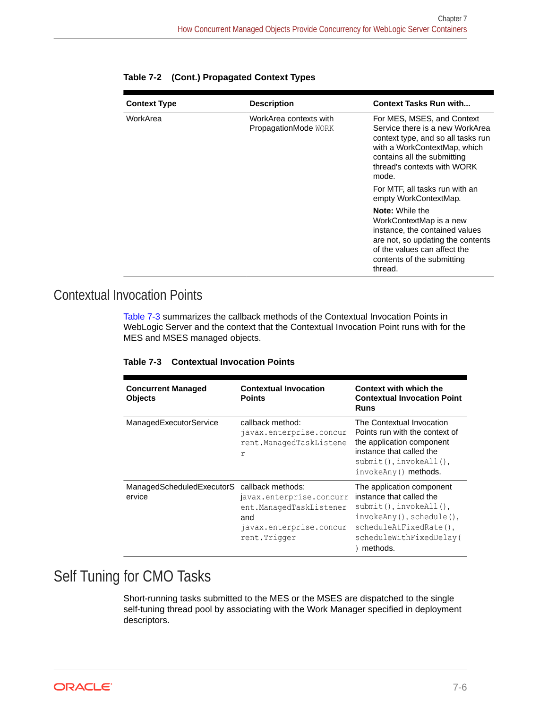| <b>Context Type</b> | <b>Description</b>                             | <b>Context Tasks Run with</b>                                                                                                                                                                              |
|---------------------|------------------------------------------------|------------------------------------------------------------------------------------------------------------------------------------------------------------------------------------------------------------|
| WorkArea            | WorkArea contexts with<br>PropagationMode WORK | For MES, MSES, and Context<br>Service there is a new WorkArea<br>context type, and so all tasks run<br>with a WorkContextMap, which<br>contains all the submitting<br>thread's contexts with WORK<br>mode. |
|                     |                                                | For MTF, all tasks run with an<br>empty WorkContextMap.                                                                                                                                                    |
|                     |                                                | <b>Note:</b> While the<br>WorkContextMap is a new<br>instance, the contained values<br>are not, so updating the contents<br>of the values can affect the<br>contents of the submitting<br>thread.          |

|  |  | Table 7-2 (Cont.) Propagated Context Types |  |  |
|--|--|--------------------------------------------|--|--|
|--|--|--------------------------------------------|--|--|

### Contextual Invocation Points

Table 7-3 summarizes the callback methods of the Contextual Invocation Points in WebLogic Server and the context that the Contextual Invocation Point runs with for the MES and MSES managed objects.

| Table 7-3 Contextual Invocation Points |  |
|----------------------------------------|--|
|----------------------------------------|--|

| <b>Concurrent Managed</b><br><b>Objects</b> | <b>Contextual Invocation</b><br><b>Points</b>                                                                               | Context with which the<br><b>Contextual Invocation Point</b><br><b>Runs</b>                                                                                                                 |
|---------------------------------------------|-----------------------------------------------------------------------------------------------------------------------------|---------------------------------------------------------------------------------------------------------------------------------------------------------------------------------------------|
| ManagedExecutorService                      | callback method:<br>javax.enterprise.concur<br>rent.ManagedTaskListene<br>r                                                 | The Contextual Invocation<br>Points run with the context of<br>the application component<br>instance that called the<br>$submit()$ , $invokeAll()$ ,<br>invokeAny() methods.                |
| ManagedScheduledExecutorS<br>ervice         | callback methods:<br>javax.enterprise.concurr<br>ent.ManagedTaskListener<br>and<br>javax.enterprise.concur<br>rent. Trigger | The application component<br>instance that called the<br>$submit()$ , $invokeAll()$ ,<br>$invokeAny()$ , schedule $()$ ,<br>scheduleAtFixedRate(),<br>scheduleWithFixedDelay(<br>) methods. |

# Self Tuning for CMO Tasks

Short-running tasks submitted to the MES or the MSES are dispatched to the single self-tuning thread pool by associating with the Work Manager specified in deployment descriptors.

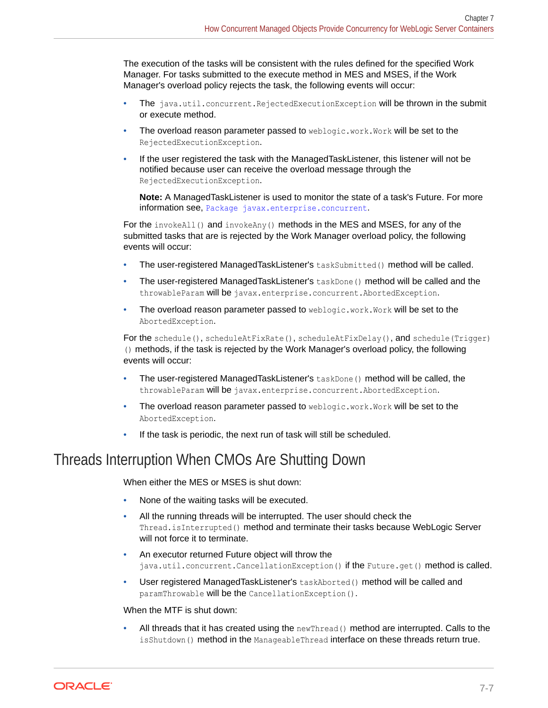The execution of the tasks will be consistent with the rules defined for the specified Work Manager. For tasks submitted to the execute method in MES and MSES, if the Work Manager's overload policy rejects the task, the following events will occur:

- The java.util.concurrent.RejectedExecutionException will be thrown in the submit or execute method.
- The overload reason parameter passed to weblogic.work.Work will be set to the RejectedExecutionException.
- If the user registered the task with the ManagedTaskListener, this listener will not be notified because user can receive the overload message through the RejectedExecutionException.

**Note:** A ManagedTaskListener is used to monitor the state of a task's Future. For more information see, [Package javax.enterprise.concurrent](http://docs.oracle.com/javaee/7/api/javax/enterprise/concurrent/package-summary.html).

For the invokeAll() and invokeAny() methods in the MES and MSES, for any of the submitted tasks that are is rejected by the Work Manager overload policy, the following events will occur:

- The user-registered ManagedTaskListener's taskSubmitted() method will be called.
- The user-registered ManagedTaskListener's taskDone() method will be called and the throwableParam will be javax.enterprise.concurrent.AbortedException.
- The overload reason parameter passed to weblogic.work.Work will be set to the AbortedException.

For the schedule(), scheduleAtFixRate(), scheduleAtFixDelay(), and schedule(Trigger) () methods, if the task is rejected by the Work Manager's overload policy, the following events will occur:

- The user-registered ManagedTaskListener's taskDone() method will be called, the throwableParam will be javax.enterprise.concurrent.AbortedException.
- The overload reason parameter passed to weblogic.work.Work will be set to the AbortedException.
- If the task is periodic, the next run of task will still be scheduled.

# Threads Interruption When CMOs Are Shutting Down

When either the MES or MSES is shut down:

- None of the waiting tasks will be executed.
- All the running threads will be interrupted. The user should check the Thread.isInterrupted() method and terminate their tasks because WebLogic Server will not force it to terminate.
- An executor returned Future object will throw the java.util.concurrent.CancellationException() if the Future.get() method is called.
- User registered ManagedTaskListener's taskAborted() method will be called and paramThrowable will be the CancellationException().

#### When the MTF is shut down:

All threads that it has created using the newThread() method are interrupted. Calls to the isShutdown() method in the ManageableThread interface on these threads return true.

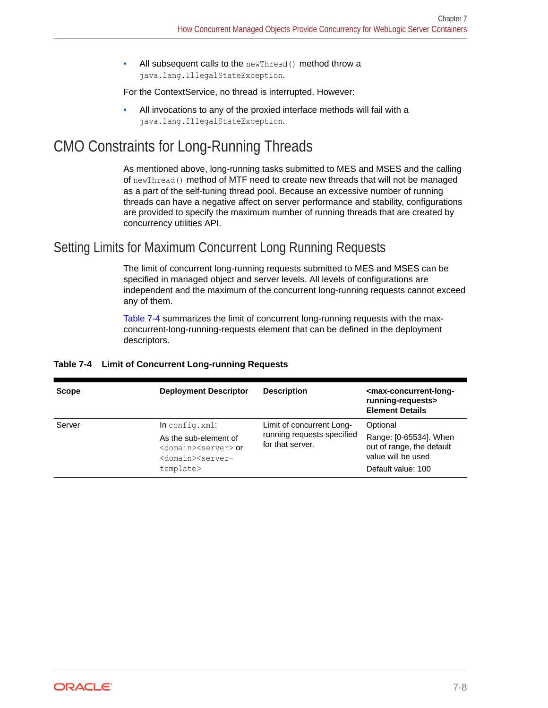<span id="page-75-0"></span>All subsequent calls to the newThread() method throw a java.lang.IllegalStateException.

For the ContextService, no thread is interrupted. However:

• All invocations to any of the proxied interface methods will fail with a java.lang.IllegalStateException.

# CMO Constraints for Long-Running Threads

As mentioned above, long-running tasks submitted to MES and MSES and the calling of newThread() method of MTF need to create new threads that will not be managed as a part of the self-tuning thread pool. Because an excessive number of running threads can have a negative affect on server performance and stability, configurations are provided to specify the maximum number of running threads that are created by concurrency utilities API.

### Setting Limits for Maximum Concurrent Long Running Requests

The limit of concurrent long-running requests submitted to MES and MSES can be specified in managed object and server levels. All levels of configurations are independent and the maximum of the concurrent long-running requests cannot exceed any of them.

Table 7-4 summarizes the limit of concurrent long-running requests with the maxconcurrent-long-running-requests element that can be defined in the deployment descriptors.

| <b>Scope</b> | <b>Deployment Descriptor</b>                                                                                              | <b>Description</b>                             | <max-concurrent-long-<br>running-requests&gt;<br/><b>Element Details</b></max-concurrent-long-<br> |  |
|--------------|---------------------------------------------------------------------------------------------------------------------------|------------------------------------------------|----------------------------------------------------------------------------------------------------|--|
| Server       | $In confiq.xml$ :                                                                                                         | Limit of concurrent Long-                      | Optional                                                                                           |  |
|              | As the sub-element of<br><domain><server> or<br/><domain><server-<br>template&gt;</server-<br></domain></server></domain> | running requests specified<br>for that server. | Range: [0-65534]. When<br>out of range, the default<br>value will be used<br>Default value: 100    |  |

#### **Table 7-4 Limit of Concurrent Long-running Requests**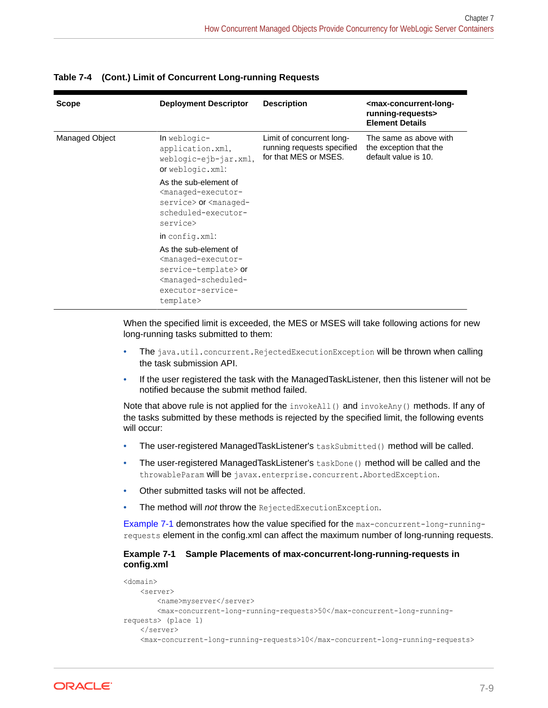| <b>Scope</b>   | <b>Deployment Descriptor</b>                                                                                                                                                        | <b>Description</b>                                                               | <max-concurrent-long-<br>running-requests&gt;<br/><b>Element Details</b></max-concurrent-long-<br> |
|----------------|-------------------------------------------------------------------------------------------------------------------------------------------------------------------------------------|----------------------------------------------------------------------------------|----------------------------------------------------------------------------------------------------|
| Managed Object | In weblogic-<br>application.xml,<br>weblogic-ejb-jar.xml,<br>or weblogic.xml:                                                                                                       | Limit of concurrent long-<br>running requests specified<br>for that MES or MSES. | The same as above with<br>the exception that the<br>default value is 10.                           |
|                | As the sub-element of<br><managed-executor-<br>service&gt; or <managed-<br>scheduled-executor-<br/>service&gt;</managed-<br></managed-executor-<br>                                 |                                                                                  |                                                                                                    |
|                | in config.xml:                                                                                                                                                                      |                                                                                  |                                                                                                    |
|                | As the sub-element of<br><managed-executor-<br>service-template&gt; or<br/><managed-scheduled-<br>executor-service-<br/>template&gt;</managed-scheduled-<br></managed-executor-<br> |                                                                                  |                                                                                                    |

**Table 7-4 (Cont.) Limit of Concurrent Long-running Requests**

When the specified limit is exceeded, the MES or MSES will take following actions for new long-running tasks submitted to them:

- The java.util.concurrent.RejectedExecutionException will be thrown when calling the task submission API.
- If the user registered the task with the ManagedTaskListener, then this listener will not be notified because the submit method failed.

Note that above rule is not applied for the invokeAll() and invokeAny() methods. If any of the tasks submitted by these methods is rejected by the specified limit, the following events will occur:

- The user-registered ManagedTaskListener's taskSubmitted() method will be called.
- The user-registered ManagedTaskListener's taskDone() method will be called and the throwableParam will be javax.enterprise.concurrent.AbortedException.
- Other submitted tasks will not be affected.
- The method will *not* throw the RejectedExecutionException.

Example 7-1 demonstrates how the value specified for the max-concurrent-long-runningrequests element in the config.xml can affect the maximum number of long-running requests.

#### **Example 7-1 Sample Placements of max-concurrent-long-running-requests in config.xml**

```
<domain>
    <server>
        <name>myserver</server>
         <max-concurrent-long-running-requests>50</max-concurrent-long-running-
requests> (place 1)
    </server>
     <max-concurrent-long-running-requests>10</max-concurrent-long-running-requests>
```
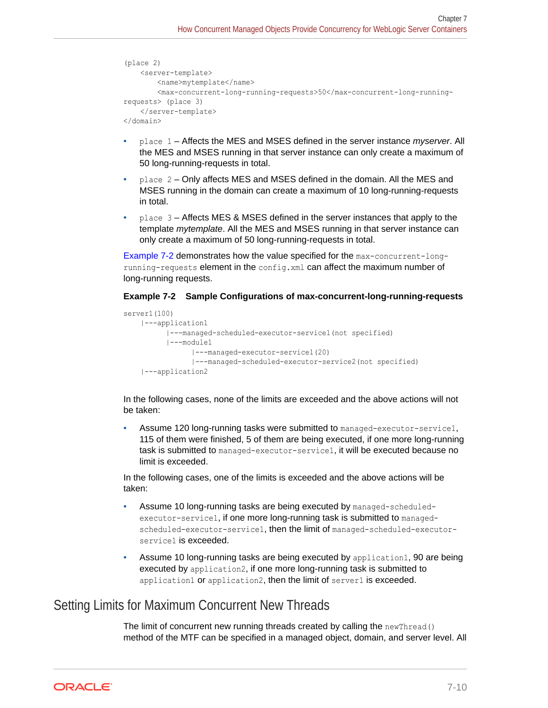```
(place 2)
     <server-template>
        <name>mytemplate</name>
         <max-concurrent-long-running-requests>50</max-concurrent-long-running-
requests> (place 3)
    </server-template>
</domain>
```
- place 1 Affects the MES and MSES defined in the server instance *myserver*. All the MES and MSES running in that server instance can only create a maximum of 50 long-running-requests in total.
- place 2 Only affects MES and MSES defined in the domain. All the MES and MSES running in the domain can create a maximum of 10 long-running-requests in total.
- place 3 Affects MES & MSES defined in the server instances that apply to the template *mytemplate*. All the MES and MSES running in that server instance can only create a maximum of 50 long-running-requests in total.

Example 7-2 demonstrates how the value specified for the max-concurrent-longrunning-requests element in the config.xml can affect the maximum number of long-running requests.

#### **Example 7-2 Sample Configurations of max-concurrent-long-running-requests**

```
server1(100)
     |---application1
           |---managed-scheduled-executor-service1(not specified)
           |---module1
                 |---managed-executor-service1(20)
                 |---managed-scheduled-executor-service2(not specified)
     |---application2
```
In the following cases, none of the limits are exceeded and the above actions will not be taken:

Assume 120 long-running tasks were submitted to managed-executor-service1, 115 of them were finished, 5 of them are being executed, if one more long-running task is submitted to managed-executor-service1, it will be executed because no limit is exceeded.

In the following cases, one of the limits is exceeded and the above actions will be taken:

- Assume 10 long-running tasks are being executed by managed-scheduledexecutor-service1, if one more long-running task is submitted to managedscheduled-executor-service1, then the limit of managed-scheduled-executorservice1 is exceeded.
- Assume 10 long-running tasks are being executed by application1, 90 are being executed by application2, if one more long-running task is submitted to application1 or application2, then the limit of server1 is exceeded.

### Setting Limits for Maximum Concurrent New Threads

The limit of concurrent new running threads created by calling the newThread() method of the MTF can be specified in a managed object, domain, and server level. All

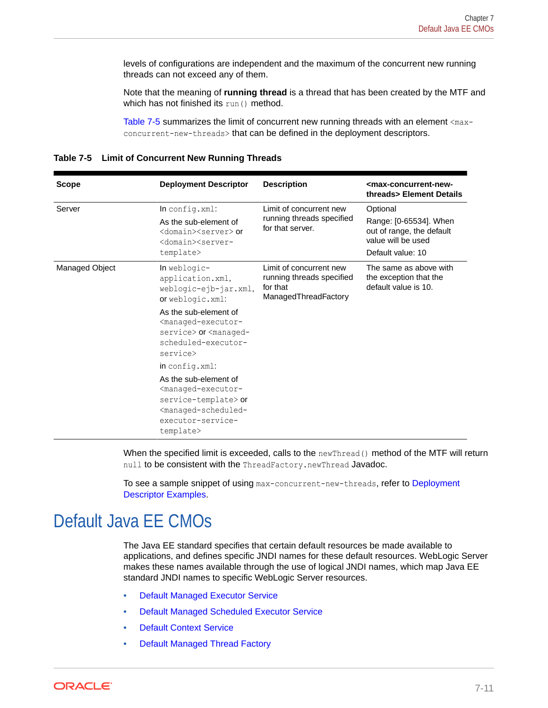levels of configurations are independent and the maximum of the concurrent new running threads can not exceed any of them.

Note that the meaning of **running thread** is a thread that has been created by the MTF and which has not finished its run() method.

Table 7-5 summarizes the limit of concurrent new running threads with an element  $\langle \text{max-}$ concurrent-new-threads> that can be defined in the deployment descriptors.

| <b>Scope</b>   | <b>Deployment Descriptor</b>                                                                                                                                                                                                                               | <b>Description</b>                                                                       | <max-concurrent-new-<br>threads&gt; Element Details</max-concurrent-new-<br> |
|----------------|------------------------------------------------------------------------------------------------------------------------------------------------------------------------------------------------------------------------------------------------------------|------------------------------------------------------------------------------------------|------------------------------------------------------------------------------|
| Server         | $In confiq.xml$ :                                                                                                                                                                                                                                          | Limit of concurrent new                                                                  | Optional                                                                     |
|                | As the sub-element of<br><domain><server> or<br/><domain><server-< td=""><td>running threads specified<br/>for that server.</td><td>Range: [0-65534]. When<br/>out of range, the default<br/>value will be used</td></server-<></domain></server></domain> | running threads specified<br>for that server.                                            | Range: [0-65534]. When<br>out of range, the default<br>value will be used    |
|                | template>                                                                                                                                                                                                                                                  |                                                                                          | Default value: 10                                                            |
| Managed Object | $In weblogic-$<br>application.xml,<br>weblogic-ejb-jar.xml,<br>or weblogic.xml:                                                                                                                                                                            | Limit of concurrent new<br>running threads specified<br>for that<br>ManagedThreadFactory | The same as above with<br>the exception that the<br>default value is 10.     |
|                | As the sub-element of<br><managed-executor-<br>service&gt; or <managed-<br>scheduled-executor-<br/>service&gt;</managed-<br></managed-executor-<br>                                                                                                        |                                                                                          |                                                                              |
|                | in config.xml:                                                                                                                                                                                                                                             |                                                                                          |                                                                              |
|                | As the sub-element of<br><managed-executor-<br>service-template&gt; or<br/><managed-scheduled-<br>executor-service-<br/>template&gt;</managed-scheduled-<br></managed-executor-<br>                                                                        |                                                                                          |                                                                              |

|  | Table 7-5 Limit of Concurrent New Running Threads |  |  |
|--|---------------------------------------------------|--|--|
|--|---------------------------------------------------|--|--|

When the specified limit is exceeded, calls to the newThread() method of the MTF will return null to be consistent with the ThreadFactory.newThread Javadoc.

To see a sample snippet of using max-concurrent-new-threads, refer to [Deployment](#page-89-0) [Descriptor Examples](#page-89-0).

# Default Java EE CMOs

The Java EE standard specifies that certain default resources be made available to applications, and defines specific JNDI names for these default resources. WebLogic Server makes these names available through the use of logical JNDI names, which map Java EE standard JNDI names to specific WebLogic Server resources.

- [Default Managed Executor Service](#page-79-0)
- [Default Managed Scheduled Executor Service](#page-79-0)
- **[Default Context Service](#page-80-0)**
- [Default Managed Thread Factory](#page-80-0)

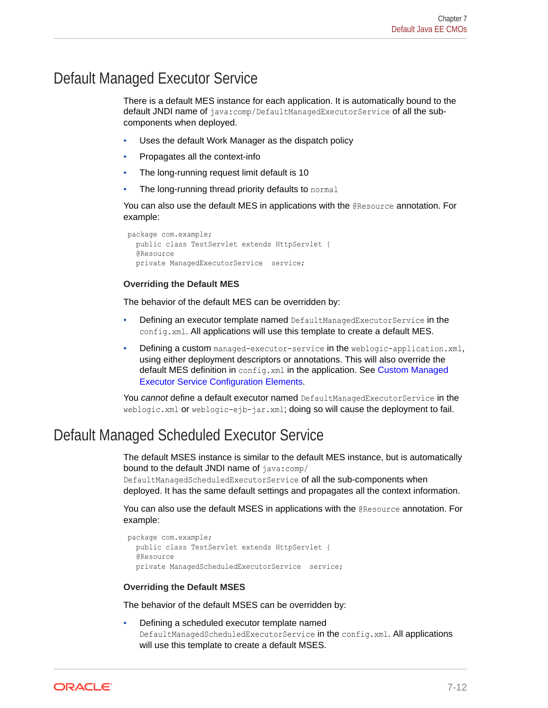# <span id="page-79-0"></span>Default Managed Executor Service

There is a default MES instance for each application. It is automatically bound to the default JNDI name of java:comp/DefaultManagedExecutorService of all the subcomponents when deployed.

- Uses the default Work Manager as the dispatch policy
- Propagates all the context-info
- The long-running request limit default is 10
- The long-running thread priority defaults to normal

You can also use the default MES in applications with the **@Resource** annotation. For example:

```
 package com.example;
   public class TestServlet extends HttpServlet {
   @Resource
   private ManagedExecutorService service;
```
#### **Overriding the Default MES**

The behavior of the default MES can be overridden by:

- Defining an executor template named DefaultManagedExecutorService in the config.xml. All applications will use this template to create a default MES.
- Defining a custom managed-executor-service in the weblogic-application.xml, using either deployment descriptors or annotations. This will also override the default MES definition in config.xml in the application. See [Custom Managed](#page-84-0) [Executor Service Configuration Elements](#page-84-0).

You *cannot* define a default executor named DefaultManagedExecutorService in the weblogic.xml or weblogic-ejb-jar.xml; doing so will cause the deployment to fail.

# Default Managed Scheduled Executor Service

The default MSES instance is similar to the default MES instance, but is automatically bound to the default JNDI name of java:comp/

DefaultManagedScheduledExecutorService of all the sub-components when deployed. It has the same default settings and propagates all the context information.

You can also use the default MSES in applications with the @Resource annotation. For example:

```
 package com.example;
   public class TestServlet extends HttpServlet {
   @Resource
   private ManagedScheduledExecutorService service;
```
#### **Overriding the Default MSES**

The behavior of the default MSES can be overridden by:

• Defining a scheduled executor template named DefaultManagedScheduledExecutorService in the config.xml. All applications will use this template to create a default MSES.

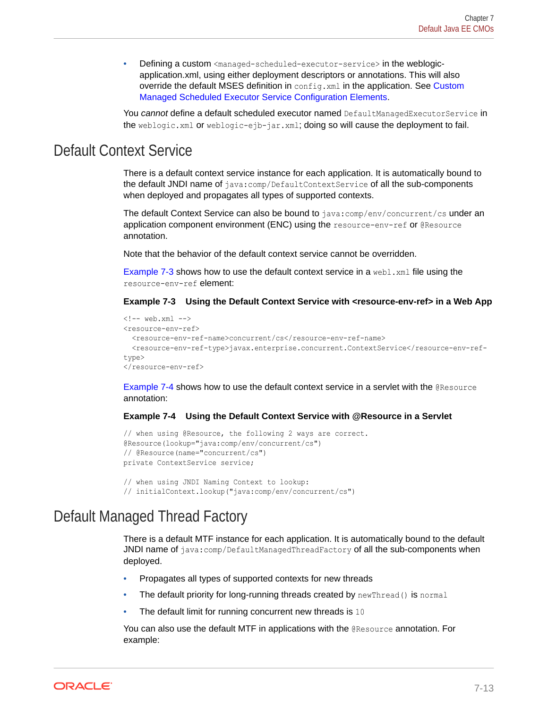<span id="page-80-0"></span>• Defining a custom <managed-scheduled-executor-service> in the weblogicapplication.xml, using either deployment descriptors or annotations. This will also override the default MSES definition in config.xml in the application. See [Custom](#page-86-0) [Managed Scheduled Executor Service Configuration Elements.](#page-86-0)

You *cannot* define a default scheduled executor named DefaultManagedExecutorService in the weblogic.xml or weblogic-ejb-jar.xml; doing so will cause the deployment to fail.

## Default Context Service

There is a default context service instance for each application. It is automatically bound to the default JNDI name of java:comp/DefaultContextService of all the sub-components when deployed and propagates all types of supported contexts.

The default Context Service can also be bound to java:comp/env/concurrent/cs under an application component environment (ENC) using the resource-env-ref or @Resource annotation.

Note that the behavior of the default context service cannot be overridden.

Example 7-3 shows how to use the default context service in a webl.  $xml$  file using the resource-env-ref element:

**Example 7-3 Using the Default Context Service with <resource-env-ref> in a Web App**

```
\langle!-- web.xml -->
<resource-env-ref>
   <resource-env-ref-name>concurrent/cs</resource-env-ref-name>
   <resource-env-ref-type>javax.enterprise.concurrent.ContextService</resource-env-ref-
type>
</resource-env-ref>
```
Example 7-4 shows how to use the default context service in a servlet with the @Resource annotation:

#### **Example 7-4 Using the Default Context Service with @Resource in a Servlet**

```
// when using @Resource, the following 2 ways are correct.
@Resource(lookup="java:comp/env/concurrent/cs")
// @Resource(name="concurrent/cs")
private ContextService service;
```

```
// when using JNDI Naming Context to lookup:
// initialContext.lookup("java:comp/env/concurrent/cs")
```
### Default Managed Thread Factory

There is a default MTF instance for each application. It is automatically bound to the default JNDI name of  $java:comp/DefaultManagerArray of all the sub-components when$ deployed.

- Propagates all types of supported contexts for new threads
- The default priority for long-running threads created by newThread() is normal
- The default limit for running concurrent new threads is 10

You can also use the default MTF in applications with the @Resource annotation. For example:

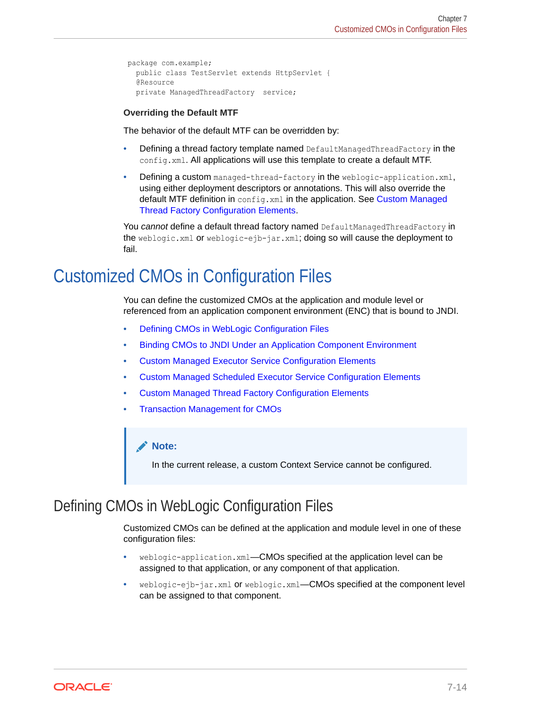```
package com.example;
  public class TestServlet extends HttpServlet {
   @Resource
  private ManagedThreadFactory service;
```
#### **Overriding the Default MTF**

The behavior of the default MTF can be overridden by:

- Defining a thread factory template named DefaultManagedThreadFactory in the config.xml. All applications will use this template to create a default MTF.
- Defining a custom managed-thread-factory in the weblogic-application.xml, using either deployment descriptors or annotations. This will also override the default MTF definition in config.xml in the application. See [Custom Managed](#page-88-0) [Thread Factory Configuration Elements.](#page-88-0)

You *cannot* define a default thread factory named DefaultManagedThreadFactory in the weblogic.xml or weblogic-ejb-jar.xml; doing so will cause the deployment to fail.

# Customized CMOs in Configuration Files

You can define the customized CMOs at the application and module level or referenced from an application component environment (ENC) that is bound to JNDI.

- Defining CMOs in WebLogic Configuration Files
- [Binding CMOs to JNDI Under an Application Component Environment](#page-82-0)
- [Custom Managed Executor Service Configuration Elements](#page-84-0)
- [Custom Managed Scheduled Executor Service Configuration Elements](#page-86-0)
- [Custom Managed Thread Factory Configuration Elements](#page-88-0)
- [Transaction Management for CMOs](#page-90-0)

#### **Note:**

In the current release, a custom Context Service cannot be configured.

# Defining CMOs in WebLogic Configuration Files

Customized CMOs can be defined at the application and module level in one of these configuration files:

- weblogic-application.xml—CMOs specified at the application level can be assigned to that application, or any component of that application.
- weblogic-ejb-jar.xml or weblogic.xml—CMOs specified at the component level can be assigned to that component.

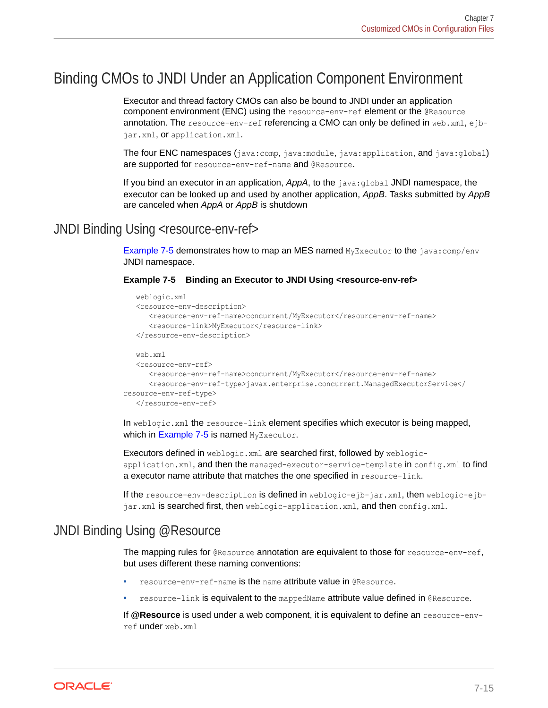# <span id="page-82-0"></span>Binding CMOs to JNDI Under an Application Component Environment

Executor and thread factory CMOs can also be bound to JNDI under an application component environment (ENC) using the resource-env-ref element or the @Resource annotation. The resource-env-ref referencing a CMO can only be defined in web.xml, ejbjar.xml, or application.xml.

The four ENC namespaces (java:comp, java:module, java:application, and java:global) are supported for resource-env-ref-name and @Resource.

If you bind an executor in an application, *AppA*, to the java:global JNDI namespace, the executor can be looked up and used by another application, *AppB*. Tasks submitted by *AppB* are canceled when *AppA* or *AppB* is shutdown

### JNDI Binding Using <resource-env-ref>

Example 7-5 demonstrates how to map an MES named MyExecutor to the java:comp/env JNDI namespace.

#### **Example 7-5 Binding an Executor to JNDI Using <resource-env-ref>**

```
 weblogic.xml
    <resource-env-description>
       <resource-env-ref-name>concurrent/MyExecutor</resource-env-ref-name>
       <resource-link>MyExecutor</resource-link>
    </resource-env-description>
   web.xml
    <resource-env-ref>
      <resource-env-ref-name>concurrent/MyExecutor</resource-env-ref-name>
      <resource-env-ref-type>javax.enterprise.concurrent.ManagedExecutorService</
resource-env-ref-type>
   </resource-env-ref>
```
In weblogic.xml the resource-link element specifies which executor is being mapped, which in Example 7-5 is named MyExecutor.

Executors defined in weblogic.xml are searched first, followed by weblogicapplication.xml, and then the managed-executor-service-template in config.xml to find a executor name attribute that matches the one specified in resource-link.

If the resource-env-description is defined in weblogic-ejb-jar.xml, then weblogic-ejbjar.xml is searched first, then weblogic-application.xml, and then config.xml.

### JNDI Binding Using @Resource

The mapping rules for @Resource annotation are equivalent to those for resource-env-ref, but uses different these naming conventions:

- resource-env-ref-name is the name attribute value in @Resource.
- resource-link is equivalent to the mappedName attribute value defined in @Resource.

If **@Resource** is used under a web component, it is equivalent to define an resource-envref under web.xml

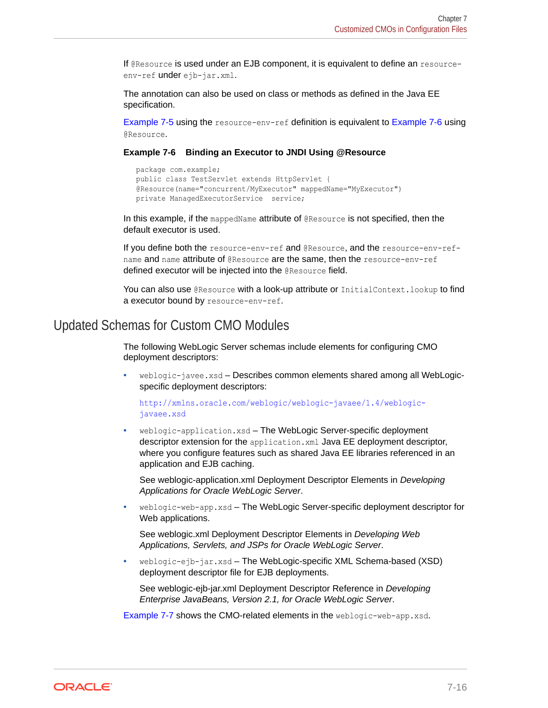If @Resource is used under an EJB component, it is equivalent to define an resourceenv-ref under ejb-jar.xml.

The annotation can also be used on class or methods as defined in the Java EE specification.

[Example 7-5](#page-82-0) using the resource-env-ref definition is equivalent to Example 7-6 using @Resource.

#### **Example 7-6 Binding an Executor to JNDI Using @Resource**

```
 package com.example;
 public class TestServlet extends HttpServlet {
 @Resource(name="concurrent/MyExecutor" mappedName="MyExecutor")
 private ManagedExecutorService service;
```
In this example, if the mappedName attribute of @Resource is not specified, then the default executor is used.

If you define both the resource-env-ref and @Resource, and the resource-env-refname and name attribute of @Resource are the same, then the resource-env-ref defined executor will be injected into the @Resource field.

You can also use @Resource with a look-up attribute or InitialContext.lookup to find a executor bound by resource-env-ref.

#### Updated Schemas for Custom CMO Modules

The following WebLogic Server schemas include elements for configuring CMO deployment descriptors:

• weblogic-javee.xsd – Describes common elements shared among all WebLogicspecific deployment descriptors:

[http://xmlns.oracle.com/weblogic/weblogic-javaee/1.4/weblogic](http://xmlns.oracle.com/weblogic/weblogic-javaee/1.4/weblogic-javaee.xsd)[javaee.xsd](http://xmlns.oracle.com/weblogic/weblogic-javaee/1.4/weblogic-javaee.xsd)

• weblogic-application.xsd – The WebLogic Server-specific deployment descriptor extension for the application.xml Java EE deployment descriptor, where you configure features such as shared Java EE libraries referenced in an application and EJB caching.

See weblogic-application.xml Deployment Descriptor Elements in *Developing Applications for Oracle WebLogic Server*.

• weblogic-web-app.xsd – The WebLogic Server-specific deployment descriptor for Web applications.

See weblogic.xml Deployment Descriptor Elements in *Developing Web Applications, Servlets, and JSPs for Oracle WebLogic Server*.

• weblogic-ejb-jar.xsd – The WebLogic-specific XML Schema-based (XSD) deployment descriptor file for EJB deployments.

See weblogic-ejb-jar.xml Deployment Descriptor Reference in *Developing Enterprise JavaBeans, Version 2.1, for Oracle WebLogic Server*.

[Example 7-7](#page-84-0) shows the CMO-related elements in the weblogic-web-app.xsd.

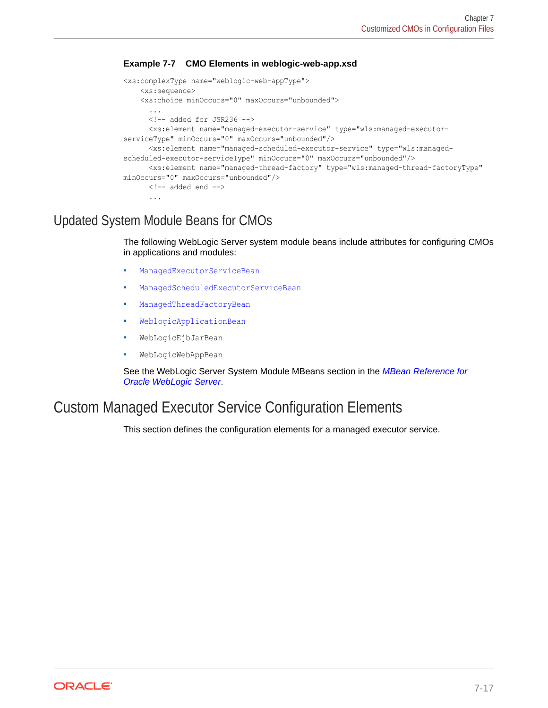#### <span id="page-84-0"></span>**Example 7-7 CMO Elements in weblogic-web-app.xsd**

```
<xs:complexType name="weblogic-web-appType">
     <xs:sequence>
     <xs:choice minOccurs="0" maxOccurs="unbounded">
       ...
      \langle !-- added for JSR236 -->
       <xs:element name="managed-executor-service" type="wls:managed-executor-
serviceType" minOccurs="0" maxOccurs="unbounded"/>
       <xs:element name="managed-scheduled-executor-service" type="wls:managed-
scheduled-executor-serviceType" minOccurs="0" maxOccurs="unbounded"/>
      <xs:element name="managed-thread-factory" type="wls:managed-thread-factoryType" 
minOccurs="0" maxOccurs="unbounded"/>
      \langle !-- added end -->
       ...
```
### Updated System Module Beans for CMOs

The following WebLogic Server system module beans include attributes for configuring CMOs in applications and modules:

- ManagedExecutorServiceBean
- ManagedScheduledExecutorServiceBean
- ManagedThreadFactoryBean
- WeblogicApplicationBean
- WebLogicEjbJarBean
- WebLogicWebAppBean

See the WebLogic Server System Module MBeans section in the *MBean Reference for Oracle WebLogic Server*.

# Custom Managed Executor Service Configuration Elements

This section defines the configuration elements for a managed executor service.

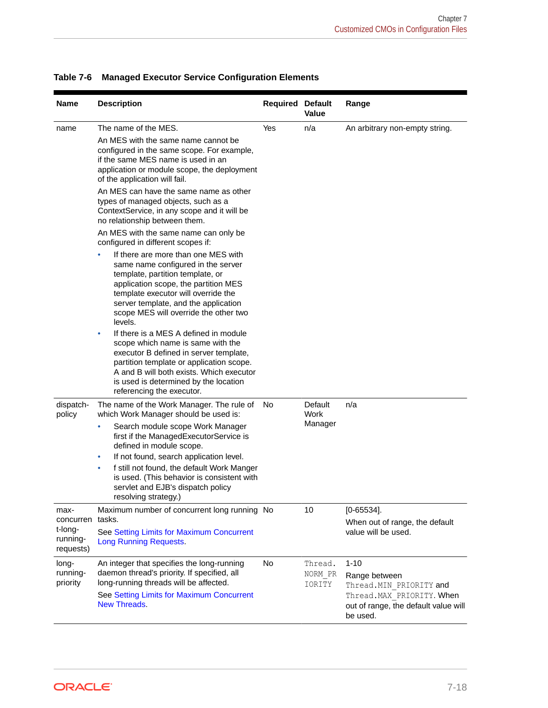| <b>Name</b>                                           | <b>Description</b>                                                                                                                                                                                                                                                                                                                                                                                                                                                                                                                                                                                                                                                                      | <b>Required Default</b> | <b>Value</b>                 | Range                                                                                                                                   |
|-------------------------------------------------------|-----------------------------------------------------------------------------------------------------------------------------------------------------------------------------------------------------------------------------------------------------------------------------------------------------------------------------------------------------------------------------------------------------------------------------------------------------------------------------------------------------------------------------------------------------------------------------------------------------------------------------------------------------------------------------------------|-------------------------|------------------------------|-----------------------------------------------------------------------------------------------------------------------------------------|
| name                                                  | The name of the MES.<br>An MES with the same name cannot be<br>configured in the same scope. For example,<br>if the same MES name is used in an<br>application or module scope, the deployment<br>of the application will fail.<br>An MES can have the same name as other<br>types of managed objects, such as a<br>ContextService, in any scope and it will be<br>no relationship between them.                                                                                                                                                                                                                                                                                        | Yes                     | n/a                          | An arbitrary non-empty string.                                                                                                          |
|                                                       | An MES with the same name can only be<br>configured in different scopes if:<br>If there are more than one MES with<br>$\bullet$<br>same name configured in the server<br>template, partition template, or<br>application scope, the partition MES<br>template executor will override the<br>server template, and the application<br>scope MES will override the other two<br>levels.<br>If there is a MES A defined in module<br>$\bullet$<br>scope which name is same with the<br>executor B defined in server template,<br>partition template or application scope.<br>A and B will both exists. Which executor<br>is used is determined by the location<br>referencing the executor. |                         |                              |                                                                                                                                         |
| dispatch-<br>policy                                   | The name of the Work Manager. The rule of<br>which Work Manager should be used is:<br>Search module scope Work Manager<br>۰<br>first if the ManagedExecutorService is<br>defined in module scope.<br>If not found, search application level.<br>$\bullet$<br>f still not found, the default Work Manger<br>$\bullet$<br>is used. (This behavior is consistent with<br>servlet and EJB's dispatch policy<br>resolving strategy.)                                                                                                                                                                                                                                                         | No                      | Default<br>Work<br>Manager   | n/a                                                                                                                                     |
| max-<br>concurren<br>t-long-<br>running-<br>requests) | Maximum number of concurrent long running No<br>tasks.<br>See Setting Limits for Maximum Concurrent<br><b>Long Running Requests.</b>                                                                                                                                                                                                                                                                                                                                                                                                                                                                                                                                                    |                         | 10                           | $[0 - 65534]$ .<br>When out of range, the default<br>value will be used.                                                                |
| long-<br>running-<br>priority                         | An integer that specifies the long-running<br>daemon thread's priority. If specified, all<br>long-running threads will be affected.<br>See Setting Limits for Maximum Concurrent<br>New Threads.                                                                                                                                                                                                                                                                                                                                                                                                                                                                                        | No                      | Thread.<br>NORM PR<br>IORITY | $1 - 10$<br>Range between<br>Thread. MIN PRIORITY and<br>Thread. MAX PRIORITY. When<br>out of range, the default value will<br>be used. |

#### <span id="page-85-0"></span>**Table 7-6 Managed Executor Service Configuration Elements**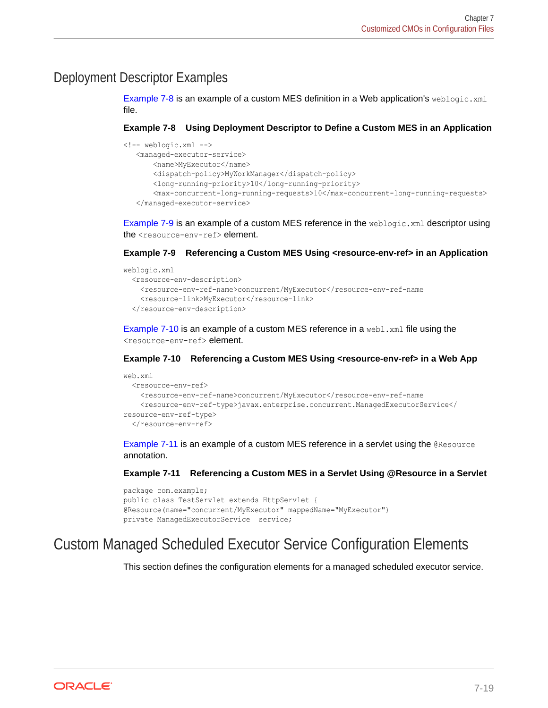### <span id="page-86-0"></span>Deployment Descriptor Examples

Example 7-8 is an example of a custom MES definition in a Web application's weblogic.xml file.

**Example 7-8 Using Deployment Descriptor to Define a Custom MES in an Application**

```
<!-- weblogic.xml -->
    <managed-executor-service>
        <name>MyExecutor</name>
        <dispatch-policy>MyWorkManager</dispatch-policy>
        <long-running-priority>10</long-running-priority>
        <max-concurrent-long-running-requests>10</max-concurrent-long-running-requests>
    </managed-executor-service>
```
Example 7-9 is an example of a custom MES reference in the weblogic.  $xml$  descriptor using the <resource-env-ref> element.

#### **Example 7-9 Referencing a Custom MES Using <resource-env-ref> in an Application**

```
weblogic.xml
   <resource-env-description>
     <resource-env-ref-name>concurrent/MyExecutor</resource-env-ref-name
    <resource-link>MyExecutor</resource-link>
  </resource-env-description>
```
Example 7-10 is an example of a custom MES reference in a web1.xml file using the <resource-env-ref> element.

#### **Example 7-10 Referencing a Custom MES Using <resource-env-ref> in a Web App**

```
web.xml
   <resource-env-ref>
    <resource-env-ref-name>concurrent/MyExecutor</resource-env-ref-name
    <resource-env-ref-type>javax.enterprise.concurrent.ManagedExecutorService</
resource-env-ref-type>
  </resource-env-ref>
```
Example 7-11 is an example of a custom MES reference in a servlet using the @Resource annotation.

#### **Example 7-11 Referencing a Custom MES in a Servlet Using @Resource in a Servlet**

```
package com.example;
public class TestServlet extends HttpServlet {
@Resource(name="concurrent/MyExecutor" mappedName="MyExecutor")
private ManagedExecutorService service;
```
# Custom Managed Scheduled Executor Service Configuration Elements

This section defines the configuration elements for a managed scheduled executor service.

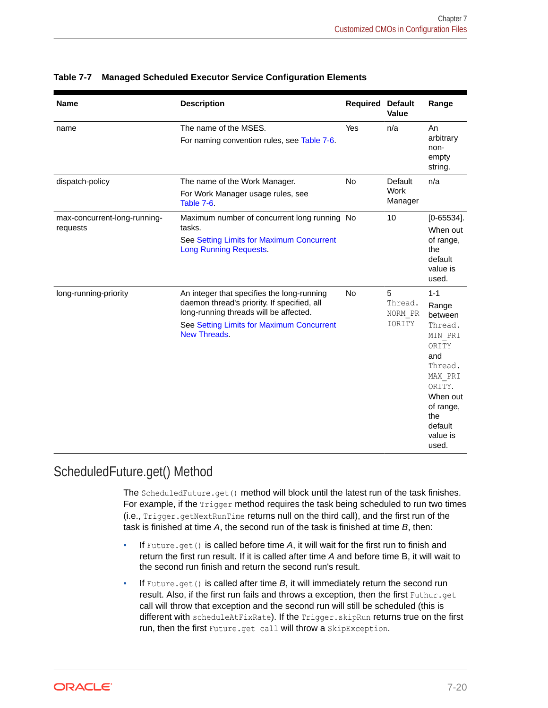| <b>Name</b>                              | <b>Description</b>                                                                                                                                                                               | Required  | <b>Default</b><br>Value           | Range                                                                                                                                                             |
|------------------------------------------|--------------------------------------------------------------------------------------------------------------------------------------------------------------------------------------------------|-----------|-----------------------------------|-------------------------------------------------------------------------------------------------------------------------------------------------------------------|
| name                                     | The name of the MSES.<br>For naming convention rules, see Table 7-6.                                                                                                                             | Yes       | n/a                               | An<br>arbitrary<br>non-<br>empty<br>string.                                                                                                                       |
| dispatch-policy                          | The name of the Work Manager.<br>For Work Manager usage rules, see<br>Table 7-6.                                                                                                                 | <b>No</b> | Default<br>Work<br>Manager        | n/a                                                                                                                                                               |
| max-concurrent-long-running-<br>requests | Maximum number of concurrent long running No<br>tasks.<br>See Setting Limits for Maximum Concurrent<br><b>Long Running Requests.</b>                                                             |           | 10                                | $[0 - 65534]$ .<br>When out<br>of range,<br>the<br>default<br>value is<br>used.                                                                                   |
| long-running-priority                    | An integer that specifies the long-running<br>daemon thread's priority. If specified, all<br>long-running threads will be affected.<br>See Setting Limits for Maximum Concurrent<br>New Threads. | <b>No</b> | 5<br>Thread.<br>NORM PR<br>IORITY | $1 - 1$<br>Range<br>between<br>Thread.<br>MIN PRI<br>ORITY<br>and<br>Thread.<br>MAX PRI<br>ORITY.<br>When out<br>of range,<br>the<br>default<br>value is<br>used. |

#### **Table 7-7 Managed Scheduled Executor Service Configuration Elements**

### ScheduledFuture.get() Method

The ScheduledFuture.get() method will block until the latest run of the task finishes. For example, if the Trigger method requires the task being scheduled to run two times (i.e., Trigger.getNextRunTime returns null on the third call), and the first run of the task is finished at time *A*, the second run of the task is finished at time *B*, then:

- If Future.get() is called before time A, it will wait for the first run to finish and return the first run result. If it is called after time *A* and before time B, it will wait to the second run finish and return the second run's result.
- If Future.get() is called after time *B*, it will immediately return the second run result. Also, if the first run fails and throws a exception, then the first Futhur.get call will throw that exception and the second run will still be scheduled (this is different with scheduleAtFixRate). If the Trigger.skipRun returns true on the first run, then the first Future.get call will throw a SkipException.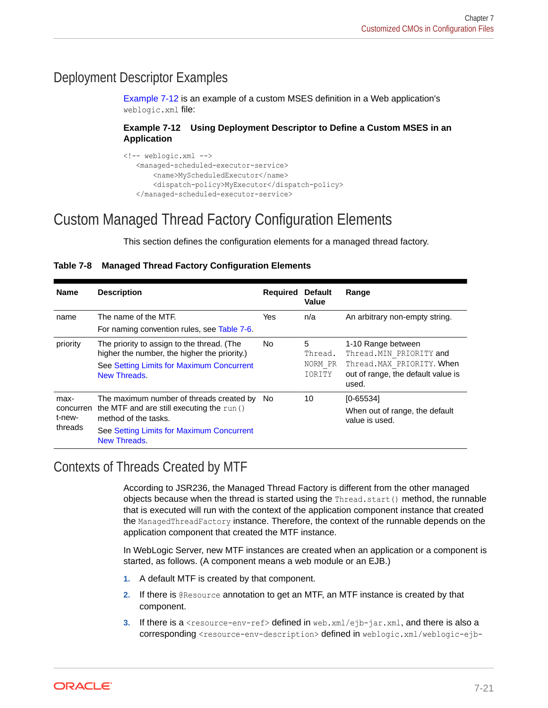### <span id="page-88-0"></span>Deployment Descriptor Examples

Example 7-12 is an example of a custom MSES definition in a Web application's weblogic.xml file:

#### **Example 7-12 Using Deployment Descriptor to Define a Custom MSES in an Application**

```
<!-- weblogic.xml -->
    <managed-scheduled-executor-service>
        <name>MyScheduledExecutor</name>
        <dispatch-policy>MyExecutor</dispatch-policy>
    </managed-scheduled-executor-service>
```
# Custom Managed Thread Factory Configuration Elements

This section defines the configuration elements for a managed thread factory.

#### **Table 7-8 Managed Thread Factory Configuration Elements**

| <b>Name</b>         | <b>Description</b>                                                                         | Required | <b>Default</b><br>Value | Range                                                                     |
|---------------------|--------------------------------------------------------------------------------------------|----------|-------------------------|---------------------------------------------------------------------------|
| name                | The name of the MTF.                                                                       | Yes      | n/a                     | An arbitrary non-empty string.                                            |
|                     | For naming convention rules, see Table 7-6.                                                |          |                         |                                                                           |
| priority            | The priority to assign to the thread. (The<br>higher the number, the higher the priority.) | No.      | 5<br>Thread.            | 1-10 Range between<br>Thread. MIN PRIORITY and                            |
|                     | See Setting Limits for Maximum Concurrent<br>New Threads.                                  |          | NORM PR<br>IORITY       | Thread. MAX PRIORITY. When<br>out of range, the default value is<br>used. |
| max-                | The maximum number of threads created by                                                   | No.      | 10                      | $[0 - 65534]$                                                             |
| concurren<br>t-new- | the MTF and are still executing the run ()<br>method of the tasks.                         |          |                         | When out of range, the default<br>value is used.                          |
| threads             | See Setting Limits for Maximum Concurrent<br><b>New Threads.</b>                           |          |                         |                                                                           |

# Contexts of Threads Created by MTF

According to JSR236, the Managed Thread Factory is different from the other managed objects because when the thread is started using the Thread.start() method, the runnable that is executed will run with the context of the application component instance that created the ManagedThreadFactory instance. Therefore, the context of the runnable depends on the application component that created the MTF instance.

In WebLogic Server, new MTF instances are created when an application or a component is started, as follows. (A component means a web module or an EJB.)

- **1.** A default MTF is created by that component.
- **2.** If there is @Resource annotation to get an MTF, an MTF instance is created by that component.
- **3.** If there is a  $\le$ resource-env-ref> defined in web.xml/ejb-jar.xml, and there is also a corresponding <resource-env-description> defined in weblogic.xml/weblogic-ejb-

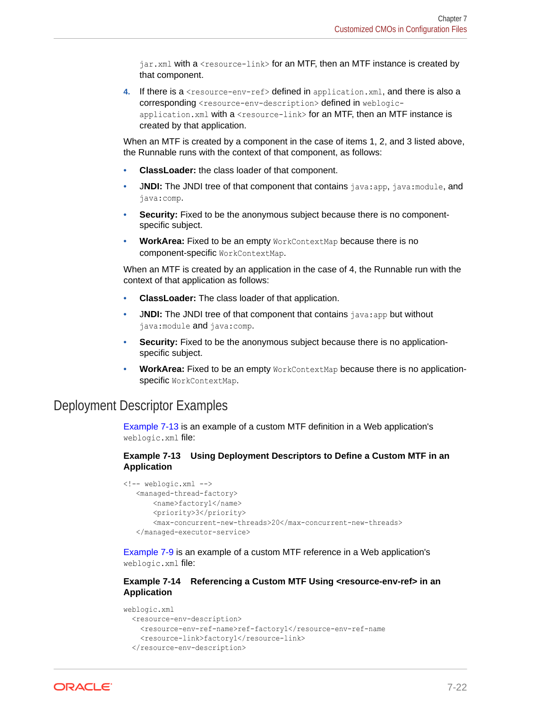<span id="page-89-0"></span>jar.xml with a <resource-link> for an MTF, then an MTF instance is created by that component.

**4.** If there is a <resource-env-ref> defined in application.xml, and there is also a corresponding <resource-env-description> defined in weblogicapplication.xml with a <resource-link> for an MTF, then an MTF instance is created by that application.

When an MTF is created by a component in the case of items 1, 2, and 3 listed above, the Runnable runs with the context of that component, as follows:

- **ClassLoader:** the class loader of that component.
- JNDI: The JNDI tree of that component that contains java:app, java:module, and java:comp.
- **Security:** Fixed to be the anonymous subject because there is no componentspecific subject.
- **WorkArea:** Fixed to be an empty WorkContextMap because there is no component-specific WorkContextMap.

When an MTF is created by an application in the case of 4, the Runnable run with the context of that application as follows:

- **ClassLoader:** The class loader of that application.
- **JNDI:** The JNDI tree of that component that contains java:app but without java:module and java:comp.
- **Security:** Fixed to be the anonymous subject because there is no applicationspecific subject.
- **WorkArea:** Fixed to be an empty WorkContextMap because there is no applicationspecific WorkContextMap.

### Deployment Descriptor Examples

Example 7-13 is an example of a custom MTF definition in a Web application's weblogic.xml file:

#### **Example 7-13 Using Deployment Descriptors to Define a Custom MTF in an Application**

```
<!-- weblogic.xml -->
   <managed-thread-factory>
       <name>factory1</name>
       <priority>3</priority>
       <max-concurrent-new-threads>20</max-concurrent-new-threads>
   </managed-executor-service>
```
[Example 7-9](#page-86-0) is an example of a custom MTF reference in a Web application's weblogic.xml file:

#### **Example 7-14 Referencing a Custom MTF Using <resource-env-ref> in an Application**

```
weblogic.xml
   <resource-env-description>
    <resource-env-ref-name>ref-factory1</resource-env-ref-name
    <resource-link>factory1</resource-link>
  </resource-env-description>
```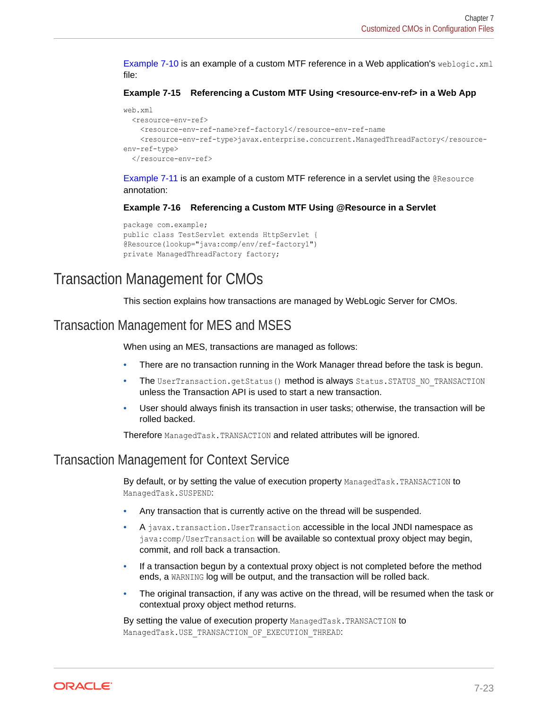<span id="page-90-0"></span>[Example 7-10](#page-86-0) is an example of a custom MTF reference in a Web application's weblogic.xml file:

**Example 7-15 Referencing a Custom MTF Using <resource-env-ref> in a Web App**

```
web.xml
   <resource-env-ref>
     <resource-env-ref-name>ref-factory1</resource-env-ref-name
     <resource-env-ref-type>javax.enterprise.concurrent.ManagedThreadFactory</resource-
env-ref-type>
  </resource-env-ref>
```
[Example 7-11](#page-86-0) is an example of a custom MTF reference in a servlet using the @Resource annotation:

**Example 7-16 Referencing a Custom MTF Using @Resource in a Servlet**

```
package com.example;
public class TestServlet extends HttpServlet {
@Resource(lookup="java:comp/env/ref-factory1")
private ManagedThreadFactory factory;
```
# Transaction Management for CMOs

This section explains how transactions are managed by WebLogic Server for CMOs.

### Transaction Management for MES and MSES

When using an MES, transactions are managed as follows:

- There are no transaction running in the Work Manager thread before the task is begun.
- The UserTransaction.getStatus() method is always Status.STATUS NO\_TRANSACTION unless the Transaction API is used to start a new transaction.
- User should always finish its transaction in user tasks; otherwise, the transaction will be rolled backed.

Therefore ManagedTask.TRANSACTION and related attributes will be ignored.

### Transaction Management for Context Service

By default, or by setting the value of execution property ManagedTask.TRANSACTION to ManagedTask.SUSPEND:

- Any transaction that is currently active on the thread will be suspended.
- A javax.transaction.UserTransaction accessible in the local JNDI namespace as java:comp/UserTransaction will be available so contextual proxy object may begin, commit, and roll back a transaction.
- If a transaction begun by a contextual proxy object is not completed before the method ends, a WARNING log will be output, and the transaction will be rolled back.
- The original transaction, if any was active on the thread, will be resumed when the task or contextual proxy object method returns.

By setting the value of execution property ManagedTask.TRANSACTION to ManagedTask.USE\_TRANSACTION\_OF\_EXECUTION\_THREAD:

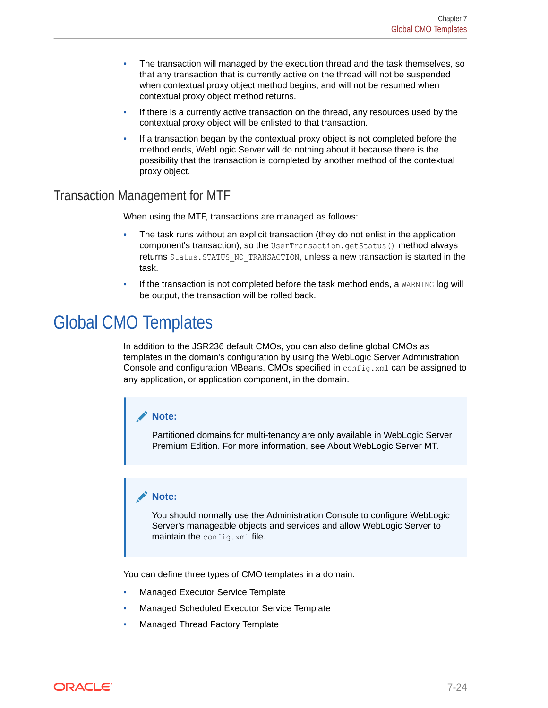- The transaction will managed by the execution thread and the task themselves, so that any transaction that is currently active on the thread will not be suspended when contextual proxy object method begins, and will not be resumed when contextual proxy object method returns.
- If there is a currently active transaction on the thread, any resources used by the contextual proxy object will be enlisted to that transaction.
- If a transaction began by the contextual proxy object is not completed before the method ends, WebLogic Server will do nothing about it because there is the possibility that the transaction is completed by another method of the contextual proxy object.

### Transaction Management for MTF

When using the MTF, transactions are managed as follows:

- The task runs without an explicit transaction (they do not enlist in the application component's transaction), so the UserTransaction.getStatus() method always returns Status. STATUS NO\_TRANSACTION, unless a new transaction is started in the task.
- If the transaction is not completed before the task method ends, a WARNING log will be output, the transaction will be rolled back.

# Global CMO Templates

In addition to the JSR236 default CMOs, you can also define global CMOs as templates in the domain's configuration by using the WebLogic Server Administration Console and configuration MBeans. CMOs specified in config.xml can be assigned to any application, or application component, in the domain.

#### **Note:**

Partitioned domains for multi-tenancy are only available in WebLogic Server Premium Edition. For more information, see About WebLogic Server MT.

#### **Note:**

You should normally use the Administration Console to configure WebLogic Server's manageable objects and services and allow WebLogic Server to maintain the config.xml file.

You can define three types of CMO templates in a domain:

- Managed Executor Service Template
- Managed Scheduled Executor Service Template
- Managed Thread Factory Template

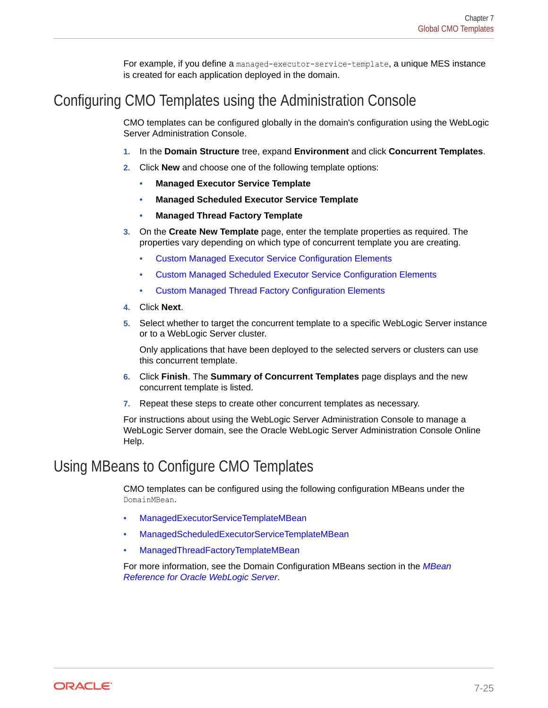For example, if you define a managed-executor-service-template, a unique MES instance is created for each application deployed in the domain.

# Configuring CMO Templates using the Administration Console

CMO templates can be configured globally in the domain's configuration using the WebLogic Server Administration Console.

- **1.** In the **Domain Structure** tree, expand **Environment** and click **Concurrent Templates**.
- **2.** Click **New** and choose one of the following template options:
	- **Managed Executor Service Template**
	- **Managed Scheduled Executor Service Template**
	- **Managed Thread Factory Template**
- **3.** On the **Create New Template** page, enter the template properties as required. The properties vary depending on which type of concurrent template you are creating.
	- [Custom Managed Executor Service Configuration Elements](#page-84-0)
	- [Custom Managed Scheduled Executor Service Configuration Elements](#page-86-0)
	- [Custom Managed Thread Factory Configuration Elements](#page-88-0)
- **4.** Click **Next**.
- **5.** Select whether to target the concurrent template to a specific WebLogic Server instance or to a WebLogic Server cluster.

Only applications that have been deployed to the selected servers or clusters can use this concurrent template.

- **6.** Click **Finish**. The **Summary of Concurrent Templates** page displays and the new concurrent template is listed.
- **7.** Repeat these steps to create other concurrent templates as necessary.

For instructions about using the WebLogic Server Administration Console to manage a WebLogic Server domain, see the Oracle WebLogic Server Administration Console Online Help.

# Using MBeans to Configure CMO Templates

CMO templates can be configured using the following configuration MBeans under the DomainMBean.

- ManagedExecutorServiceTemplateMBean
- ManagedScheduledExecutorServiceTemplateMBean
- ManagedThreadFactoryTemplateMBean

For more information, see the Domain Configuration MBeans section in the *MBean Reference for Oracle WebLogic Server*.

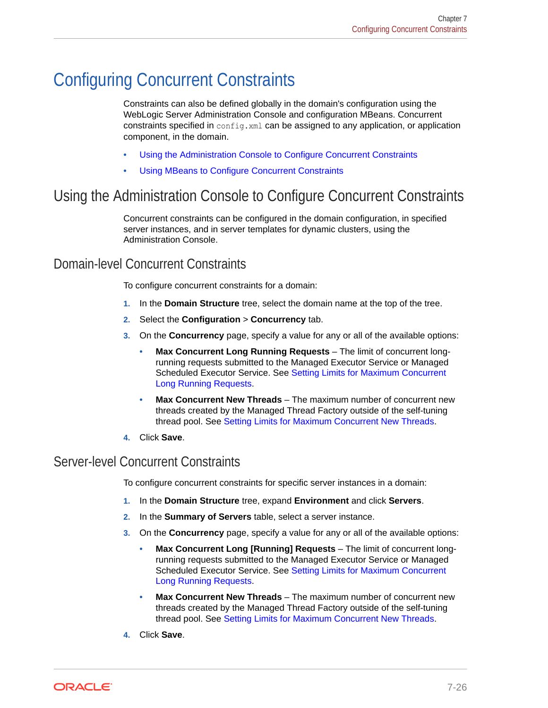# Configuring Concurrent Constraints

Constraints can also be defined globally in the domain's configuration using the WebLogic Server Administration Console and configuration MBeans. Concurrent constraints specified in config.xml can be assigned to any application, or application component, in the domain.

- Using the Administration Console to Configure Concurrent Constraints
- [Using MBeans to Configure Concurrent Constraints](#page-94-0)

# Using the Administration Console to Configure Concurrent Constraints

Concurrent constraints can be configured in the domain configuration, in specified server instances, and in server templates for dynamic clusters, using the Administration Console.

### Domain-level Concurrent Constraints

To configure concurrent constraints for a domain:

- **1.** In the **Domain Structure** tree, select the domain name at the top of the tree.
- **2.** Select the **Configuration** > **Concurrency** tab.
- **3.** On the **Concurrency** page, specify a value for any or all of the available options:
	- **Max Concurrent Long Running Requests** The limit of concurrent longrunning requests submitted to the Managed Executor Service or Managed Scheduled Executor Service. See [Setting Limits for Maximum Concurrent](#page-75-0) [Long Running Requests](#page-75-0).
	- **Max Concurrent New Threads** The maximum number of concurrent new threads created by the Managed Thread Factory outside of the self-tuning thread pool. See [Setting Limits for Maximum Concurrent New Threads](#page-77-0).
- **4.** Click **Save**.

### Server-level Concurrent Constraints

To configure concurrent constraints for specific server instances in a domain:

- **1.** In the **Domain Structure** tree, expand **Environment** and click **Servers**.
- **2.** In the **Summary of Servers** table, select a server instance.
- **3.** On the **Concurrency** page, specify a value for any or all of the available options:
	- **Max Concurrent Long [Running] Requests** The limit of concurrent longrunning requests submitted to the Managed Executor Service or Managed Scheduled Executor Service. See [Setting Limits for Maximum Concurrent](#page-75-0) [Long Running Requests](#page-75-0).
	- **Max Concurrent New Threads** The maximum number of concurrent new threads created by the Managed Thread Factory outside of the self-tuning thread pool. See [Setting Limits for Maximum Concurrent New Threads](#page-77-0).
- **4.** Click **Save**.

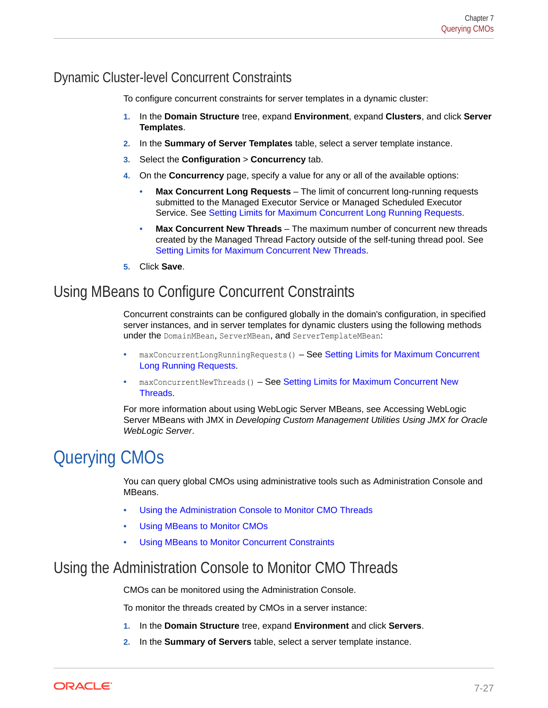### <span id="page-94-0"></span>Dynamic Cluster-level Concurrent Constraints

To configure concurrent constraints for server templates in a dynamic cluster:

- **1.** In the **Domain Structure** tree, expand **Environment**, expand **Clusters**, and click **Server Templates**.
- **2.** In the **Summary of Server Templates** table, select a server template instance.
- **3.** Select the **Configuration** > **Concurrency** tab.
- **4.** On the **Concurrency** page, specify a value for any or all of the available options:
	- **Max Concurrent Long Requests** The limit of concurrent long-running requests submitted to the Managed Executor Service or Managed Scheduled Executor Service. See [Setting Limits for Maximum Concurrent Long Running Requests](#page-75-0).
	- **Max Concurrent New Threads** The maximum number of concurrent new threads created by the Managed Thread Factory outside of the self-tuning thread pool. See [Setting Limits for Maximum Concurrent New Threads](#page-77-0).
- **5.** Click **Save**.

# Using MBeans to Configure Concurrent Constraints

Concurrent constraints can be configured globally in the domain's configuration, in specified server instances, and in server templates for dynamic clusters using the following methods under the DomainMBean, ServerMBean, and ServerTemplateMBean:

- maxConcurrentLongRunningRequests() See [Setting Limits for Maximum Concurrent](#page-75-0) [Long Running Requests](#page-75-0).
- maxConcurrentNewThreads() See [Setting Limits for Maximum Concurrent New](#page-77-0) [Threads.](#page-77-0)

For more information about using WebLogic Server MBeans, see Accessing WebLogic Server MBeans with JMX in *Developing Custom Management Utilities Using JMX for Oracle WebLogic Server*.

# Querying CMOs

You can query global CMOs using administrative tools such as Administration Console and MBeans.

- Using the Administration Console to Monitor CMO Threads
- [Using MBeans to Monitor CMOs](#page-95-0)
- [Using MBeans to Monitor Concurrent Constraints](#page-96-0)

# Using the Administration Console to Monitor CMO Threads

CMOs can be monitored using the Administration Console.

To monitor the threads created by CMOs in a server instance:

- **1.** In the **Domain Structure** tree, expand **Environment** and click **Servers**.
- **2.** In the **Summary of Servers** table, select a server template instance.

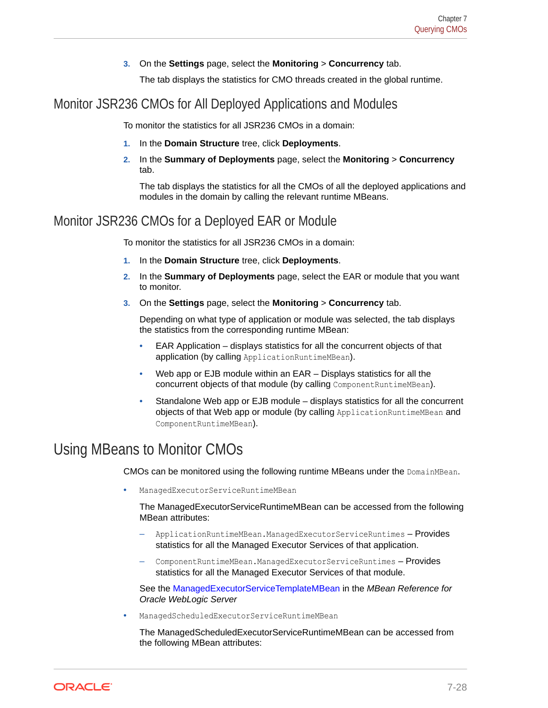#### **3.** On the **Settings** page, select the **Monitoring** > **Concurrency** tab.

The tab displays the statistics for CMO threads created in the global runtime.

### <span id="page-95-0"></span>Monitor JSR236 CMOs for All Deployed Applications and Modules

To monitor the statistics for all JSR236 CMOs in a domain:

- **1.** In the **Domain Structure** tree, click **Deployments**.
- **2.** In the **Summary of Deployments** page, select the **Monitoring** > **Concurrency** tab.

The tab displays the statistics for all the CMOs of all the deployed applications and modules in the domain by calling the relevant runtime MBeans.

### Monitor JSR236 CMOs for a Deployed EAR or Module

To monitor the statistics for all JSR236 CMOs in a domain:

- **1.** In the **Domain Structure** tree, click **Deployments**.
- **2.** In the **Summary of Deployments** page, select the EAR or module that you want to monitor.
- **3.** On the **Settings** page, select the **Monitoring** > **Concurrency** tab.

Depending on what type of application or module was selected, the tab displays the statistics from the corresponding runtime MBean:

- EAR Application displays statistics for all the concurrent objects of that application (by calling ApplicationRuntimeMBean).
- Web app or EJB module within an EAR Displays statistics for all the concurrent objects of that module (by calling ComponentRuntimeMBean).
- Standalone Web app or EJB module displays statistics for all the concurrent objects of that Web app or module (by calling ApplicationRuntimeMBean and ComponentRuntimeMBean).

# Using MBeans to Monitor CMOs

CMOs can be monitored using the following runtime MBeans under the DomainMBean.

• ManagedExecutorServiceRuntimeMBean

The ManagedExecutorServiceRuntimeMBean can be accessed from the following MBean attributes:

- ApplicationRuntimeMBean.ManagedExecutorServiceRuntimes Provides statistics for all the Managed Executor Services of that application.
- ComponentRuntimeMBean.ManagedExecutorServiceRuntimes Provides statistics for all the Managed Executor Services of that module.

See the ManagedExecutorServiceTemplateMBean in the *MBean Reference for Oracle WebLogic Server*

• ManagedScheduledExecutorServiceRuntimeMBean

The ManagedScheduledExecutorServiceRuntimeMBean can be accessed from the following MBean attributes:

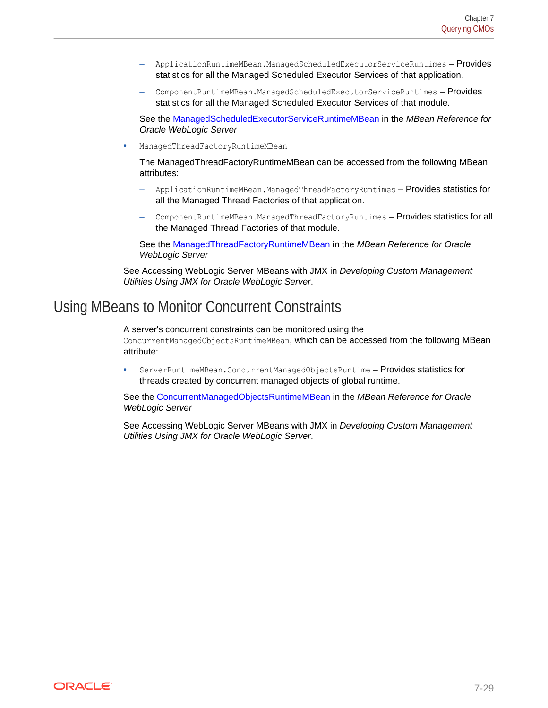- <span id="page-96-0"></span>– ApplicationRuntimeMBean.ManagedScheduledExecutorServiceRuntimes – Provides statistics for all the Managed Scheduled Executor Services of that application.
- ComponentRuntimeMBean.ManagedScheduledExecutorServiceRuntimes Provides statistics for all the Managed Scheduled Executor Services of that module.

See the ManagedScheduledExecutorServiceRuntimeMBean in the *MBean Reference for Oracle WebLogic Server*

• ManagedThreadFactoryRuntimeMBean

The ManagedThreadFactoryRuntimeMBean can be accessed from the following MBean attributes:

- ApplicationRuntimeMBean.ManagedThreadFactoryRuntimes Provides statistics for all the Managed Thread Factories of that application.
- ComponentRuntimeMBean.ManagedThreadFactoryRuntimes Provides statistics for all the Managed Thread Factories of that module.

See the ManagedThreadFactoryRuntimeMBean in the *MBean Reference for Oracle WebLogic Server*

See Accessing WebLogic Server MBeans with JMX in *Developing Custom Management Utilities Using JMX for Oracle WebLogic Server*.

# Using MBeans to Monitor Concurrent Constraints

A server's concurrent constraints can be monitored using the

ConcurrentManagedObjectsRuntimeMBean, which can be accessed from the following MBean attribute:

• ServerRuntimeMBean.ConcurrentManagedObjectsRuntime – Provides statistics for threads created by concurrent managed objects of global runtime.

See the ConcurrentManagedObjectsRuntimeMBean in the *MBean Reference for Oracle WebLogic Server*

See Accessing WebLogic Server MBeans with JMX in *Developing Custom Management Utilities Using JMX for Oracle WebLogic Server*.

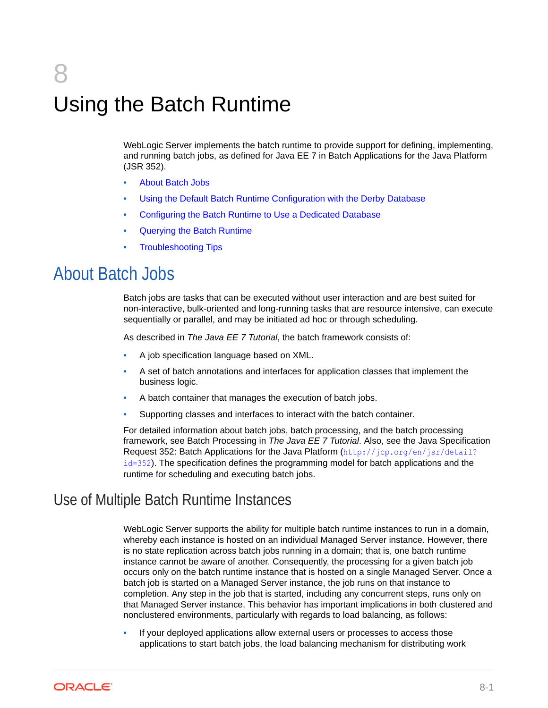# 8 Using the Batch Runtime

WebLogic Server implements the batch runtime to provide support for defining, implementing, and running batch jobs, as defined for Java EE 7 in Batch Applications for the Java Platform (JSR 352).

- About Batch Jobs
- [Using the Default Batch Runtime Configuration with the Derby Database](#page-99-0)
- [Configuring the Batch Runtime to Use a Dedicated Database](#page-99-0)
- [Querying the Batch Runtime](#page-104-0)
- [Troubleshooting Tips](#page-108-0)

# About Batch Jobs

Batch jobs are tasks that can be executed without user interaction and are best suited for non-interactive, bulk-oriented and long-running tasks that are resource intensive, can execute sequentially or parallel, and may be initiated ad hoc or through scheduling.

As described in *The Java EE 7 Tutorial*, the batch framework consists of:

- A job specification language based on XML.
- A set of batch annotations and interfaces for application classes that implement the business logic.
- A batch container that manages the execution of batch jobs.
- Supporting classes and interfaces to interact with the batch container.

For detailed information about batch jobs, batch processing, and the batch processing framework, see Batch Processing in *The Java EE 7 Tutorial*. Also, see the Java Specification Request 352: Batch Applications for the Java Platform ([http://jcp.org/en/jsr/detail?](http://jcp.org/en/jsr/detail?id=352)  $id=352$ ). The specification defines the programming model for batch applications and the runtime for scheduling and executing batch jobs.

### Use of Multiple Batch Runtime Instances

WebLogic Server supports the ability for multiple batch runtime instances to run in a domain, whereby each instance is hosted on an individual Managed Server instance. However, there is no state replication across batch jobs running in a domain; that is, one batch runtime instance cannot be aware of another. Consequently, the processing for a given batch job occurs only on the batch runtime instance that is hosted on a single Managed Server. Once a batch job is started on a Managed Server instance, the job runs on that instance to completion. Any step in the job that is started, including any concurrent steps, runs only on that Managed Server instance. This behavior has important implications in both clustered and nonclustered environments, particularly with regards to load balancing, as follows:

If your deployed applications allow external users or processes to access those applications to start batch jobs, the load balancing mechanism for distributing work

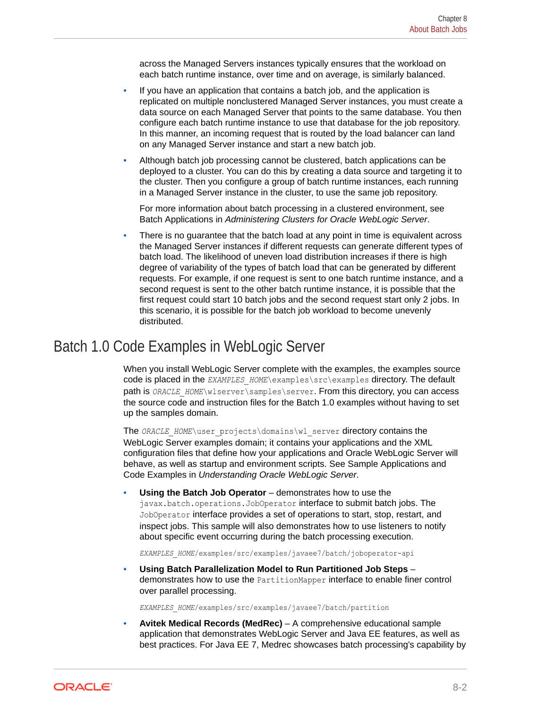across the Managed Servers instances typically ensures that the workload on each batch runtime instance, over time and on average, is similarly balanced.

- If you have an application that contains a batch job, and the application is replicated on multiple nonclustered Managed Server instances, you must create a data source on each Managed Server that points to the same database. You then configure each batch runtime instance to use that database for the job repository. In this manner, an incoming request that is routed by the load balancer can land on any Managed Server instance and start a new batch job.
- Although batch job processing cannot be clustered, batch applications can be deployed to a cluster. You can do this by creating a data source and targeting it to the cluster. Then you configure a group of batch runtime instances, each running in a Managed Server instance in the cluster, to use the same job repository.

For more information about batch processing in a clustered environment, see Batch Applications in *Administering Clusters for Oracle WebLogic Server*.

• There is no guarantee that the batch load at any point in time is equivalent across the Managed Server instances if different requests can generate different types of batch load. The likelihood of uneven load distribution increases if there is high degree of variability of the types of batch load that can be generated by different requests. For example, if one request is sent to one batch runtime instance, and a second request is sent to the other batch runtime instance, it is possible that the first request could start 10 batch jobs and the second request start only 2 jobs. In this scenario, it is possible for the batch job workload to become unevenly distributed.

# Batch 1.0 Code Examples in WebLogic Server

When you install WebLogic Server complete with the examples, the examples source code is placed in the *EXAMPLES\_HOME*\examples\src\examples directory. The default path is *ORACLE\_HOME*\wlserver\samples\server. From this directory, you can access the source code and instruction files for the Batch 1.0 examples without having to set up the samples domain.

The *ORACLE\_HOME*\user\_projects\domains\wl\_server directory contains the WebLogic Server examples domain; it contains your applications and the XML configuration files that define how your applications and Oracle WebLogic Server will behave, as well as startup and environment scripts. See Sample Applications and Code Examples in *Understanding Oracle WebLogic Server*.

• **Using the Batch Job Operator** – demonstrates how to use the javax.batch.operations.JobOperator interface to submit batch jobs. The JobOperator interface provides a set of operations to start, stop, restart, and inspect jobs. This sample will also demonstrates how to use listeners to notify about specific event occurring during the batch processing execution.

*EXAMPLES\_HOME*/examples/src/examples/javaee7/batch/joboperator-api

• **Using Batch Parallelization Model to Run Partitioned Job Steps** – demonstrates how to use the PartitionMapper interface to enable finer control over parallel processing.

*EXAMPLES\_HOME*/examples/src/examples/javaee7/batch/partition

• **Avitek Medical Records (MedRec)** – A comprehensive educational sample application that demonstrates WebLogic Server and Java EE features, as well as best practices. For Java EE 7, Medrec showcases batch processing's capability by

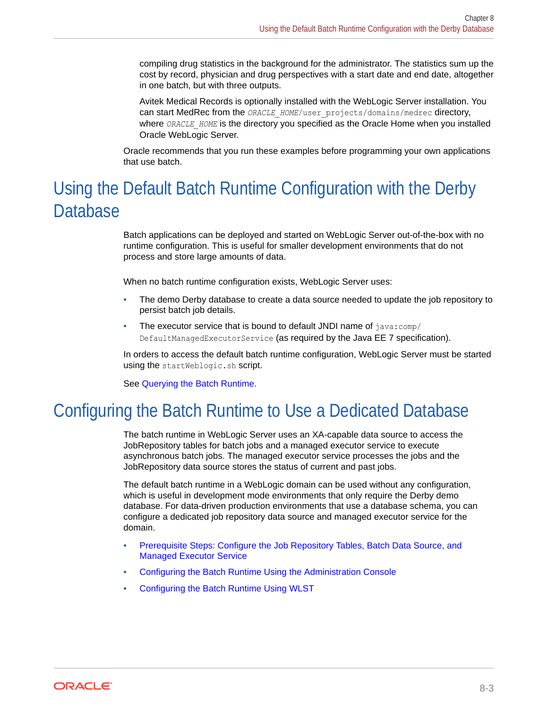<span id="page-99-0"></span>compiling drug statistics in the background for the administrator. The statistics sum up the cost by record, physician and drug perspectives with a start date and end date, altogether in one batch, but with three outputs.

Avitek Medical Records is optionally installed with the WebLogic Server installation. You can start MedRec from the *ORACLE\_HOME*/user\_projects/domains/medrec directory, where *ORACLE\_HOME* is the directory you specified as the Oracle Home when you installed Oracle WebLogic Server.

Oracle recommends that you run these examples before programming your own applications that use batch.

# Using the Default Batch Runtime Configuration with the Derby **Database**

Batch applications can be deployed and started on WebLogic Server out-of-the-box with no runtime configuration. This is useful for smaller development environments that do not process and store large amounts of data.

When no batch runtime configuration exists, WebLogic Server uses:

- The demo Derby database to create a data source needed to update the job repository to persist batch job details.
- The executor service that is bound to default JNDI name of  $j$ ava: $comp/$ DefaultManagedExecutorService (as required by the Java EE 7 specification).

In orders to access the default batch runtime configuration, WebLogic Server must be started using the startWeblogic.sh script.

See [Querying the Batch Runtime](#page-104-0).

# Configuring the Batch Runtime to Use a Dedicated Database

The batch runtime in WebLogic Server uses an XA-capable data source to access the JobRepository tables for batch jobs and a managed executor service to execute asynchronous batch jobs. The managed executor service processes the jobs and the JobRepository data source stores the status of current and past jobs.

The default batch runtime in a WebLogic domain can be used without any configuration, which is useful in development mode environments that only require the Derby demo database. For data-driven production environments that use a database schema, you can configure a dedicated job repository data source and managed executor service for the domain.

- [Prerequisite Steps: Configure the Job Repository Tables, Batch Data Source, and](#page-100-0) [Managed Executor Service](#page-100-0)
- [Configuring the Batch Runtime Using the Administration Console](#page-102-0)
- [Configuring the Batch Runtime Using WLST](#page-103-0)

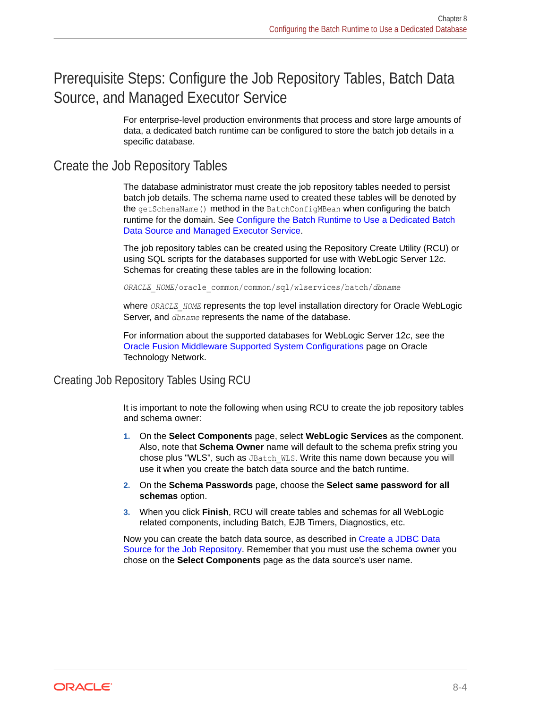# <span id="page-100-0"></span>Prerequisite Steps: Configure the Job Repository Tables, Batch Data Source, and Managed Executor Service

For enterprise-level production environments that process and store large amounts of data, a dedicated batch runtime can be configured to store the batch job details in a specific database.

### Create the Job Repository Tables

The database administrator must create the job repository tables needed to persist batch job details. The schema name used to created these tables will be denoted by the getSchemaName() method in the BatchConfigMBean when configuring the batch runtime for the domain. See [Configure the Batch Runtime to Use a Dedicated Batch](#page-102-0) [Data Source and Managed Executor Service.](#page-102-0)

The job repository tables can be created using the Repository Create Utility (RCU) or using SQL scripts for the databases supported for use with WebLogic Server 12*c*. Schemas for creating these tables are in the following location:

*ORACLE\_HOME*/oracle\_common/common/sql/wlservices/batch/*dbname*

where *ORACLE* HOME represents the top level installation directory for Oracle WebLogic Server, and *dbname* represents the name of the database.

For information about the supported databases for WebLogic Server 12*c*, see the [Oracle Fusion Middleware Supported System Configurations](http://www.oracle.com/pls/topic/lookup?ctx=fmw122100&id=fmwcert) page on Oracle Technology Network.

Creating Job Repository Tables Using RCU

It is important to note the following when using RCU to create the job repository tables and schema owner:

- **1.** On the **Select Components** page, select **WebLogic Services** as the component. Also, note that **Schema Owner** name will default to the schema prefix string you chose plus "WLS", such as JBatch WLS. Write this name down because you will use it when you create the batch data source and the batch runtime.
- **2.** On the **Schema Passwords** page, choose the **Select same password for all schemas** option.
- **3.** When you click **Finish**, RCU will create tables and schemas for all WebLogic related components, including Batch, EJB Timers, Diagnostics, etc.

Now you can create the batch data source, as described in [Create a JDBC Data](#page-101-0) [Source for the Job Repository](#page-101-0). Remember that you must use the schema owner you chose on the **Select Components** page as the data source's user name.

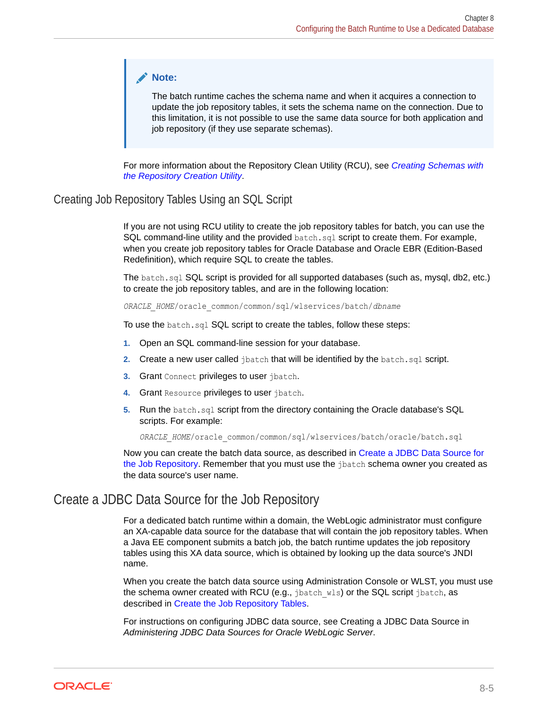#### <span id="page-101-0"></span>**Note:**

The batch runtime caches the schema name and when it acquires a connection to update the job repository tables, it sets the schema name on the connection. Due to this limitation, it is not possible to use the same data source for both application and job repository (if they use separate schemas).

For more information about the Repository Clean Utility (RCU), see *[Creating Schemas with](http://www.oracle.com/pls/topic/lookup?ctx=fmw122100&id=RCUUG101) [the Repository Creation Utility](http://www.oracle.com/pls/topic/lookup?ctx=fmw122100&id=RCUUG101)*.

#### Creating Job Repository Tables Using an SQL Script

If you are not using RCU utility to create the job repository tables for batch, you can use the SQL command-line utility and the provided batch.sql script to create them. For example, when you create job repository tables for Oracle Database and Oracle EBR (Edition-Based Redefinition), which require SQL to create the tables.

The batch.sql SQL script is provided for all supported databases (such as, mysql, db2, etc.) to create the job repository tables, and are in the following location:

*ORACLE\_HOME*/oracle\_common/common/sql/wlservices/batch/*dbname*

To use the batch.sql SQL script to create the tables, follow these steps:

- **1.** Open an SQL command-line session for your database.
- **2.** Create a new user called jbatch that will be identified by the batch.sql script.
- **3.** Grant Connect privileges to user ibatch.
- **4.** Grant Resource privileges to user jbatch.
- **5.** Run the batch.sql script from the directory containing the Oracle database's SQL scripts. For example:

*ORACLE\_HOME*/oracle\_common/common/sql/wlservices/batch/oracle/batch.sql

Now you can create the batch data source, as described in Create a JDBC Data Source for the Job Repository. Remember that you must use the jbatch schema owner you created as the data source's user name.

### Create a JDBC Data Source for the Job Repository

For a dedicated batch runtime within a domain, the WebLogic administrator must configure an XA-capable data source for the database that will contain the job repository tables. When a Java EE component submits a batch job, the batch runtime updates the job repository tables using this XA data source, which is obtained by looking up the data source's JNDI name.

When you create the batch data source using Administration Console or WLST, you must use the schema owner created with RCU (e.g., jbatch wls) or the SQL script jbatch, as described in [Create the Job Repository Tables.](#page-100-0)

For instructions on configuring JDBC data source, see Creating a JDBC Data Source in *Administering JDBC Data Sources for Oracle WebLogic Server*.

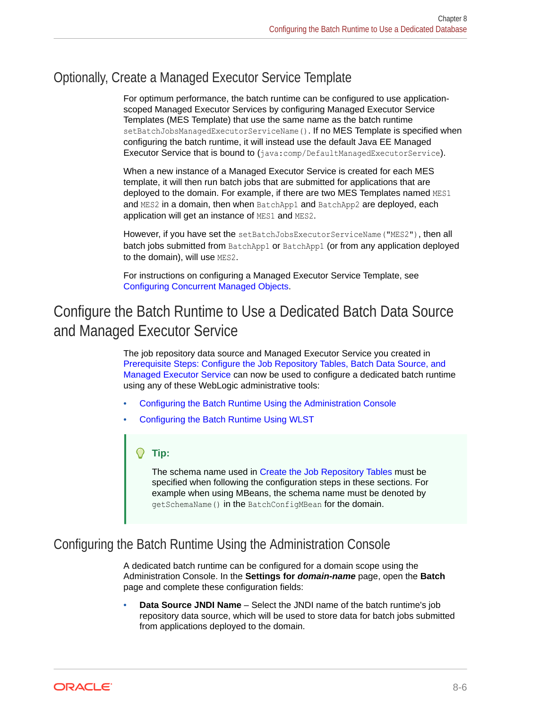# <span id="page-102-0"></span>Optionally, Create a Managed Executor Service Template

For optimum performance, the batch runtime can be configured to use applicationscoped Managed Executor Services by configuring Managed Executor Service Templates (MES Template) that use the same name as the batch runtime setBatchJobsManagedExecutorServiceName(). If no MES Template is specified when configuring the batch runtime, it will instead use the default Java EE Managed Executor Service that is bound to (java:comp/DefaultManagedExecutorService).

When a new instance of a Managed Executor Service is created for each MES template, it will then run batch jobs that are submitted for applications that are deployed to the domain. For example, if there are two MES Templates named MES1 and MES2 in a domain, then when BatchApp1 and BatchApp2 are deployed, each application will get an instance of MES1 and MES2.

However, if you have set the setBatchJobsExecutorServiceName("MES2"), then all batch jobs submitted from BatchApp1 or BatchApp1 (or from any application deployed to the domain), will use MES2.

For instructions on configuring a Managed Executor Service Template, see [Configuring Concurrent Managed Objects.](#page-68-0)

# Configure the Batch Runtime to Use a Dedicated Batch Data Source and Managed Executor Service

The job repository data source and Managed Executor Service you created in [Prerequisite Steps: Configure the Job Repository Tables, Batch Data Source, and](#page-100-0) [Managed Executor Service](#page-100-0) can now be used to configure a dedicated batch runtime using any of these WebLogic administrative tools:

- Configuring the Batch Runtime Using the Administration Console
- [Configuring the Batch Runtime Using WLST](#page-103-0)

#### **Tip:**

The schema name used in [Create the Job Repository Tables](#page-100-0) must be specified when following the configuration steps in these sections. For example when using MBeans, the schema name must be denoted by getSchemaName() in the BatchConfigMBean for the domain.

### Configuring the Batch Runtime Using the Administration Console

A dedicated batch runtime can be configured for a domain scope using the Administration Console. In the **Settings for** *domain-name* page, open the **Batch** page and complete these configuration fields:

• **Data Source JNDI Name** – Select the JNDI name of the batch runtime's job repository data source, which will be used to store data for batch jobs submitted from applications deployed to the domain.

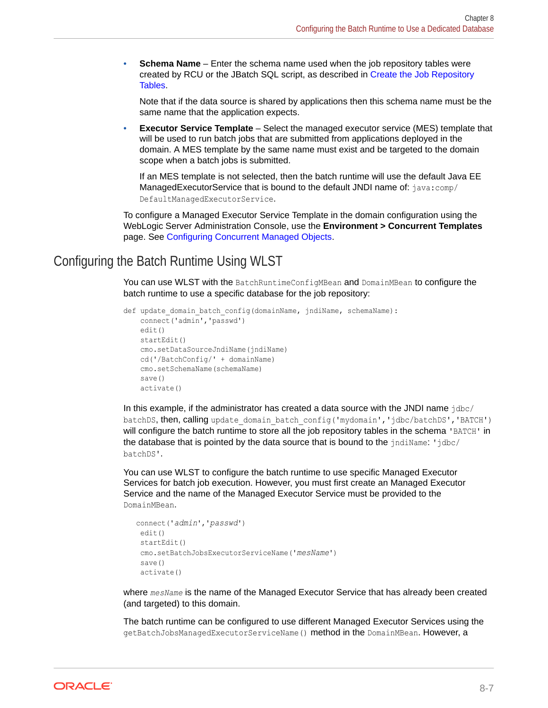<span id="page-103-0"></span>**Schema Name** – Enter the schema name used when the job repository tables were created by RCU or the JBatch SQL script, as described in [Create the Job Repository](#page-100-0) [Tables.](#page-100-0)

Note that if the data source is shared by applications then this schema name must be the same name that the application expects.

**Executor Service Template** – Select the managed executor service (MES) template that will be used to run batch jobs that are submitted from applications deployed in the domain. A MES template by the same name must exist and be targeted to the domain scope when a batch jobs is submitted.

If an MES template is not selected, then the batch runtime will use the default Java EE ManagedExecutorService that is bound to the default JNDI name of: java:comp/ DefaultManagedExecutorService.

To configure a Managed Executor Service Template in the domain configuration using the WebLogic Server Administration Console, use the **Environment > Concurrent Templates** page. See [Configuring Concurrent Managed Objects.](#page-68-0)

### Configuring the Batch Runtime Using WLST

You can use WLST with the BatchRuntimeConfigMBean and DomainMBean to configure the batch runtime to use a specific database for the job repository:

```
def update domain batch config(domainName, jndiName, schemaName):
    connect('admin','passwd')
    edit()
    startEdit()
    cmo.setDataSourceJndiName(jndiName)
    cd('/BatchConfig/' + domainName)
    cmo.setSchemaName(schemaName)
    save()
    activate()
```
In this example, if the administrator has created a data source with the JNDI name  $\frac{i}{d}$ batchDS, then, calling update domain batch config('mydomain','idbc/batchDS','BATCH') will configure the batch runtime to store all the job repository tables in the schema 'BATCH' in the database that is pointed by the data source that is bound to the  $jndiName: jdbc/$ batchDS'.

You can use WLST to configure the batch runtime to use specific Managed Executor Services for batch job execution. However, you must first create an Managed Executor Service and the name of the Managed Executor Service must be provided to the DomainMBean.

```
 connect('admin','passwd')
 edit()
  startEdit()
 cmo.setBatchJobsExecutorServiceName('mesName')
  save()
 activate()
```
where *mesName* is the name of the Managed Executor Service that has already been created (and targeted) to this domain.

The batch runtime can be configured to use different Managed Executor Services using the getBatchJobsManagedExecutorServiceName() method in the DomainMBean. However, a

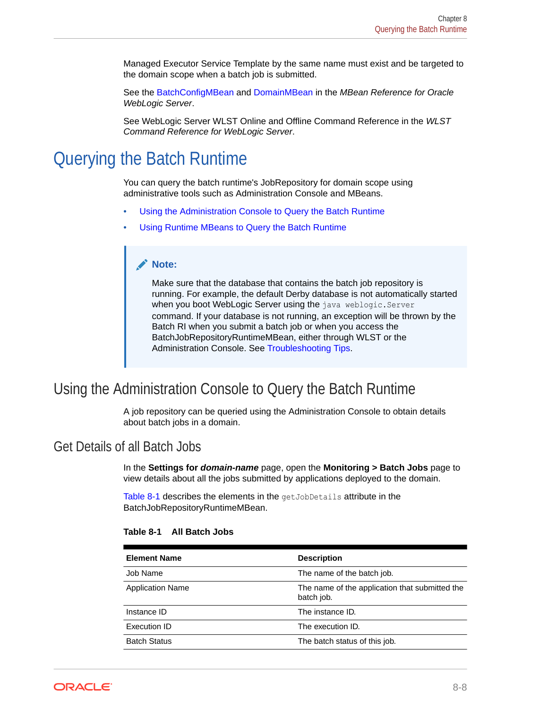<span id="page-104-0"></span>Managed Executor Service Template by the same name must exist and be targeted to the domain scope when a batch job is submitted.

See the BatchConfigMBean and DomainMBean in the *MBean Reference for Oracle WebLogic Server*.

See WebLogic Server WLST Online and Offline Command Reference in the *WLST Command Reference for WebLogic Server*.

# Querying the Batch Runtime

You can query the batch runtime's JobRepository for domain scope using administrative tools such as Administration Console and MBeans.

- Using the Administration Console to Query the Batch Runtime
- [Using Runtime MBeans to Query the Batch Runtime](#page-106-0)

#### **Note:**

Make sure that the database that contains the batch job repository is running. For example, the default Derby database is not automatically started when you boot WebLogic Server using the java weblogic. Server command. If your database is not running, an exception will be thrown by the Batch RI when you submit a batch job or when you access the BatchJobRepositoryRuntimeMBean, either through WLST or the Administration Console. See [Troubleshooting Tips](#page-108-0).

# Using the Administration Console to Query the Batch Runtime

A job repository can be queried using the Administration Console to obtain details about batch jobs in a domain.

### Get Details of all Batch Jobs

In the **Settings for** *domain-name* page, open the **Monitoring > Batch Jobs** page to view details about all the jobs submitted by applications deployed to the domain.

Table 8-1 describes the elements in the getJobDetails attribute in the BatchJobRepositoryRuntimeMBean.

| <b>Element Name</b>     | <b>Description</b>                                           |
|-------------------------|--------------------------------------------------------------|
| Job Name                | The name of the batch job.                                   |
| <b>Application Name</b> | The name of the application that submitted the<br>batch job. |
| Instance ID             | The instance ID.                                             |
| Execution ID            | The execution ID.                                            |
| <b>Batch Status</b>     | The batch status of this job.                                |

#### **Table 8-1 All Batch Jobs**

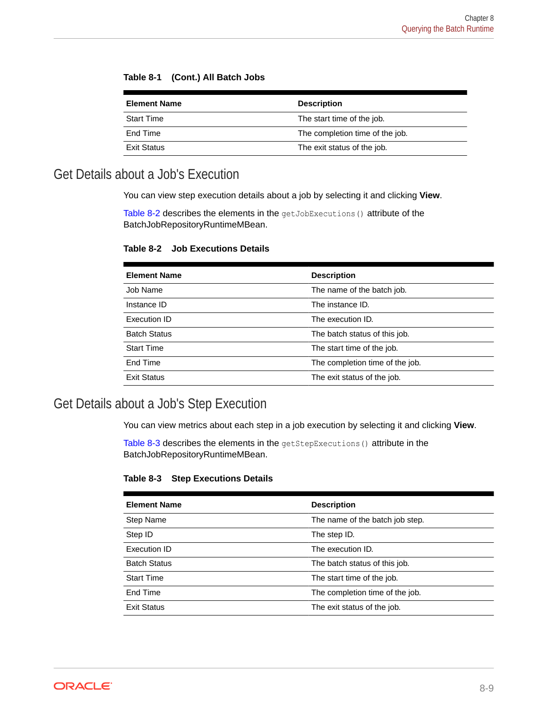|  | Table 8-1 (Cont.) All Batch Jobs |  |
|--|----------------------------------|--|
|--|----------------------------------|--|

| <b>Element Name</b> | <b>Description</b>              |
|---------------------|---------------------------------|
| <b>Start Time</b>   | The start time of the job.      |
| End Time            | The completion time of the job. |
| Exit Status         | The exit status of the job.     |

### Get Details about a Job's Execution

You can view step execution details about a job by selecting it and clicking **View**.

Table 8-2 describes the elements in the getJobExecutions () attribute of the BatchJobRepositoryRuntimeMBean.

#### **Table 8-2 Job Executions Details**

| <b>Element Name</b> | <b>Description</b>              |
|---------------------|---------------------------------|
| Job Name            | The name of the batch job.      |
| Instance ID         | The instance ID.                |
| Execution ID        | The execution ID.               |
| <b>Batch Status</b> | The batch status of this job.   |
| <b>Start Time</b>   | The start time of the job.      |
| End Time            | The completion time of the job. |
| <b>Exit Status</b>  | The exit status of the job.     |

### Get Details about a Job's Step Execution

You can view metrics about each step in a job execution by selecting it and clicking View.

Table 8-3 describes the elements in the getStepExecutions() attribute in the BatchJobRepositoryRuntimeMBean.

#### **Table 8-3 Step Executions Details**

| <b>Element Name</b> | <b>Description</b>              |
|---------------------|---------------------------------|
| Step Name           | The name of the batch job step. |
| Step ID             | The step ID.                    |
| <b>Execution ID</b> | The execution ID.               |
| <b>Batch Status</b> | The batch status of this job.   |
| <b>Start Time</b>   | The start time of the job.      |
| End Time            | The completion time of the job. |
| <b>Exit Status</b>  | The exit status of the job.     |

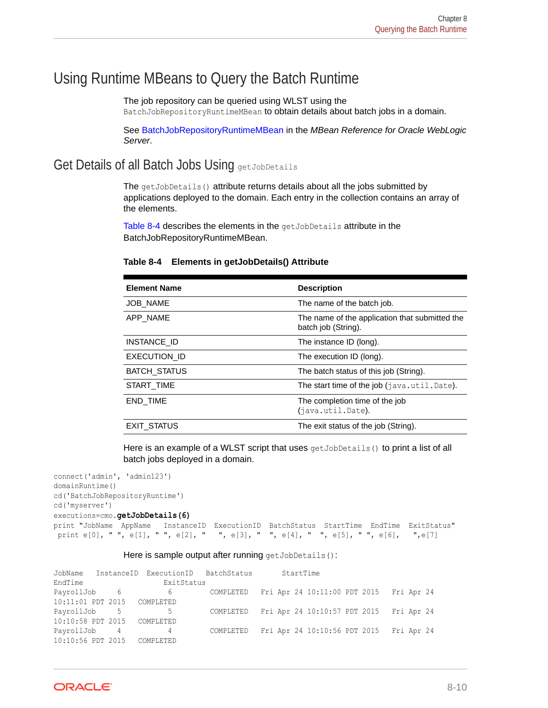# <span id="page-106-0"></span>Using Runtime MBeans to Query the Batch Runtime

The job repository can be queried using WLST using the

BatchJobRepositoryRuntimeMBean to obtain details about batch jobs in a domain.

See BatchJobRepositoryRuntimeMBean in the *MBean Reference for Oracle WebLogic Server*.

### Get Details of all Batch Jobs Using getJobDetails

The getJobDetails() attribute returns details about all the jobs submitted by applications deployed to the domain. Each entry in the collection contains an array of the elements.

Table 8-4 describes the elements in the getJobDetails attribute in the BatchJobRepositoryRuntimeMBean.

| <b>Element Name</b> | <b>Description</b>                                                    |
|---------------------|-----------------------------------------------------------------------|
| <b>JOB NAME</b>     | The name of the batch job.                                            |
| APP NAME            | The name of the application that submitted the<br>batch job (String). |
| INSTANCE ID         | The instance ID (long).                                               |
| EXECUTION ID        | The execution ID (long).                                              |
| <b>BATCH STATUS</b> | The batch status of this job (String).                                |
| START TIME          | The start time of the job (java.util.Date).                           |
| END_TIME            | The completion time of the job<br>(java.util.Date).                   |
| <b>EXIT STATUS</b>  | The exit status of the job (String).                                  |

#### **Table 8-4 Elements in getJobDetails() Attribute**

Here is an example of a WLST script that uses  $qetJobDetails()$  to print a list of all batch jobs deployed in a domain.

```
connect('admin', 'admin123')
domainRuntime()
cd('BatchJobRepositoryRuntime')
cd('myserver')
executions=cmo.getJobDetails(6)
print "JobName AppName InstanceID ExecutionID BatchStatus StartTime EndTime ExitStatus"
 print e[0], " ", e[1], " ", e[2], " ", e[3], " ", e[4], " ", e[5], " ", e[6], ",e[7]
```
#### Here is sample output after running getJobDetails():

|                             | JobName InstanceID ExecutionID BatchStatus |           | StartTime                                                          |  |
|-----------------------------|--------------------------------------------|-----------|--------------------------------------------------------------------|--|
| EndTime                     | ExitStatus                                 |           |                                                                    |  |
|                             |                                            |           | PayrollJob 6 6 6 COMPLETED Fri Apr 24 10:11:00 PDT 2015 Fri Apr 24 |  |
| 10:11:01 PDT 2015           | COMPLETED                                  |           |                                                                    |  |
| PayrollJob 5                | $5 - 5$                                    |           | COMPLETED Fri Apr 24 10:10:57 PDT 2015 Fri Apr 24                  |  |
| 10:10:58 PDT 2015 COMPLETED |                                            |           |                                                                    |  |
| PayrollJob 4                | $4\overline{ }$                            | COMPLETED | Fri Apr 24 10:10:56 PDT 2015 Fri Apr 24                            |  |
| 10:10:56 PDT 2015           | COMPLETED                                  |           |                                                                    |  |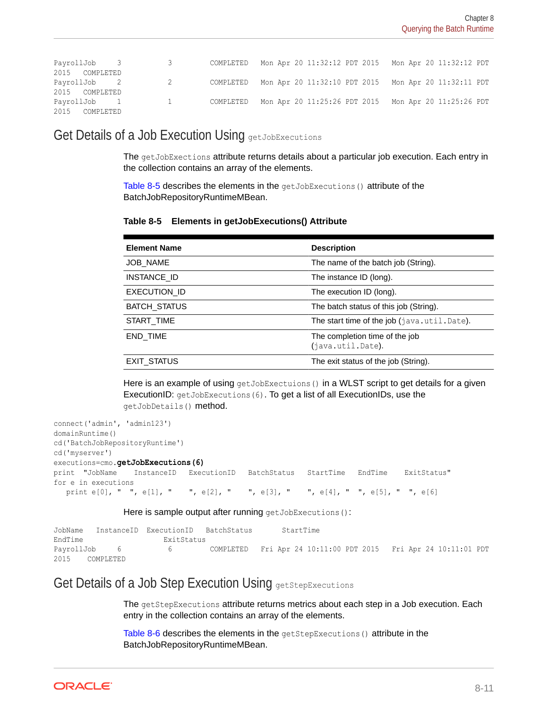| PayrollJob 3   | $\overline{\mathbf{3}}$ |  |  | COMPLETED Mon Apr 20 11:32:12 PDT 2015 Mon Apr 20 11:32:12 PDT |  |
|----------------|-------------------------|--|--|----------------------------------------------------------------|--|
| 2015 COMPLETED |                         |  |  |                                                                |  |
| PayrollJob 2   | $\sim$ 2                |  |  | COMPLETED Mon Apr 20 11:32:10 PDT 2015 Mon Apr 20 11:32:11 PDT |  |
| 2015 COMPLETED |                         |  |  |                                                                |  |
| PayrollJob 1 1 |                         |  |  | COMPLETED Mon Apr 20 11:25:26 PDT 2015 Mon Apr 20 11:25:26 PDT |  |
| 2015 COMPLETED |                         |  |  |                                                                |  |

Get Details of a Job Execution Using getJobExecutions

The getJobExections attribute returns details about a particular job execution. Each entry in the collection contains an array of the elements.

Table 8-5 describes the elements in the getJobExecutions () attribute of the BatchJobRepositoryRuntimeMBean.

**Table 8-5 Elements in getJobExecutions() Attribute**

| <b>Element Name</b> | <b>Description</b>                                  |
|---------------------|-----------------------------------------------------|
| JOB_NAME            | The name of the batch job (String).                 |
| INSTANCE ID         | The instance ID (long).                             |
| EXECUTION ID        | The execution ID (long).                            |
| <b>BATCH STATUS</b> | The batch status of this job (String).              |
| START TIME          | The start time of the job (java.util.Date).         |
| END TIME            | The completion time of the job<br>(java.util.Date). |
| EXIT STATUS         | The exit status of the job (String).                |

Here is an example of using getJobExectuions () in a WLST script to get details for a given ExecutionID: getJobExecutions(6). To get a list of all ExecutionIDs, use the getJobDetails() method.

```
connect('admin', 'admin123')
domainRuntime()
cd('BatchJobRepositoryRuntime')
cd('myserver')
executions=cmo.getJobExecutions(6)
print "JobName InstanceID ExecutionID BatchStatus StartTime EndTime ExitStatus"
for e in executions
  print e[0], " ", e[1], " ", e[2], " ", e[3], " ", e[4], " ", e[5], " ", e[6]
```
Here is sample output after running getJobExecutions():

| JobName      |           | InstanceID ExecutionID BatchStatus |                                                                |  | StartTime |  |  |  |
|--------------|-----------|------------------------------------|----------------------------------------------------------------|--|-----------|--|--|--|
| EndTime      |           | ExitStatus                         |                                                                |  |           |  |  |  |
| PayrollJob 6 |           | $6 \quad$                          | COMPLETED Fri Apr 24 10:11:00 PDT 2015 Fri Apr 24 10:11:01 PDT |  |           |  |  |  |
| 2015         | COMPLETED |                                    |                                                                |  |           |  |  |  |

### Get Details of a Job Step Execution Using getStepExecutions

The getStepExecutions attribute returns metrics about each step in a Job execution. Each entry in the collection contains an array of the elements.

[Table 8-6](#page-108-0) describes the elements in the getStepExecutions () attribute in the BatchJobRepositoryRuntimeMBean.

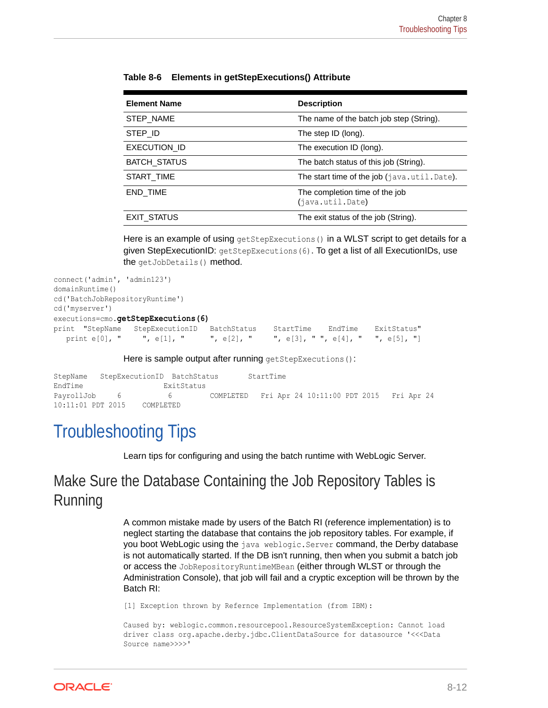| <b>Element Name</b> | <b>Description</b>                                 |
|---------------------|----------------------------------------------------|
| STEP NAME           | The name of the batch job step (String).           |
| STEP ID             | The step ID (long).                                |
| <b>EXECUTION ID</b> | The execution ID (long).                           |
| <b>BATCH STATUS</b> | The batch status of this job (String).             |
| START TIME          | The start time of the job (java.util.Date).        |
| END TIME            | The completion time of the job<br>(java.util.Date) |
| EXIT STATUS         | The exit status of the job (String).               |

**Table 8-6 Elements in getStepExecutions() Attribute**

Here is an example of using getStepExecutions () in a WLST script to get details for a given StepExecutionID: getStepExecutions(6). To get a list of all ExecutionIDs, use the getJobDetails() method.

```
connect('admin', 'admin123')
domainRuntime()
cd('BatchJobRepositoryRuntime')
cd('myserver')
executions=cmo.getStepExecutions(6)
print "StepName StepExecutionID BatchStatus StartTime EndTime ExitStatus"
  print e[0], " ", e[1], " ", e[2], " ", e[3], " ", e[4], " ", e[5], "]
```
Here is sample output after running getStepExecutions():

| StepName StepExecutionID BatchStatus |           |                   |                                                   | StartTime |  |  |  |  |
|--------------------------------------|-----------|-------------------|---------------------------------------------------|-----------|--|--|--|--|
| EndTime                              |           | ExitStatus        |                                                   |           |  |  |  |  |
| PayrollJob 6                         |           | $h \rightarrow h$ | COMPLETED Fri Apr 24 10:11:00 PDT 2015 Fri Apr 24 |           |  |  |  |  |
| $10:11:01$ PDT 2015                  | COMPLETED |                   |                                                   |           |  |  |  |  |

## Troubleshooting Tips

Learn tips for configuring and using the batch runtime with WebLogic Server.

## Make Sure the Database Containing the Job Repository Tables is Running

A common mistake made by users of the Batch RI (reference implementation) is to neglect starting the database that contains the job repository tables. For example, if you boot WebLogic using the java weblogic. Server command, the Derby database is not automatically started. If the DB isn't running, then when you submit a batch job or access the JobRepositoryRuntimeMBean (either through WLST or through the Administration Console), that job will fail and a cryptic exception will be thrown by the Batch RI:

[1] Exception thrown by Refernce Implementation (from IBM):

```
Caused by: weblogic.common.resourcepool.ResourceSystemException: Cannot load 
driver class org.apache.derby.jdbc.ClientDataSource for datasource '<<<Data 
Source name>>>>'
```